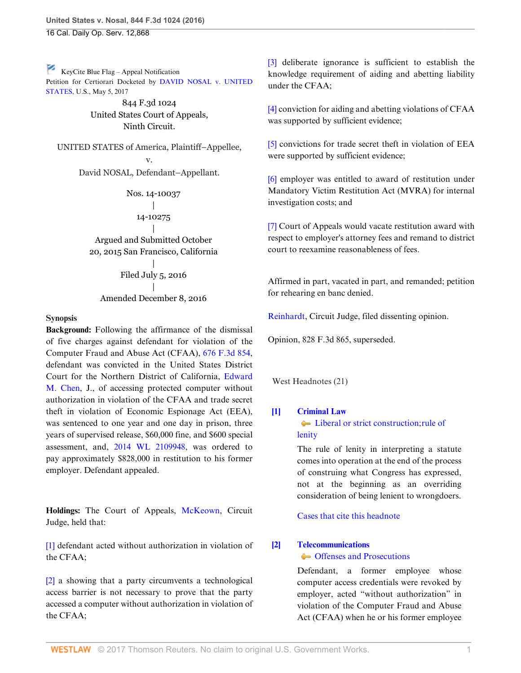[K](https://1.next.westlaw.com/Link/RelatedInformation/Flag?documentGuid=I62b0a700bdea11e6ac07a76176915fee&transitionType=Document&originationContext=docHeaderFlag&contextData=(sc.UserEnteredCitation))eyCite Blue Flag – Appeal Notification Petition for Certiorari Docketed by [DAVID NOSAL v. UNITED](https://1.next.westlaw.com/Document/IF9154F6232ED11E7BFB79A463A4B3BC7/View/FullText.html?listSource=RelatedInfo&list=NegativeCitingReferences&rank=0&originationContext=docHeader&transitionType=NegativeTreatment&contextData=%28sc.UserEnteredCitation%29) [STATES,](https://1.next.westlaw.com/Document/IF9154F6232ED11E7BFB79A463A4B3BC7/View/FullText.html?listSource=RelatedInfo&list=NegativeCitingReferences&rank=0&originationContext=docHeader&transitionType=NegativeTreatment&contextData=%28sc.UserEnteredCitation%29) U.S., May 5, 2017

844 F.3d 1024 United States Court of Appeals, Ninth Circuit.

UNITED STATES of America, Plaintiff–Appellee, v.

David NOSAL, Defendant–Appellant.

Nos. 14-10037  $\overline{\phantom{a}}$ 14-10275 | Argued and Submitted October 20, 2015 San Francisco, California | Filed July 5, 2016

| Amended December 8, 2016

## **Synopsis**

**Background:** Following the affirmance of the dismissal of five charges against defendant for violation of the Computer Fraud and Abuse Act (CFAA), [676 F.3d 854](http://www.westlaw.com/Link/Document/FullText?findType=Y&serNum=2027470557&pubNum=0000506&originatingDoc=I62b0a700bdea11e6ac07a76176915fee&refType=RP&originationContext=document&vr=3.0&rs=cblt1.0&transitionType=DocumentItem&contextData=(sc.UserEnteredCitation)), defendant was convicted in the United States District Court for the Northern District of California, [Edward](http://www.westlaw.com/Link/Document/FullText?findType=h&pubNum=176284&cite=0323166101&originatingDoc=I62b0a700bdea11e6ac07a76176915fee&refType=RQ&originationContext=document&vr=3.0&rs=cblt1.0&transitionType=DocumentItem&contextData=(sc.UserEnteredCitation)) [M. Chen,](http://www.westlaw.com/Link/Document/FullText?findType=h&pubNum=176284&cite=0323166101&originatingDoc=I62b0a700bdea11e6ac07a76176915fee&refType=RQ&originationContext=document&vr=3.0&rs=cblt1.0&transitionType=DocumentItem&contextData=(sc.UserEnteredCitation)) J., of accessing protected computer without authorization in violation of the CFAA and trade secret theft in violation of Economic Espionage Act (EEA), was sentenced to one year and one day in prison, three years of supervised release, \$60,000 fine, and \$600 special assessment, and, [2014 WL 2109948,](http://www.westlaw.com/Link/Document/FullText?findType=Y&serNum=2033422520&pubNum=0000999&originatingDoc=I62b0a700bdea11e6ac07a76176915fee&refType=RP&originationContext=document&vr=3.0&rs=cblt1.0&transitionType=DocumentItem&contextData=(sc.UserEnteredCitation)) was ordered to pay approximately \$828,000 in restitution to his former employer. Defendant appealed.

Holdings: The Court of Appeals, [McKeown](http://www.westlaw.com/Link/Document/FullText?findType=h&pubNum=176284&cite=0125530001&originatingDoc=I62b0a700bdea11e6ac07a76176915fee&refType=RQ&originationContext=document&vr=3.0&rs=cblt1.0&transitionType=DocumentItem&contextData=(sc.UserEnteredCitation)), Circuit Judge, held that:

[\[1\]](#page-0-0) defendant acted without authorization in violation of the CFAA;

[\[2\]](#page-1-0) a showing that a party circumvents a technological access barrier is not necessary to prove that the party accessed a computer without authorization in violation of the CFAA;

[\[3\]](#page-1-1) deliberate ignorance is sufficient to establish the knowledge requirement of aiding and abetting liability under the CFAA;

[\[4\]](#page-1-2) conviction for aiding and abetting violations of CFAA was supported by sufficient evidence;

[\[5\]](#page-1-3) convictions for trade secret theft in violation of EEA were supported by sufficient evidence;

[\[6\]](#page-3-0) employer was entitled to award of restitution under Mandatory Victim Restitution Act (MVRA) for internal investigation costs; and

[\[7\]](#page-3-1) Court of Appeals would vacate restitution award with respect to employer's attorney fees and remand to district court to reexamine reasonableness of fees.

Affirmed in part, vacated in part, and remanded; petition for rehearing en banc denied.

[Reinhardt,](http://www.westlaw.com/Link/Document/FullText?findType=h&pubNum=176284&cite=0245335801&originatingDoc=I62b0a700bdea11e6ac07a76176915fee&refType=RQ&originationContext=document&vr=3.0&rs=cblt1.0&transitionType=DocumentItem&contextData=(sc.UserEnteredCitation)) Circuit Judge, filed dissenting opinion.

Opinion, 828 F.3d 865, superseded.

West Headnotes (21)

## <span id="page-0-1"></span>**[\[1\]](#page-9-0) [Criminal Law](http://www.westlaw.com/Browse/Home/KeyNumber/110/View.html?docGuid=I62b0a700bdea11e6ac07a76176915fee&originationContext=document&vr=3.0&rs=cblt1.0&transitionType=DocumentItem&contextData=(sc.UserEnteredCitation))**

liberal or strict construction; rule of [lenity](http://www.westlaw.com/Browse/Home/KeyNumber/110k12.7(2)/View.html?docGuid=I62b0a700bdea11e6ac07a76176915fee&originationContext=document&vr=3.0&rs=cblt1.0&transitionType=DocumentItem&contextData=(sc.UserEnteredCitation))

The rule of lenity in interpreting a statute comes into operation at the end of the process of construing what Congress has expressed, not at the beginning as an overriding consideration of being lenient to wrongdoers.

[Cases that cite this headnote](http://www.westlaw.com/Link/RelatedInformation/DocHeadnoteLink?docGuid=I62b0a700bdea11e6ac07a76176915fee&headnoteId=204051834900120170413000401&originationContext=document&vr=3.0&rs=cblt1.0&transitionType=CitingReferences&contextData=(sc.UserEnteredCitation))

## <span id="page-0-0"></span>**[\[2\]](#page-11-0) [Telecommunications](http://www.westlaw.com/Browse/Home/KeyNumber/372/View.html?docGuid=I62b0a700bdea11e6ac07a76176915fee&originationContext=document&vr=3.0&rs=cblt1.0&transitionType=DocumentItem&contextData=(sc.UserEnteredCitation)) Confenses and Prosecutions**

Defendant, a former employee whose computer access credentials were revoked by employer, acted "without authorization" in violation of the Computer Fraud and Abuse Act (CFAA) when he or his former employee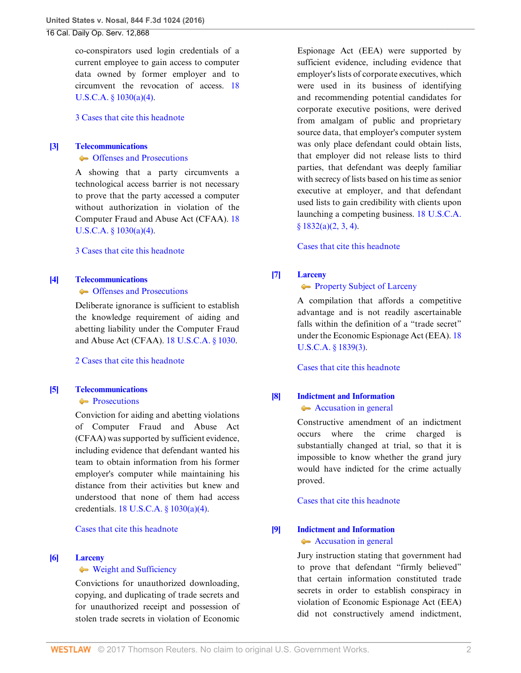co-conspirators used login credentials of a current employee to gain access to computer data owned by former employer and to circumvent the revocation of access. [18](http://www.westlaw.com/Link/Document/FullText?findType=L&pubNum=1000546&cite=18USCAS1030&originatingDoc=I62b0a700bdea11e6ac07a76176915fee&refType=SP&originationContext=document&vr=3.0&rs=cblt1.0&transitionType=DocumentItem&contextData=(sc.UserEnteredCitation)#co_pp_d40e000072291) [U.S.C.A. § 1030\(a\)\(4\)](http://www.westlaw.com/Link/Document/FullText?findType=L&pubNum=1000546&cite=18USCAS1030&originatingDoc=I62b0a700bdea11e6ac07a76176915fee&refType=SP&originationContext=document&vr=3.0&rs=cblt1.0&transitionType=DocumentItem&contextData=(sc.UserEnteredCitation)#co_pp_d40e000072291).

[3 Cases that cite this headnote](http://www.westlaw.com/Link/RelatedInformation/DocHeadnoteLink?docGuid=I62b0a700bdea11e6ac07a76176915fee&headnoteId=204051834900220170413000401&originationContext=document&vr=3.0&rs=cblt1.0&transitionType=CitingReferences&contextData=(sc.UserEnteredCitation))

#### <span id="page-1-0"></span>**[\[3\]](#page-11-1) [Telecommunications](http://www.westlaw.com/Browse/Home/KeyNumber/372/View.html?docGuid=I62b0a700bdea11e6ac07a76176915fee&originationContext=document&vr=3.0&rs=cblt1.0&transitionType=DocumentItem&contextData=(sc.UserEnteredCitation))**

• [Offenses and Prosecutions](http://www.westlaw.com/Browse/Home/KeyNumber/372k1347/View.html?docGuid=I62b0a700bdea11e6ac07a76176915fee&originationContext=document&vr=3.0&rs=cblt1.0&transitionType=DocumentItem&contextData=(sc.UserEnteredCitation))

A showing that a party circumvents a technological access barrier is not necessary to prove that the party accessed a computer without authorization in violation of the Computer Fraud and Abuse Act (CFAA). [18](http://www.westlaw.com/Link/Document/FullText?findType=L&pubNum=1000546&cite=18USCAS1030&originatingDoc=I62b0a700bdea11e6ac07a76176915fee&refType=SP&originationContext=document&vr=3.0&rs=cblt1.0&transitionType=DocumentItem&contextData=(sc.UserEnteredCitation)#co_pp_d40e000072291) [U.S.C.A. § 1030\(a\)\(4\)](http://www.westlaw.com/Link/Document/FullText?findType=L&pubNum=1000546&cite=18USCAS1030&originatingDoc=I62b0a700bdea11e6ac07a76176915fee&refType=SP&originationContext=document&vr=3.0&rs=cblt1.0&transitionType=DocumentItem&contextData=(sc.UserEnteredCitation)#co_pp_d40e000072291).

## [3 Cases that cite this headnote](http://www.westlaw.com/Link/RelatedInformation/DocHeadnoteLink?docGuid=I62b0a700bdea11e6ac07a76176915fee&headnoteId=204051834900320170413000401&originationContext=document&vr=3.0&rs=cblt1.0&transitionType=CitingReferences&contextData=(sc.UserEnteredCitation))

## <span id="page-1-1"></span>**[\[4\]](#page-12-0) [Telecommunications](http://www.westlaw.com/Browse/Home/KeyNumber/372/View.html?docGuid=I62b0a700bdea11e6ac07a76176915fee&originationContext=document&vr=3.0&rs=cblt1.0&transitionType=DocumentItem&contextData=(sc.UserEnteredCitation))**

#### **• [Offenses and Prosecutions](http://www.westlaw.com/Browse/Home/KeyNumber/372k1347/View.html?docGuid=I62b0a700bdea11e6ac07a76176915fee&originationContext=document&vr=3.0&rs=cblt1.0&transitionType=DocumentItem&contextData=(sc.UserEnteredCitation))**

Deliberate ignorance is sufficient to establish the knowledge requirement of aiding and abetting liability under the Computer Fraud and Abuse Act (CFAA). [18 U.S.C.A. § 1030](http://www.westlaw.com/Link/Document/FullText?findType=L&pubNum=1000546&cite=18USCAS1030&originatingDoc=I62b0a700bdea11e6ac07a76176915fee&refType=LQ&originationContext=document&vr=3.0&rs=cblt1.0&transitionType=DocumentItem&contextData=(sc.UserEnteredCitation)).

[2 Cases that cite this headnote](http://www.westlaw.com/Link/RelatedInformation/DocHeadnoteLink?docGuid=I62b0a700bdea11e6ac07a76176915fee&headnoteId=204051834900420170413000401&originationContext=document&vr=3.0&rs=cblt1.0&transitionType=CitingReferences&contextData=(sc.UserEnteredCitation))

# <span id="page-1-2"></span>**[\[5\]](#page-12-1) [Telecommunications](http://www.westlaw.com/Browse/Home/KeyNumber/372/View.html?docGuid=I62b0a700bdea11e6ac07a76176915fee&originationContext=document&vr=3.0&rs=cblt1.0&transitionType=DocumentItem&contextData=(sc.UserEnteredCitation))**

## **[Prosecutions](http://www.westlaw.com/Browse/Home/KeyNumber/372k1351/View.html?docGuid=I62b0a700bdea11e6ac07a76176915fee&originationContext=document&vr=3.0&rs=cblt1.0&transitionType=DocumentItem&contextData=(sc.UserEnteredCitation))**

Conviction for aiding and abetting violations of Computer Fraud and Abuse Act (CFAA) was supported by sufficient evidence, including evidence that defendant wanted his team to obtain information from his former employer's computer while maintaining his distance from their activities but knew and understood that none of them had access credentials. [18 U.S.C.A. § 1030\(a\)\(4\).](http://www.westlaw.com/Link/Document/FullText?findType=L&pubNum=1000546&cite=18USCAS1030&originatingDoc=I62b0a700bdea11e6ac07a76176915fee&refType=SP&originationContext=document&vr=3.0&rs=cblt1.0&transitionType=DocumentItem&contextData=(sc.UserEnteredCitation)#co_pp_d40e000072291)

## [Cases that cite this headnote](http://www.westlaw.com/Link/RelatedInformation/DocHeadnoteLink?docGuid=I62b0a700bdea11e6ac07a76176915fee&headnoteId=204051834900520170413000401&originationContext=document&vr=3.0&rs=cblt1.0&transitionType=CitingReferences&contextData=(sc.UserEnteredCitation))

## <span id="page-1-3"></span>**[\[6\]](#page-13-0) [Larceny](http://www.westlaw.com/Browse/Home/KeyNumber/234/View.html?docGuid=I62b0a700bdea11e6ac07a76176915fee&originationContext=document&vr=3.0&rs=cblt1.0&transitionType=DocumentItem&contextData=(sc.UserEnteredCitation))**

## [Weight and Sufficiency](http://www.westlaw.com/Browse/Home/KeyNumber/234k54/View.html?docGuid=I62b0a700bdea11e6ac07a76176915fee&originationContext=document&vr=3.0&rs=cblt1.0&transitionType=DocumentItem&contextData=(sc.UserEnteredCitation))

Convictions for unauthorized downloading, copying, and duplicating of trade secrets and for unauthorized receipt and possession of stolen trade secrets in violation of Economic

Espionage Act (EEA) were supported by sufficient evidence, including evidence that employer's lists of corporate executives, which were used in its business of identifying and recommending potential candidates for corporate executive positions, were derived from amalgam of public and proprietary source data, that employer's computer system was only place defendant could obtain lists, that employer did not release lists to third parties, that defendant was deeply familiar with secrecy of lists based on his time as senior executive at employer, and that defendant used lists to gain credibility with clients upon launching a competing business. [18 U.S.C.A.](http://www.westlaw.com/Link/Document/FullText?findType=L&pubNum=1000546&cite=18USCAS1832&originatingDoc=I62b0a700bdea11e6ac07a76176915fee&refType=SP&originationContext=document&vr=3.0&rs=cblt1.0&transitionType=DocumentItem&contextData=(sc.UserEnteredCitation)#co_pp_8b3b0000958a4) [§ 1832\(a\)\(2, 3, 4\).](http://www.westlaw.com/Link/Document/FullText?findType=L&pubNum=1000546&cite=18USCAS1832&originatingDoc=I62b0a700bdea11e6ac07a76176915fee&refType=SP&originationContext=document&vr=3.0&rs=cblt1.0&transitionType=DocumentItem&contextData=(sc.UserEnteredCitation)#co_pp_8b3b0000958a4)

## [Cases that cite this headnote](http://www.westlaw.com/Link/RelatedInformation/DocHeadnoteLink?docGuid=I62b0a700bdea11e6ac07a76176915fee&headnoteId=204051834900620170413000401&originationContext=document&vr=3.0&rs=cblt1.0&transitionType=CitingReferences&contextData=(sc.UserEnteredCitation))

## <span id="page-1-4"></span>**[\[7\]](#page-14-0) [Larceny](http://www.westlaw.com/Browse/Home/KeyNumber/234/View.html?docGuid=I62b0a700bdea11e6ac07a76176915fee&originationContext=document&vr=3.0&rs=cblt1.0&transitionType=DocumentItem&contextData=(sc.UserEnteredCitation))**

#### **[Property Subject of Larceny](http://www.westlaw.com/Browse/Home/KeyNumber/234k4/View.html?docGuid=I62b0a700bdea11e6ac07a76176915fee&originationContext=document&vr=3.0&rs=cblt1.0&transitionType=DocumentItem&contextData=(sc.UserEnteredCitation))**

A compilation that affords a competitive advantage and is not readily ascertainable falls within the definition of a "trade secret" under the Economic Espionage Act (EEA). [18](http://www.westlaw.com/Link/Document/FullText?findType=L&pubNum=1000546&cite=18USCAS1839&originatingDoc=I62b0a700bdea11e6ac07a76176915fee&refType=SP&originationContext=document&vr=3.0&rs=cblt1.0&transitionType=DocumentItem&contextData=(sc.UserEnteredCitation)#co_pp_d08f0000f5f67) [U.S.C.A. § 1839\(3\).](http://www.westlaw.com/Link/Document/FullText?findType=L&pubNum=1000546&cite=18USCAS1839&originatingDoc=I62b0a700bdea11e6ac07a76176915fee&refType=SP&originationContext=document&vr=3.0&rs=cblt1.0&transitionType=DocumentItem&contextData=(sc.UserEnteredCitation)#co_pp_d08f0000f5f67)

[Cases that cite this headnote](http://www.westlaw.com/Link/RelatedInformation/DocHeadnoteLink?docGuid=I62b0a700bdea11e6ac07a76176915fee&headnoteId=204051834900720170413000401&originationContext=document&vr=3.0&rs=cblt1.0&transitionType=CitingReferences&contextData=(sc.UserEnteredCitation))

## <span id="page-1-5"></span>**[\[8\]](#page-15-0) [Indictment and Information](http://www.westlaw.com/Browse/Home/KeyNumber/210/View.html?docGuid=I62b0a700bdea11e6ac07a76176915fee&originationContext=document&vr=3.0&rs=cblt1.0&transitionType=DocumentItem&contextData=(sc.UserEnteredCitation))**

[Accusation in general](http://www.westlaw.com/Browse/Home/KeyNumber/210k159(2)/View.html?docGuid=I62b0a700bdea11e6ac07a76176915fee&originationContext=document&vr=3.0&rs=cblt1.0&transitionType=DocumentItem&contextData=(sc.UserEnteredCitation))

Constructive amendment of an indictment occurs where the crime charged is substantially changed at trial, so that it is impossible to know whether the grand jury would have indicted for the crime actually proved.

[Cases that cite this headnote](http://www.westlaw.com/Link/RelatedInformation/DocHeadnoteLink?docGuid=I62b0a700bdea11e6ac07a76176915fee&headnoteId=204051834900820170413000401&originationContext=document&vr=3.0&rs=cblt1.0&transitionType=CitingReferences&contextData=(sc.UserEnteredCitation))

## <span id="page-1-6"></span>**[\[9\]](#page-15-1) [Indictment and Information](http://www.westlaw.com/Browse/Home/KeyNumber/210/View.html?docGuid=I62b0a700bdea11e6ac07a76176915fee&originationContext=document&vr=3.0&rs=cblt1.0&transitionType=DocumentItem&contextData=(sc.UserEnteredCitation))**

## **[Accusation in general](http://www.westlaw.com/Browse/Home/KeyNumber/210k159(2)/View.html?docGuid=I62b0a700bdea11e6ac07a76176915fee&originationContext=document&vr=3.0&rs=cblt1.0&transitionType=DocumentItem&contextData=(sc.UserEnteredCitation))**

Jury instruction stating that government had to prove that defendant "firmly believed" that certain information constituted trade secrets in order to establish conspiracy in violation of Economic Espionage Act (EEA) did not constructively amend indictment,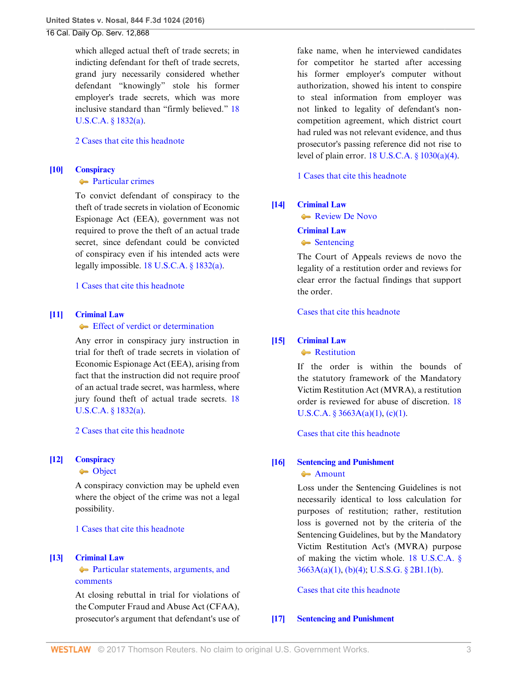which alleged actual theft of trade secrets; in indicting defendant for theft of trade secrets, grand jury necessarily considered whether defendant "knowingly" stole his former employer's trade secrets, which was more inclusive standard than "firmly believed." [18](http://www.westlaw.com/Link/Document/FullText?findType=L&pubNum=1000546&cite=18USCAS1832&originatingDoc=I62b0a700bdea11e6ac07a76176915fee&refType=SP&originationContext=document&vr=3.0&rs=cblt1.0&transitionType=DocumentItem&contextData=(sc.UserEnteredCitation)#co_pp_8b3b0000958a4) [U.S.C.A. § 1832\(a\)](http://www.westlaw.com/Link/Document/FullText?findType=L&pubNum=1000546&cite=18USCAS1832&originatingDoc=I62b0a700bdea11e6ac07a76176915fee&refType=SP&originationContext=document&vr=3.0&rs=cblt1.0&transitionType=DocumentItem&contextData=(sc.UserEnteredCitation)#co_pp_8b3b0000958a4).

## [2 Cases that cite this headnote](http://www.westlaw.com/Link/RelatedInformation/DocHeadnoteLink?docGuid=I62b0a700bdea11e6ac07a76176915fee&headnoteId=204051834900920170413000401&originationContext=document&vr=3.0&rs=cblt1.0&transitionType=CitingReferences&contextData=(sc.UserEnteredCitation))

## <span id="page-2-0"></span>**[\[10\]](#page-16-0) [Conspiracy](http://www.westlaw.com/Browse/Home/KeyNumber/91/View.html?docGuid=I62b0a700bdea11e6ac07a76176915fee&originationContext=document&vr=3.0&rs=cblt1.0&transitionType=DocumentItem&contextData=(sc.UserEnteredCitation))**

## **[Particular crimes](http://www.westlaw.com/Browse/Home/KeyNumber/91k28(3)/View.html?docGuid=I62b0a700bdea11e6ac07a76176915fee&originationContext=document&vr=3.0&rs=cblt1.0&transitionType=DocumentItem&contextData=(sc.UserEnteredCitation))**

To convict defendant of conspiracy to the theft of trade secrets in violation of Economic Espionage Act (EEA), government was not required to prove the theft of an actual trade secret, since defendant could be convicted of conspiracy even if his intended acts were legally impossible. [18 U.S.C.A. § 1832\(a\)](http://www.westlaw.com/Link/Document/FullText?findType=L&pubNum=1000546&cite=18USCAS1832&originatingDoc=I62b0a700bdea11e6ac07a76176915fee&refType=SP&originationContext=document&vr=3.0&rs=cblt1.0&transitionType=DocumentItem&contextData=(sc.UserEnteredCitation)#co_pp_8b3b0000958a4).

[1 Cases that cite this headnote](http://www.westlaw.com/Link/RelatedInformation/DocHeadnoteLink?docGuid=I62b0a700bdea11e6ac07a76176915fee&headnoteId=204051834902220170413000401&originationContext=document&vr=3.0&rs=cblt1.0&transitionType=CitingReferences&contextData=(sc.UserEnteredCitation))

## <span id="page-2-1"></span>**[\[11\]](#page-16-1) [Criminal Law](http://www.westlaw.com/Browse/Home/KeyNumber/110/View.html?docGuid=I62b0a700bdea11e6ac07a76176915fee&originationContext=document&vr=3.0&rs=cblt1.0&transitionType=DocumentItem&contextData=(sc.UserEnteredCitation))**

## **[Effect of verdict or determination](http://www.westlaw.com/Browse/Home/KeyNumber/110k1172.8/View.html?docGuid=I62b0a700bdea11e6ac07a76176915fee&originationContext=document&vr=3.0&rs=cblt1.0&transitionType=DocumentItem&contextData=(sc.UserEnteredCitation))**

Any error in conspiracy jury instruction in trial for theft of trade secrets in violation of Economic Espionage Act (EEA), arising from fact that the instruction did not require proof of an actual trade secret, was harmless, where jury found theft of actual trade secrets. [18](http://www.westlaw.com/Link/Document/FullText?findType=L&pubNum=1000546&cite=18USCAS1832&originatingDoc=I62b0a700bdea11e6ac07a76176915fee&refType=SP&originationContext=document&vr=3.0&rs=cblt1.0&transitionType=DocumentItem&contextData=(sc.UserEnteredCitation)#co_pp_8b3b0000958a4) [U.S.C.A. § 1832\(a\)](http://www.westlaw.com/Link/Document/FullText?findType=L&pubNum=1000546&cite=18USCAS1832&originatingDoc=I62b0a700bdea11e6ac07a76176915fee&refType=SP&originationContext=document&vr=3.0&rs=cblt1.0&transitionType=DocumentItem&contextData=(sc.UserEnteredCitation)#co_pp_8b3b0000958a4).

## [2 Cases that cite this headnote](http://www.westlaw.com/Link/RelatedInformation/DocHeadnoteLink?docGuid=I62b0a700bdea11e6ac07a76176915fee&headnoteId=204051834902120170413000401&originationContext=document&vr=3.0&rs=cblt1.0&transitionType=CitingReferences&contextData=(sc.UserEnteredCitation))

#### <span id="page-2-2"></span>**[\[12\]](#page-16-2) [Conspiracy](http://www.westlaw.com/Browse/Home/KeyNumber/91/View.html?docGuid=I62b0a700bdea11e6ac07a76176915fee&originationContext=document&vr=3.0&rs=cblt1.0&transitionType=DocumentItem&contextData=(sc.UserEnteredCitation))**

#### **[Object](http://www.westlaw.com/Browse/Home/KeyNumber/91k25/View.html?docGuid=I62b0a700bdea11e6ac07a76176915fee&originationContext=document&vr=3.0&rs=cblt1.0&transitionType=DocumentItem&contextData=(sc.UserEnteredCitation))**

A conspiracy conviction may be upheld even where the object of the crime was not a legal possibility.

## [1 Cases that cite this headnote](http://www.westlaw.com/Link/RelatedInformation/DocHeadnoteLink?docGuid=I62b0a700bdea11e6ac07a76176915fee&headnoteId=204051834901020170413000401&originationContext=document&vr=3.0&rs=cblt1.0&transitionType=CitingReferences&contextData=(sc.UserEnteredCitation))

## <span id="page-2-3"></span>**[\[13\]](#page-16-3) [Criminal Law](http://www.westlaw.com/Browse/Home/KeyNumber/110/View.html?docGuid=I62b0a700bdea11e6ac07a76176915fee&originationContext=document&vr=3.0&rs=cblt1.0&transitionType=DocumentItem&contextData=(sc.UserEnteredCitation))**

## [Particular statements, arguments, and](http://www.westlaw.com/Browse/Home/KeyNumber/110k1037.1(2)/View.html?docGuid=I62b0a700bdea11e6ac07a76176915fee&originationContext=document&vr=3.0&rs=cblt1.0&transitionType=DocumentItem&contextData=(sc.UserEnteredCitation)) [comments](http://www.westlaw.com/Browse/Home/KeyNumber/110k1037.1(2)/View.html?docGuid=I62b0a700bdea11e6ac07a76176915fee&originationContext=document&vr=3.0&rs=cblt1.0&transitionType=DocumentItem&contextData=(sc.UserEnteredCitation))

At closing rebuttal in trial for violations of the Computer Fraud and Abuse Act (CFAA), prosecutor's argument that defendant's use of

fake name, when he interviewed candidates for competitor he started after accessing his former employer's computer without authorization, showed his intent to conspire to steal information from employer was not linked to legality of defendant's noncompetition agreement, which district court had ruled was not relevant evidence, and thus prosecutor's passing reference did not rise to level of plain error. [18 U.S.C.A. § 1030\(a\)\(4\)](http://www.westlaw.com/Link/Document/FullText?findType=L&pubNum=1000546&cite=18USCAS1030&originatingDoc=I62b0a700bdea11e6ac07a76176915fee&refType=SP&originationContext=document&vr=3.0&rs=cblt1.0&transitionType=DocumentItem&contextData=(sc.UserEnteredCitation)#co_pp_d40e000072291).

[1 Cases that cite this headnote](http://www.westlaw.com/Link/RelatedInformation/DocHeadnoteLink?docGuid=I62b0a700bdea11e6ac07a76176915fee&headnoteId=204051834901120170413000401&originationContext=document&vr=3.0&rs=cblt1.0&transitionType=CitingReferences&contextData=(sc.UserEnteredCitation))

## <span id="page-2-4"></span>**[\[14\]](#page-16-4) [Criminal Law](http://www.westlaw.com/Browse/Home/KeyNumber/110/View.html?docGuid=I62b0a700bdea11e6ac07a76176915fee&originationContext=document&vr=3.0&rs=cblt1.0&transitionType=DocumentItem&contextData=(sc.UserEnteredCitation))**

[Review De Novo](http://www.westlaw.com/Browse/Home/KeyNumber/110XXIV(L)13/View.html?docGuid=I62b0a700bdea11e6ac07a76176915fee&originationContext=document&vr=3.0&rs=cblt1.0&transitionType=DocumentItem&contextData=(sc.UserEnteredCitation))

#### **[Criminal Law](http://www.westlaw.com/Browse/Home/KeyNumber/110/View.html?docGuid=I62b0a700bdea11e6ac07a76176915fee&originationContext=document&vr=3.0&rs=cblt1.0&transitionType=DocumentItem&contextData=(sc.UserEnteredCitation))**

[Sentencing](http://www.westlaw.com/Browse/Home/KeyNumber/110k1158.34/View.html?docGuid=I62b0a700bdea11e6ac07a76176915fee&originationContext=document&vr=3.0&rs=cblt1.0&transitionType=DocumentItem&contextData=(sc.UserEnteredCitation))

The Court of Appeals reviews de novo the legality of a restitution order and reviews for clear error the factual findings that support the order.

[Cases that cite this headnote](http://www.westlaw.com/Link/RelatedInformation/DocHeadnoteLink?docGuid=I62b0a700bdea11e6ac07a76176915fee&headnoteId=204051834901220170413000401&originationContext=document&vr=3.0&rs=cblt1.0&transitionType=CitingReferences&contextData=(sc.UserEnteredCitation))

## <span id="page-2-5"></span>**[\[15\]](#page-16-5) [Criminal Law](http://www.westlaw.com/Browse/Home/KeyNumber/110/View.html?docGuid=I62b0a700bdea11e6ac07a76176915fee&originationContext=document&vr=3.0&rs=cblt1.0&transitionType=DocumentItem&contextData=(sc.UserEnteredCitation))**

**[Restitution](http://www.westlaw.com/Browse/Home/KeyNumber/110k1156.9/View.html?docGuid=I62b0a700bdea11e6ac07a76176915fee&originationContext=document&vr=3.0&rs=cblt1.0&transitionType=DocumentItem&contextData=(sc.UserEnteredCitation))** 

If the order is within the bounds of the statutory framework of the Mandatory Victim Restitution Act (MVRA), a restitution order is reviewed for abuse of discretion. [18](http://www.westlaw.com/Link/Document/FullText?findType=L&pubNum=1000546&cite=18USCAS3663A&originatingDoc=I62b0a700bdea11e6ac07a76176915fee&refType=SP&originationContext=document&vr=3.0&rs=cblt1.0&transitionType=DocumentItem&contextData=(sc.UserEnteredCitation)#co_pp_7b9b000044381) U.S.C.A.  $\S 3663A(a)(1)$ , [\(c\)\(1\).](http://www.westlaw.com/Link/Document/FullText?findType=L&pubNum=1000546&cite=18USCAS3663A&originatingDoc=I62b0a700bdea11e6ac07a76176915fee&refType=SP&originationContext=document&vr=3.0&rs=cblt1.0&transitionType=DocumentItem&contextData=(sc.UserEnteredCitation)#co_pp_10c0000001331)

[Cases that cite this headnote](http://www.westlaw.com/Link/RelatedInformation/DocHeadnoteLink?docGuid=I62b0a700bdea11e6ac07a76176915fee&headnoteId=204051834901320170413000401&originationContext=document&vr=3.0&rs=cblt1.0&transitionType=CitingReferences&contextData=(sc.UserEnteredCitation))

## <span id="page-2-6"></span>**[\[16\]](#page-17-0) [Sentencing and Punishment](http://www.westlaw.com/Browse/Home/KeyNumber/350H/View.html?docGuid=I62b0a700bdea11e6ac07a76176915fee&originationContext=document&vr=3.0&rs=cblt1.0&transitionType=DocumentItem&contextData=(sc.UserEnteredCitation))** [Amount](http://www.westlaw.com/Browse/Home/KeyNumber/350HXI(E)/View.html?docGuid=I62b0a700bdea11e6ac07a76176915fee&originationContext=document&vr=3.0&rs=cblt1.0&transitionType=DocumentItem&contextData=(sc.UserEnteredCitation))

Loss under the Sentencing Guidelines is not necessarily identical to loss calculation for purposes of restitution; rather, restitution loss is governed not by the criteria of the Sentencing Guidelines, but by the Mandatory Victim Restitution Act's (MVRA) purpose of making the victim whole. [18 U.S.C.A. §](http://www.westlaw.com/Link/Document/FullText?findType=L&pubNum=1000546&cite=18USCAS3663A&originatingDoc=I62b0a700bdea11e6ac07a76176915fee&refType=SP&originationContext=document&vr=3.0&rs=cblt1.0&transitionType=DocumentItem&contextData=(sc.UserEnteredCitation)#co_pp_7b9b000044381) [3663A\(a\)\(1\),](http://www.westlaw.com/Link/Document/FullText?findType=L&pubNum=1000546&cite=18USCAS3663A&originatingDoc=I62b0a700bdea11e6ac07a76176915fee&refType=SP&originationContext=document&vr=3.0&rs=cblt1.0&transitionType=DocumentItem&contextData=(sc.UserEnteredCitation)#co_pp_7b9b000044381) [\(b\)\(4\);](http://www.westlaw.com/Link/Document/FullText?findType=L&pubNum=1000546&cite=18USCAS3663A&originatingDoc=I62b0a700bdea11e6ac07a76176915fee&refType=SP&originationContext=document&vr=3.0&rs=cblt1.0&transitionType=DocumentItem&contextData=(sc.UserEnteredCitation)#co_pp_6ad60000aeea7) [U.S.S.G. § 2B1.1\(b\).](http://www.westlaw.com/Link/Document/FullText?findType=L&pubNum=0004057&cite=FSGS2B1.1&originatingDoc=I62b0a700bdea11e6ac07a76176915fee&refType=LQ&originationContext=document&vr=3.0&rs=cblt1.0&transitionType=DocumentItem&contextData=(sc.UserEnteredCitation))

[Cases that cite this headnote](http://www.westlaw.com/Link/RelatedInformation/DocHeadnoteLink?docGuid=I62b0a700bdea11e6ac07a76176915fee&headnoteId=204051834901420170413000401&originationContext=document&vr=3.0&rs=cblt1.0&transitionType=CitingReferences&contextData=(sc.UserEnteredCitation))

#### <span id="page-2-7"></span>**[\[17\]](#page-17-1) [Sentencing and Punishment](http://www.westlaw.com/Browse/Home/KeyNumber/350H/View.html?docGuid=I62b0a700bdea11e6ac07a76176915fee&originationContext=document&vr=3.0&rs=cblt1.0&transitionType=DocumentItem&contextData=(sc.UserEnteredCitation))**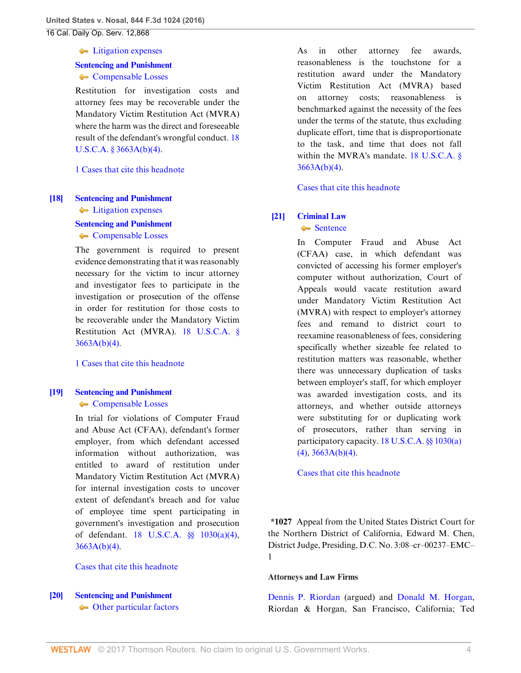#### **[Litigation expenses](http://www.westlaw.com/Browse/Home/KeyNumber/350Hk2153/View.html?docGuid=I62b0a700bdea11e6ac07a76176915fee&originationContext=document&vr=3.0&rs=cblt1.0&transitionType=DocumentItem&contextData=(sc.UserEnteredCitation))**

#### **[Sentencing and Punishment](http://www.westlaw.com/Browse/Home/KeyNumber/350H/View.html?docGuid=I62b0a700bdea11e6ac07a76176915fee&originationContext=document&vr=3.0&rs=cblt1.0&transitionType=DocumentItem&contextData=(sc.UserEnteredCitation))**

#### **[Compensable Losses](http://www.westlaw.com/Browse/Home/KeyNumber/350HXI(D)/View.html?docGuid=I62b0a700bdea11e6ac07a76176915fee&originationContext=document&vr=3.0&rs=cblt1.0&transitionType=DocumentItem&contextData=(sc.UserEnteredCitation))**

Restitution for investigation costs and attorney fees may be recoverable under the Mandatory Victim Restitution Act (MVRA) where the harm was the direct and foreseeable result of the defendant's wrongful conduct. [18](http://www.westlaw.com/Link/Document/FullText?findType=L&pubNum=1000546&cite=18USCAS3663A&originatingDoc=I62b0a700bdea11e6ac07a76176915fee&refType=SP&originationContext=document&vr=3.0&rs=cblt1.0&transitionType=DocumentItem&contextData=(sc.UserEnteredCitation)#co_pp_6ad60000aeea7) [U.S.C.A. § 3663A\(b\)\(4\)](http://www.westlaw.com/Link/Document/FullText?findType=L&pubNum=1000546&cite=18USCAS3663A&originatingDoc=I62b0a700bdea11e6ac07a76176915fee&refType=SP&originationContext=document&vr=3.0&rs=cblt1.0&transitionType=DocumentItem&contextData=(sc.UserEnteredCitation)#co_pp_6ad60000aeea7).

## [1 Cases that cite this headnote](http://www.westlaw.com/Link/RelatedInformation/DocHeadnoteLink?docGuid=I62b0a700bdea11e6ac07a76176915fee&headnoteId=204051834901520170413000401&originationContext=document&vr=3.0&rs=cblt1.0&transitionType=CitingReferences&contextData=(sc.UserEnteredCitation))

## <span id="page-3-2"></span>**[\[18\]](#page-17-2) [Sentencing and Punishment](http://www.westlaw.com/Browse/Home/KeyNumber/350H/View.html?docGuid=I62b0a700bdea11e6ac07a76176915fee&originationContext=document&vr=3.0&rs=cblt1.0&transitionType=DocumentItem&contextData=(sc.UserEnteredCitation))**

**[Litigation expenses](http://www.westlaw.com/Browse/Home/KeyNumber/350Hk2153/View.html?docGuid=I62b0a700bdea11e6ac07a76176915fee&originationContext=document&vr=3.0&rs=cblt1.0&transitionType=DocumentItem&contextData=(sc.UserEnteredCitation))** 

## **[Sentencing and Punishment](http://www.westlaw.com/Browse/Home/KeyNumber/350H/View.html?docGuid=I62b0a700bdea11e6ac07a76176915fee&originationContext=document&vr=3.0&rs=cblt1.0&transitionType=DocumentItem&contextData=(sc.UserEnteredCitation))**

#### **[Compensable Losses](http://www.westlaw.com/Browse/Home/KeyNumber/350HXI(D)/View.html?docGuid=I62b0a700bdea11e6ac07a76176915fee&originationContext=document&vr=3.0&rs=cblt1.0&transitionType=DocumentItem&contextData=(sc.UserEnteredCitation))**

The government is required to present evidence demonstrating that it was reasonably necessary for the victim to incur attorney and investigator fees to participate in the investigation or prosecution of the offense in order for restitution for those costs to be recoverable under the Mandatory Victim Restitution Act (MVRA). [18 U.S.C.A. §](http://www.westlaw.com/Link/Document/FullText?findType=L&pubNum=1000546&cite=18USCAS3663A&originatingDoc=I62b0a700bdea11e6ac07a76176915fee&refType=SP&originationContext=document&vr=3.0&rs=cblt1.0&transitionType=DocumentItem&contextData=(sc.UserEnteredCitation)#co_pp_6ad60000aeea7) [3663A\(b\)\(4\)](http://www.westlaw.com/Link/Document/FullText?findType=L&pubNum=1000546&cite=18USCAS3663A&originatingDoc=I62b0a700bdea11e6ac07a76176915fee&refType=SP&originationContext=document&vr=3.0&rs=cblt1.0&transitionType=DocumentItem&contextData=(sc.UserEnteredCitation)#co_pp_6ad60000aeea7).

[1 Cases that cite this headnote](http://www.westlaw.com/Link/RelatedInformation/DocHeadnoteLink?docGuid=I62b0a700bdea11e6ac07a76176915fee&headnoteId=204051834901620170413000401&originationContext=document&vr=3.0&rs=cblt1.0&transitionType=CitingReferences&contextData=(sc.UserEnteredCitation))

## <span id="page-3-0"></span>**[\[19\]](#page-17-3) [Sentencing and Punishment](http://www.westlaw.com/Browse/Home/KeyNumber/350H/View.html?docGuid=I62b0a700bdea11e6ac07a76176915fee&originationContext=document&vr=3.0&rs=cblt1.0&transitionType=DocumentItem&contextData=(sc.UserEnteredCitation)) [Compensable Losses](http://www.westlaw.com/Browse/Home/KeyNumber/350HXI(D)/View.html?docGuid=I62b0a700bdea11e6ac07a76176915fee&originationContext=document&vr=3.0&rs=cblt1.0&transitionType=DocumentItem&contextData=(sc.UserEnteredCitation))**

In trial for violations of Computer Fraud and Abuse Act (CFAA), defendant's former employer, from which defendant accessed information without authorization, was entitled to award of restitution under Mandatory Victim Restitution Act (MVRA) for internal investigation costs to uncover extent of defendant's breach and for value of employee time spent participating in government's investigation and prosecution of defendant. [18 U.S.C.A. §§ 1030\(a\)\(4\),](http://www.westlaw.com/Link/Document/FullText?findType=L&pubNum=1000546&cite=18USCAS1030&originatingDoc=I62b0a700bdea11e6ac07a76176915fee&refType=SP&originationContext=document&vr=3.0&rs=cblt1.0&transitionType=DocumentItem&contextData=(sc.UserEnteredCitation)#co_pp_d40e000072291)  $3663A(b)(4)$ .

[Cases that cite this headnote](http://www.westlaw.com/Link/RelatedInformation/DocHeadnoteLink?docGuid=I62b0a700bdea11e6ac07a76176915fee&headnoteId=204051834901720170413000401&originationContext=document&vr=3.0&rs=cblt1.0&transitionType=CitingReferences&contextData=(sc.UserEnteredCitation))

## <span id="page-3-3"></span>**[\[20\]](#page-18-0) [Sentencing and Punishment](http://www.westlaw.com/Browse/Home/KeyNumber/350H/View.html?docGuid=I62b0a700bdea11e6ac07a76176915fee&originationContext=document&vr=3.0&rs=cblt1.0&transitionType=DocumentItem&contextData=(sc.UserEnteredCitation))** [Other particular factors](http://www.westlaw.com/Browse/Home/KeyNumber/350Hk2168/View.html?docGuid=I62b0a700bdea11e6ac07a76176915fee&originationContext=document&vr=3.0&rs=cblt1.0&transitionType=DocumentItem&contextData=(sc.UserEnteredCitation))

As in other attorney fee awards, reasonableness is the touchstone for a restitution award under the Mandatory Victim Restitution Act (MVRA) based on attorney costs; reasonableness is benchmarked against the necessity of the fees under the terms of the statute, thus excluding duplicate effort, time that is disproportionate to the task, and time that does not fall within the MVRA's mandate. [18 U.S.C.A. §](http://www.westlaw.com/Link/Document/FullText?findType=L&pubNum=1000546&cite=18USCAS3663A&originatingDoc=I62b0a700bdea11e6ac07a76176915fee&refType=SP&originationContext=document&vr=3.0&rs=cblt1.0&transitionType=DocumentItem&contextData=(sc.UserEnteredCitation)#co_pp_6ad60000aeea7)  $3663A(b)(4)$ .

[Cases that cite this headnote](http://www.westlaw.com/Link/RelatedInformation/DocHeadnoteLink?docGuid=I62b0a700bdea11e6ac07a76176915fee&headnoteId=204051834901920170413000401&originationContext=document&vr=3.0&rs=cblt1.0&transitionType=CitingReferences&contextData=(sc.UserEnteredCitation))

## <span id="page-3-1"></span>**[\[21\]](#page-18-1) [Criminal Law](http://www.westlaw.com/Browse/Home/KeyNumber/110/View.html?docGuid=I62b0a700bdea11e6ac07a76176915fee&originationContext=document&vr=3.0&rs=cblt1.0&transitionType=DocumentItem&contextData=(sc.UserEnteredCitation))**

#### [Sentence](http://www.westlaw.com/Browse/Home/KeyNumber/110k1181.5(8)/View.html?docGuid=I62b0a700bdea11e6ac07a76176915fee&originationContext=document&vr=3.0&rs=cblt1.0&transitionType=DocumentItem&contextData=(sc.UserEnteredCitation))

In Computer Fraud and Abuse Act (CFAA) case, in which defendant was convicted of accessing his former employer's computer without authorization, Court of Appeals would vacate restitution award under Mandatory Victim Restitution Act (MVRA) with respect to employer's attorney fees and remand to district court to reexamine reasonableness of fees, considering specifically whether sizeable fee related to restitution matters was reasonable, whether there was unnecessary duplication of tasks between employer's staff, for which employer was awarded investigation costs, and its attorneys, and whether outside attorneys were substituting for or duplicating work of prosecutors, rather than serving in participatory capacity. [18 U.S.C.A. §§ 1030\(a\)](http://www.westlaw.com/Link/Document/FullText?findType=L&pubNum=1000546&cite=18USCAS1030&originatingDoc=I62b0a700bdea11e6ac07a76176915fee&refType=SP&originationContext=document&vr=3.0&rs=cblt1.0&transitionType=DocumentItem&contextData=(sc.UserEnteredCitation)#co_pp_d40e000072291) [\(4\)](http://www.westlaw.com/Link/Document/FullText?findType=L&pubNum=1000546&cite=18USCAS1030&originatingDoc=I62b0a700bdea11e6ac07a76176915fee&refType=SP&originationContext=document&vr=3.0&rs=cblt1.0&transitionType=DocumentItem&contextData=(sc.UserEnteredCitation)#co_pp_d40e000072291), [3663A\(b\)\(4\).](http://www.westlaw.com/Link/Document/FullText?findType=L&pubNum=1000546&cite=18USCAS3663A&originatingDoc=I62b0a700bdea11e6ac07a76176915fee&refType=SP&originationContext=document&vr=3.0&rs=cblt1.0&transitionType=DocumentItem&contextData=(sc.UserEnteredCitation)#co_pp_6ad60000aeea7)

[Cases that cite this headnote](http://www.westlaw.com/Link/RelatedInformation/DocHeadnoteLink?docGuid=I62b0a700bdea11e6ac07a76176915fee&headnoteId=204051834902020170413000401&originationContext=document&vr=3.0&rs=cblt1.0&transitionType=CitingReferences&contextData=(sc.UserEnteredCitation))

**\*1027** Appeal from the United States District Court for the Northern District of California, Edward M. Chen, District Judge, Presiding, D.C. No. 3:08–cr–00237–EMC– 1

## **Attorneys and Law Firms**

[Dennis P. Riordan](http://www.westlaw.com/Link/Document/FullText?findType=h&pubNum=176284&cite=0146369801&originatingDoc=I62b0a700bdea11e6ac07a76176915fee&refType=RQ&originationContext=document&vr=3.0&rs=cblt1.0&transitionType=DocumentItem&contextData=(sc.UserEnteredCitation)) (argued) and [Donald M. Horgan](http://www.westlaw.com/Link/Document/FullText?findType=h&pubNum=176284&cite=0332945101&originatingDoc=I62b0a700bdea11e6ac07a76176915fee&refType=RQ&originationContext=document&vr=3.0&rs=cblt1.0&transitionType=DocumentItem&contextData=(sc.UserEnteredCitation)), Riordan & Horgan, San Francisco, California; Ted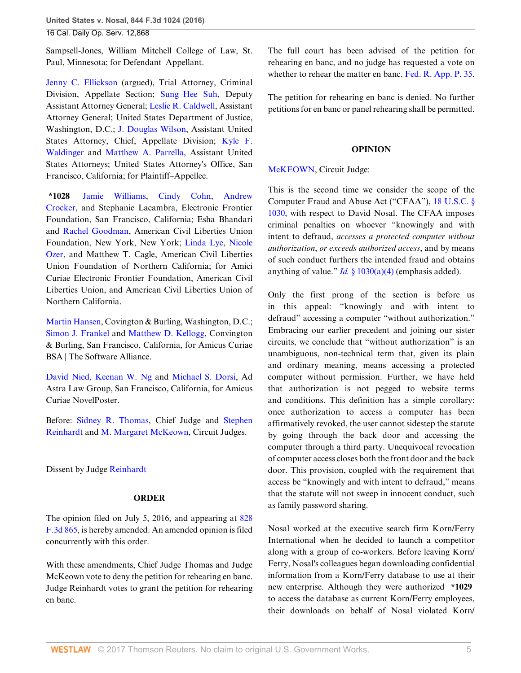Sampsell-Jones, William Mitchell College of Law, St. Paul, Minnesota; for Defendant–Appellant.

[Jenny C. Ellickson](http://www.westlaw.com/Link/Document/FullText?findType=h&pubNum=176284&cite=0349846101&originatingDoc=I62b0a700bdea11e6ac07a76176915fee&refType=RQ&originationContext=document&vr=3.0&rs=cblt1.0&transitionType=DocumentItem&contextData=(sc.UserEnteredCitation)) (argued), Trial Attorney, Criminal Division, Appellate Section; [Sung–Hee Suh,](http://www.westlaw.com/Link/Document/FullText?findType=h&pubNum=176284&cite=0327739701&originatingDoc=I62b0a700bdea11e6ac07a76176915fee&refType=RQ&originationContext=document&vr=3.0&rs=cblt1.0&transitionType=DocumentItem&contextData=(sc.UserEnteredCitation)) Deputy Assistant Attorney General; [Leslie R. Caldwell,](http://www.westlaw.com/Link/Document/FullText?findType=h&pubNum=176284&cite=0145362201&originatingDoc=I62b0a700bdea11e6ac07a76176915fee&refType=RQ&originationContext=document&vr=3.0&rs=cblt1.0&transitionType=DocumentItem&contextData=(sc.UserEnteredCitation)) Assistant Attorney General; United States Department of Justice, Washington, D.C.; [J. Douglas Wilson,](http://www.westlaw.com/Link/Document/FullText?findType=h&pubNum=176284&cite=0397471001&originatingDoc=I62b0a700bdea11e6ac07a76176915fee&refType=RQ&originationContext=document&vr=3.0&rs=cblt1.0&transitionType=DocumentItem&contextData=(sc.UserEnteredCitation)) Assistant United States Attorney, Chief, Appellate Division; [Kyle F.](http://www.westlaw.com/Link/Document/FullText?findType=h&pubNum=176284&cite=0253130301&originatingDoc=I62b0a700bdea11e6ac07a76176915fee&refType=RQ&originationContext=document&vr=3.0&rs=cblt1.0&transitionType=DocumentItem&contextData=(sc.UserEnteredCitation)) [Waldinger](http://www.westlaw.com/Link/Document/FullText?findType=h&pubNum=176284&cite=0253130301&originatingDoc=I62b0a700bdea11e6ac07a76176915fee&refType=RQ&originationContext=document&vr=3.0&rs=cblt1.0&transitionType=DocumentItem&contextData=(sc.UserEnteredCitation)) and [Matthew A. Parrella](http://www.westlaw.com/Link/Document/FullText?findType=h&pubNum=176284&cite=0216148901&originatingDoc=I62b0a700bdea11e6ac07a76176915fee&refType=RQ&originationContext=document&vr=3.0&rs=cblt1.0&transitionType=DocumentItem&contextData=(sc.UserEnteredCitation)), Assistant United States Attorneys; United States Attorney's Office, San Francisco, California; for Plaintiff–Appellee.

**\*1028** [Jamie Williams,](http://www.westlaw.com/Link/Document/FullText?findType=h&pubNum=176284&cite=0454940001&originatingDoc=I62b0a700bdea11e6ac07a76176915fee&refType=RQ&originationContext=document&vr=3.0&rs=cblt1.0&transitionType=DocumentItem&contextData=(sc.UserEnteredCitation)) [Cindy Cohn](http://www.westlaw.com/Link/Document/FullText?findType=h&pubNum=176284&cite=0195488501&originatingDoc=I62b0a700bdea11e6ac07a76176915fee&refType=RQ&originationContext=document&vr=3.0&rs=cblt1.0&transitionType=DocumentItem&contextData=(sc.UserEnteredCitation)), [Andrew](http://www.westlaw.com/Link/Document/FullText?findType=h&pubNum=176284&cite=0447799701&originatingDoc=I62b0a700bdea11e6ac07a76176915fee&refType=RQ&originationContext=document&vr=3.0&rs=cblt1.0&transitionType=DocumentItem&contextData=(sc.UserEnteredCitation)) [Crocker,](http://www.westlaw.com/Link/Document/FullText?findType=h&pubNum=176284&cite=0447799701&originatingDoc=I62b0a700bdea11e6ac07a76176915fee&refType=RQ&originationContext=document&vr=3.0&rs=cblt1.0&transitionType=DocumentItem&contextData=(sc.UserEnteredCitation)) and Stephanie Lacambra, Electronic Frontier Foundation, San Francisco, California; Esha Bhandari and [Rachel Goodman](http://www.westlaw.com/Link/Document/FullText?findType=h&pubNum=176284&cite=0497133801&originatingDoc=I62b0a700bdea11e6ac07a76176915fee&refType=RQ&originationContext=document&vr=3.0&rs=cblt1.0&transitionType=DocumentItem&contextData=(sc.UserEnteredCitation)), American Civil Liberties Union Foundation, New York, New York; [Linda Lye](http://www.westlaw.com/Link/Document/FullText?findType=h&pubNum=176284&cite=0320765801&originatingDoc=I62b0a700bdea11e6ac07a76176915fee&refType=RQ&originationContext=document&vr=3.0&rs=cblt1.0&transitionType=DocumentItem&contextData=(sc.UserEnteredCitation)), [Nicole](http://www.westlaw.com/Link/Document/FullText?findType=h&pubNum=176284&cite=0334102001&originatingDoc=I62b0a700bdea11e6ac07a76176915fee&refType=RQ&originationContext=document&vr=3.0&rs=cblt1.0&transitionType=DocumentItem&contextData=(sc.UserEnteredCitation)) [Ozer](http://www.westlaw.com/Link/Document/FullText?findType=h&pubNum=176284&cite=0334102001&originatingDoc=I62b0a700bdea11e6ac07a76176915fee&refType=RQ&originationContext=document&vr=3.0&rs=cblt1.0&transitionType=DocumentItem&contextData=(sc.UserEnteredCitation)), and Matthew T. Cagle, American Civil Liberties Union Foundation of Northern California; for Amici Curiae Electronic Frontier Foundation, American Civil Liberties Union, and American Civil Liberties Union of Northern California.

[Martin Hansen,](http://www.westlaw.com/Link/Document/FullText?findType=h&pubNum=176284&cite=0175994301&originatingDoc=I62b0a700bdea11e6ac07a76176915fee&refType=RQ&originationContext=document&vr=3.0&rs=cblt1.0&transitionType=DocumentItem&contextData=(sc.UserEnteredCitation)) Covington & Burling, Washington, D.C.; [Simon J. Frankel](http://www.westlaw.com/Link/Document/FullText?findType=h&pubNum=176284&cite=0207651901&originatingDoc=I62b0a700bdea11e6ac07a76176915fee&refType=RQ&originationContext=document&vr=3.0&rs=cblt1.0&transitionType=DocumentItem&contextData=(sc.UserEnteredCitation)) and [Matthew D. Kellogg](http://www.westlaw.com/Link/Document/FullText?findType=h&pubNum=176284&cite=0459808601&originatingDoc=I62b0a700bdea11e6ac07a76176915fee&refType=RQ&originationContext=document&vr=3.0&rs=cblt1.0&transitionType=DocumentItem&contextData=(sc.UserEnteredCitation)), Convington & Burling, San Francisco, California, for Amicus Curiae BSA | The Software Alliance.

[David Nied](http://www.westlaw.com/Link/Document/FullText?findType=h&pubNum=176284&cite=0162780801&originatingDoc=I62b0a700bdea11e6ac07a76176915fee&refType=RQ&originationContext=document&vr=3.0&rs=cblt1.0&transitionType=DocumentItem&contextData=(sc.UserEnteredCitation)), [Keenan W. Ng](http://www.westlaw.com/Link/Document/FullText?findType=h&pubNum=176284&cite=0446352101&originatingDoc=I62b0a700bdea11e6ac07a76176915fee&refType=RQ&originationContext=document&vr=3.0&rs=cblt1.0&transitionType=DocumentItem&contextData=(sc.UserEnteredCitation)) and [Michael S. Dorsi](http://www.westlaw.com/Link/Document/FullText?findType=h&pubNum=176284&cite=0457533101&originatingDoc=I62b0a700bdea11e6ac07a76176915fee&refType=RQ&originationContext=document&vr=3.0&rs=cblt1.0&transitionType=DocumentItem&contextData=(sc.UserEnteredCitation)), Ad Astra Law Group, San Francisco, California, for Amicus Curiae NovelPoster.

Before: [Sidney R. Thomas,](http://www.westlaw.com/Link/Document/FullText?findType=h&pubNum=176284&cite=0221879201&originatingDoc=I62b0a700bdea11e6ac07a76176915fee&refType=RQ&originationContext=document&vr=3.0&rs=cblt1.0&transitionType=DocumentItem&contextData=(sc.UserEnteredCitation)) Chief Judge and [Stephen](http://www.westlaw.com/Link/Document/FullText?findType=h&pubNum=176284&cite=0245335801&originatingDoc=I62b0a700bdea11e6ac07a76176915fee&refType=RQ&originationContext=document&vr=3.0&rs=cblt1.0&transitionType=DocumentItem&contextData=(sc.UserEnteredCitation)) [Reinhardt](http://www.westlaw.com/Link/Document/FullText?findType=h&pubNum=176284&cite=0245335801&originatingDoc=I62b0a700bdea11e6ac07a76176915fee&refType=RQ&originationContext=document&vr=3.0&rs=cblt1.0&transitionType=DocumentItem&contextData=(sc.UserEnteredCitation)) and [M. Margaret McKeown,](http://www.westlaw.com/Link/Document/FullText?findType=h&pubNum=176284&cite=0125530001&originatingDoc=I62b0a700bdea11e6ac07a76176915fee&refType=RQ&originationContext=document&vr=3.0&rs=cblt1.0&transitionType=DocumentItem&contextData=(sc.UserEnteredCitation)) Circuit Judges.

Dissent by Judge [Reinhardt](http://www.westlaw.com/Link/Document/FullText?findType=h&pubNum=176284&cite=0245335801&originatingDoc=I62b0a700bdea11e6ac07a76176915fee&refType=RQ&originationContext=document&vr=3.0&rs=cblt1.0&transitionType=DocumentItem&contextData=(sc.UserEnteredCitation))

## **ORDER**

The opinion filed on July 5, 2016, and appearing at [828](http://www.westlaw.com/Link/Document/FullText?findType=Y&serNum=2039315922&pubNum=0000506&originatingDoc=I62b0a700bdea11e6ac07a76176915fee&refType=RP&originationContext=document&vr=3.0&rs=cblt1.0&transitionType=DocumentItem&contextData=(sc.UserEnteredCitation)) [F.3d 865](http://www.westlaw.com/Link/Document/FullText?findType=Y&serNum=2039315922&pubNum=0000506&originatingDoc=I62b0a700bdea11e6ac07a76176915fee&refType=RP&originationContext=document&vr=3.0&rs=cblt1.0&transitionType=DocumentItem&contextData=(sc.UserEnteredCitation)), is hereby amended. An amended opinion is filed concurrently with this order.

With these amendments, Chief Judge Thomas and Judge McKeown vote to deny the petition for rehearing en banc. Judge Reinhardt votes to grant the petition for rehearing en banc.

The full court has been advised of the petition for rehearing en banc, and no judge has requested a vote on whether to rehear the matter en banc. [Fed. R. App. P. 35](http://www.westlaw.com/Link/Document/FullText?findType=L&pubNum=1000599&cite=USFRAPR35&originatingDoc=I62b0a700bdea11e6ac07a76176915fee&refType=LQ&originationContext=document&vr=3.0&rs=cblt1.0&transitionType=DocumentItem&contextData=(sc.UserEnteredCitation)).

The petition for rehearing en banc is denied. No further petitions for en banc or panel rehearing shall be permitted.

## **OPINION**

## [McKEOWN](http://www.westlaw.com/Link/Document/FullText?findType=h&pubNum=176284&cite=0125530001&originatingDoc=I62b0a700bdea11e6ac07a76176915fee&refType=RQ&originationContext=document&vr=3.0&rs=cblt1.0&transitionType=DocumentItem&contextData=(sc.UserEnteredCitation)), Circuit Judge:

This is the second time we consider the scope of the Computer Fraud and Abuse Act ("CFAA"), [18 U.S.C. §](http://www.westlaw.com/Link/Document/FullText?findType=L&pubNum=1000546&cite=18USCAS1030&originatingDoc=I62b0a700bdea11e6ac07a76176915fee&refType=LQ&originationContext=document&vr=3.0&rs=cblt1.0&transitionType=DocumentItem&contextData=(sc.UserEnteredCitation)) [1030](http://www.westlaw.com/Link/Document/FullText?findType=L&pubNum=1000546&cite=18USCAS1030&originatingDoc=I62b0a700bdea11e6ac07a76176915fee&refType=LQ&originationContext=document&vr=3.0&rs=cblt1.0&transitionType=DocumentItem&contextData=(sc.UserEnteredCitation)), with respect to David Nosal. The CFAA imposes criminal penalties on whoever "knowingly and with intent to defraud, *accesses a protected computer without authorization*, *or exceeds authorized access*, and by means of such conduct furthers the intended fraud and obtains anything of value." *Id.* [§ 1030\(a\)\(4\)](http://www.westlaw.com/Link/Document/FullText?findType=L&pubNum=1000546&cite=18USCAS1030&originatingDoc=I62b0a700bdea11e6ac07a76176915fee&refType=SP&originationContext=document&vr=3.0&rs=cblt1.0&transitionType=DocumentItem&contextData=(sc.UserEnteredCitation)#co_pp_d40e000072291) (emphasis added).

Only the first prong of the section is before us in this appeal: "knowingly and with intent to defraud" accessing a computer "without authorization." Embracing our earlier precedent and joining our sister circuits, we conclude that "without authorization" is an unambiguous, non-technical term that, given its plain and ordinary meaning, means accessing a protected computer without permission. Further, we have held that authorization is not pegged to website terms and conditions. This definition has a simple corollary: once authorization to access a computer has been affirmatively revoked, the user cannot sidestep the statute by going through the back door and accessing the computer through a third party. Unequivocal revocation of computer access closes both the front door and the back door. This provision, coupled with the requirement that access be "knowingly and with intent to defraud," means that the statute will not sweep in innocent conduct, such as family password sharing.

Nosal worked at the executive search firm Korn/Ferry International when he decided to launch a competitor along with a group of co-workers. Before leaving Korn/ Ferry, Nosal's colleagues began downloading confidential information from a Korn/Ferry database to use at their new enterprise. Although they were authorized **\*1029** to access the database as current Korn/Ferry employees, their downloads on behalf of Nosal violated Korn/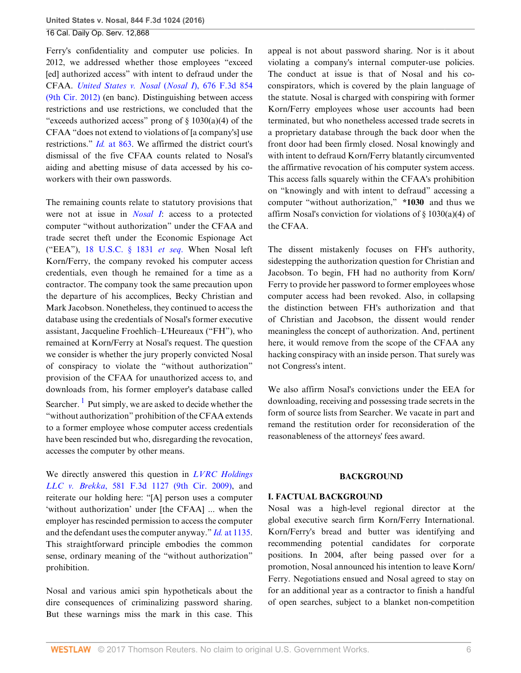Ferry's confidentiality and computer use policies. In 2012, we addressed whether those employees "exceed [ed] authorized access" with intent to defraud under the CFAA. *[United States v. Nosal](http://www.westlaw.com/Link/Document/FullText?findType=Y&serNum=2027470557&pubNum=0000506&originatingDoc=I62b0a700bdea11e6ac07a76176915fee&refType=RP&originationContext=document&vr=3.0&rs=cblt1.0&transitionType=DocumentItem&contextData=(sc.UserEnteredCitation))* (*Nosal I*), 676 F.3d 854 [\(9th Cir. 2012\)](http://www.westlaw.com/Link/Document/FullText?findType=Y&serNum=2027470557&pubNum=0000506&originatingDoc=I62b0a700bdea11e6ac07a76176915fee&refType=RP&originationContext=document&vr=3.0&rs=cblt1.0&transitionType=DocumentItem&contextData=(sc.UserEnteredCitation)) (en banc). Distinguishing between access restrictions and use restrictions, we concluded that the "exceeds authorized access" prong of  $\S$  1030(a)(4) of the CFAA "does not extend to violations of [a company's] use restrictions." *Id.* [at 863.](http://www.westlaw.com/Link/Document/FullText?findType=Y&serNum=2027470557&pubNum=0000506&originatingDoc=I62b0a700bdea11e6ac07a76176915fee&refType=RP&fi=co_pp_sp_506_863&originationContext=document&vr=3.0&rs=cblt1.0&transitionType=DocumentItem&contextData=(sc.UserEnteredCitation)#co_pp_sp_506_863) We affirmed the district court's dismissal of the five CFAA counts related to Nosal's aiding and abetting misuse of data accessed by his coworkers with their own passwords.

The remaining counts relate to statutory provisions that were not at issue in *[Nosal I](http://www.westlaw.com/Link/Document/FullText?findType=Y&serNum=2027470557&pubNum=0000506&originatingDoc=I62b0a700bdea11e6ac07a76176915fee&refType=RP&originationContext=document&vr=3.0&rs=cblt1.0&transitionType=DocumentItem&contextData=(sc.UserEnteredCitation))*: access to a protected computer "without authorization" under the CFAA and trade secret theft under the Economic Espionage Act ("EEA"), [18 U.S.C. § 1831](http://www.westlaw.com/Link/Document/FullText?findType=L&pubNum=1000546&cite=18USCAS1831&originatingDoc=I62b0a700bdea11e6ac07a76176915fee&refType=LQ&originationContext=document&vr=3.0&rs=cblt1.0&transitionType=DocumentItem&contextData=(sc.UserEnteredCitation)) *et seq*. When Nosal left Korn/Ferry, the company revoked his computer access credentials, even though he remained for a time as a contractor. The company took the same precaution upon the departure of his accomplices, Becky Christian and Mark Jacobson. Nonetheless, they continued to access the database using the credentials of Nosal's former executive assistant, Jacqueline Froehlich–L'Heureaux ("FH"), who remained at Korn/Ferry at Nosal's request. The question we consider is whether the jury properly convicted Nosal of conspiracy to violate the "without authorization" provision of the CFAA for unauthorized access to, and downloads from, his former employer's database called Searcher.<sup>[1](#page-25-0)</sup> Put simply, we are asked to decide whether the "without authorization" prohibition of the CFAA extends

<span id="page-5-0"></span>to a former employee whose computer access credentials have been rescinded but who, disregarding the revocation, accesses the computer by other means.

We directly answered this question in *[LVRC Holdings](http://www.westlaw.com/Link/Document/FullText?findType=Y&serNum=2019808398&pubNum=0000506&originatingDoc=I62b0a700bdea11e6ac07a76176915fee&refType=RP&originationContext=document&vr=3.0&rs=cblt1.0&transitionType=DocumentItem&contextData=(sc.UserEnteredCitation)) LLC v. Brekka*[, 581 F.3d 1127 \(9th Cir. 2009\),](http://www.westlaw.com/Link/Document/FullText?findType=Y&serNum=2019808398&pubNum=0000506&originatingDoc=I62b0a700bdea11e6ac07a76176915fee&refType=RP&originationContext=document&vr=3.0&rs=cblt1.0&transitionType=DocumentItem&contextData=(sc.UserEnteredCitation)) and reiterate our holding here: "[A] person uses a computer 'without authorization' under [the CFAA] ... when the employer has rescinded permission to access the computer and the defendant uses the computer anyway." *Id.* [at 1135](http://www.westlaw.com/Link/Document/FullText?findType=Y&serNum=2019808398&pubNum=0000506&originatingDoc=I62b0a700bdea11e6ac07a76176915fee&refType=RP&fi=co_pp_sp_506_1135&originationContext=document&vr=3.0&rs=cblt1.0&transitionType=DocumentItem&contextData=(sc.UserEnteredCitation)#co_pp_sp_506_1135). This straightforward principle embodies the common sense, ordinary meaning of the "without authorization" prohibition.

Nosal and various amici spin hypotheticals about the dire consequences of criminalizing password sharing. But these warnings miss the mark in this case. This

appeal is not about password sharing. Nor is it about violating a company's internal computer-use policies. The conduct at issue is that of Nosal and his coconspirators, which is covered by the plain language of the statute. Nosal is charged with conspiring with former Korn/Ferry employees whose user accounts had been terminated, but who nonetheless accessed trade secrets in a proprietary database through the back door when the front door had been firmly closed. Nosal knowingly and with intent to defraud Korn/Ferry blatantly circumvented the affirmative revocation of his computer system access. This access falls squarely within the CFAA's prohibition on "knowingly and with intent to defraud" accessing a computer "without authorization," **\*1030** and thus we affirm Nosal's conviction for violations of  $\S 1030(a)(4)$  of the CFAA.

The dissent mistakenly focuses on FH's authority, sidestepping the authorization question for Christian and Jacobson. To begin, FH had no authority from Korn/ Ferry to provide her password to former employees whose computer access had been revoked. Also, in collapsing the distinction between FH's authorization and that of Christian and Jacobson, the dissent would render meaningless the concept of authorization. And, pertinent here, it would remove from the scope of the CFAA any hacking conspiracy with an inside person. That surely was not Congress's intent.

We also affirm Nosal's convictions under the EEA for downloading, receiving and possessing trade secrets in the form of source lists from Searcher. We vacate in part and remand the restitution order for reconsideration of the reasonableness of the attorneys' fees award.

## **BACKGROUND**

## **I. FACTUAL BACKGROUND**

Nosal was a high-level regional director at the global executive search firm Korn/Ferry International. Korn/Ferry's bread and butter was identifying and recommending potential candidates for corporate positions. In 2004, after being passed over for a promotion, Nosal announced his intention to leave Korn/ Ferry. Negotiations ensued and Nosal agreed to stay on for an additional year as a contractor to finish a handful of open searches, subject to a blanket non-competition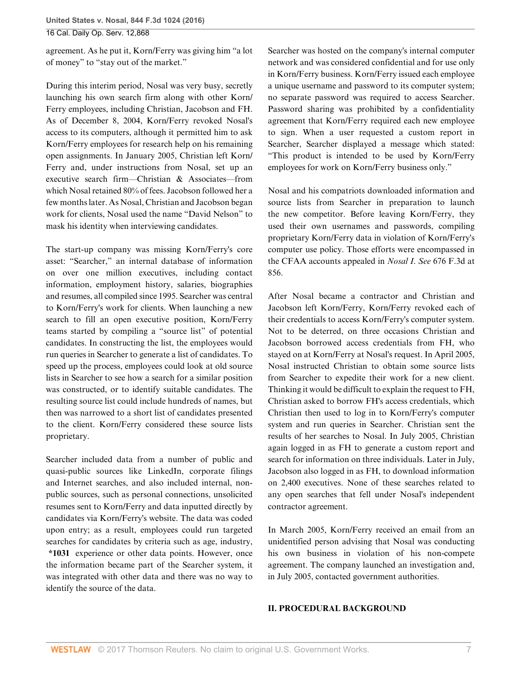agreement. As he put it, Korn/Ferry was giving him "a lot of money" to "stay out of the market."

During this interim period, Nosal was very busy, secretly launching his own search firm along with other Korn/ Ferry employees, including Christian, Jacobson and FH. As of December 8, 2004, Korn/Ferry revoked Nosal's access to its computers, although it permitted him to ask Korn/Ferry employees for research help on his remaining open assignments. In January 2005, Christian left Korn/ Ferry and, under instructions from Nosal, set up an executive search firm—Christian & Associates—from which Nosal retained 80% of fees. Jacobson followed her a few months later. As Nosal, Christian and Jacobson began work for clients, Nosal used the name "David Nelson" to mask his identity when interviewing candidates.

The start-up company was missing Korn/Ferry's core asset: "Searcher," an internal database of information on over one million executives, including contact information, employment history, salaries, biographies and resumes, all compiled since 1995. Searcher was central to Korn/Ferry's work for clients. When launching a new search to fill an open executive position, Korn/Ferry teams started by compiling a "source list" of potential candidates. In constructing the list, the employees would run queries in Searcher to generate a list of candidates. To speed up the process, employees could look at old source lists in Searcher to see how a search for a similar position was constructed, or to identify suitable candidates. The resulting source list could include hundreds of names, but then was narrowed to a short list of candidates presented to the client. Korn/Ferry considered these source lists proprietary.

Searcher included data from a number of public and quasi-public sources like LinkedIn, corporate filings and Internet searches, and also included internal, nonpublic sources, such as personal connections, unsolicited resumes sent to Korn/Ferry and data inputted directly by candidates via Korn/Ferry's website. The data was coded upon entry; as a result, employees could run targeted searches for candidates by criteria such as age, industry, **\*1031** experience or other data points. However, once the information became part of the Searcher system, it was integrated with other data and there was no way to identify the source of the data.

Searcher was hosted on the company's internal computer network and was considered confidential and for use only in Korn/Ferry business. Korn/Ferry issued each employee a unique username and password to its computer system; no separate password was required to access Searcher. Password sharing was prohibited by a confidentiality agreement that Korn/Ferry required each new employee to sign. When a user requested a custom report in Searcher, Searcher displayed a message which stated: "This product is intended to be used by Korn/Ferry employees for work on Korn/Ferry business only."

Nosal and his compatriots downloaded information and source lists from Searcher in preparation to launch the new competitor. Before leaving Korn/Ferry, they used their own usernames and passwords, compiling proprietary Korn/Ferry data in violation of Korn/Ferry's computer use policy. Those efforts were encompassed in the CFAA accounts appealed in *Nosal I*. *See* 676 F.3d at 856.

After Nosal became a contractor and Christian and Jacobson left Korn/Ferry, Korn/Ferry revoked each of their credentials to access Korn/Ferry's computer system. Not to be deterred, on three occasions Christian and Jacobson borrowed access credentials from FH, who stayed on at Korn/Ferry at Nosal's request. In April 2005, Nosal instructed Christian to obtain some source lists from Searcher to expedite their work for a new client. Thinking it would be difficult to explain the request to FH, Christian asked to borrow FH's access credentials, which Christian then used to log in to Korn/Ferry's computer system and run queries in Searcher. Christian sent the results of her searches to Nosal. In July 2005, Christian again logged in as FH to generate a custom report and search for information on three individuals. Later in July, Jacobson also logged in as FH, to download information on 2,400 executives. None of these searches related to any open searches that fell under Nosal's independent contractor agreement.

In March 2005, Korn/Ferry received an email from an unidentified person advising that Nosal was conducting his own business in violation of his non-compete agreement. The company launched an investigation and, in July 2005, contacted government authorities.

#### **II. PROCEDURAL BACKGROUND**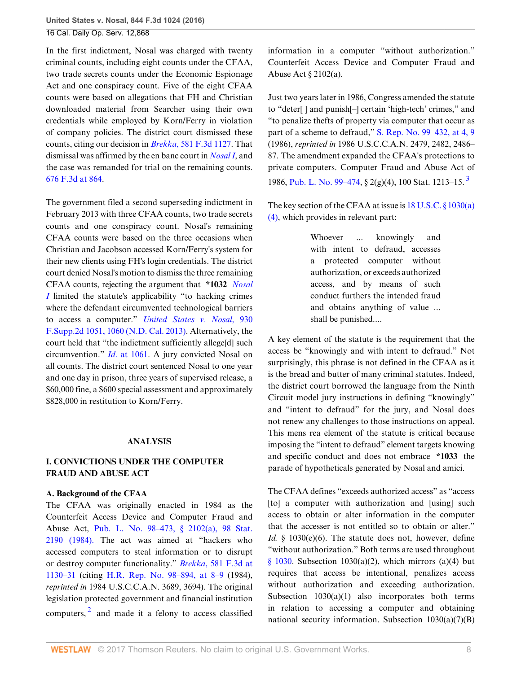In the first indictment, Nosal was charged with twenty criminal counts, including eight counts under the CFAA, two trade secrets counts under the Economic Espionage Act and one conspiracy count. Five of the eight CFAA counts were based on allegations that FH and Christian downloaded material from Searcher using their own credentials while employed by Korn/Ferry in violation of company policies. The district court dismissed these counts, citing our decision in *Brekka*[, 581 F.3d 1127.](http://www.westlaw.com/Link/Document/FullText?findType=Y&serNum=2019808398&pubNum=0000506&originatingDoc=I62b0a700bdea11e6ac07a76176915fee&refType=RP&originationContext=document&vr=3.0&rs=cblt1.0&transitionType=DocumentItem&contextData=(sc.UserEnteredCitation)) That dismissal was affirmed by the en banc court in *[Nosal I](http://www.westlaw.com/Link/Document/FullText?findType=Y&serNum=2027470557&pubNum=0000506&originatingDoc=I62b0a700bdea11e6ac07a76176915fee&refType=RP&originationContext=document&vr=3.0&rs=cblt1.0&transitionType=DocumentItem&contextData=(sc.UserEnteredCitation))*, and the case was remanded for trial on the remaining counts. [676 F.3d at 864.](http://www.westlaw.com/Link/Document/FullText?findType=Y&serNum=2027470557&pubNum=0000506&originatingDoc=I62b0a700bdea11e6ac07a76176915fee&refType=RP&fi=co_pp_sp_506_864&originationContext=document&vr=3.0&rs=cblt1.0&transitionType=DocumentItem&contextData=(sc.UserEnteredCitation)#co_pp_sp_506_864)

The government filed a second superseding indictment in February 2013 with three CFAA counts, two trade secrets counts and one conspiracy count. Nosal's remaining CFAA counts were based on the three occasions when Christian and Jacobson accessed Korn/Ferry's system for their new clients using FH's login credentials. The district court denied Nosal's motion to dismiss the three remaining CFAA counts, rejecting the argument that **\*1032** *[Nosal](http://www.westlaw.com/Link/Document/FullText?findType=Y&serNum=2027470557&pubNum=0000506&originatingDoc=I62b0a700bdea11e6ac07a76176915fee&refType=RP&originationContext=document&vr=3.0&rs=cblt1.0&transitionType=DocumentItem&contextData=(sc.UserEnteredCitation)) [I](http://www.westlaw.com/Link/Document/FullText?findType=Y&serNum=2027470557&pubNum=0000506&originatingDoc=I62b0a700bdea11e6ac07a76176915fee&refType=RP&originationContext=document&vr=3.0&rs=cblt1.0&transitionType=DocumentItem&contextData=(sc.UserEnteredCitation))* limited the statute's applicability "to hacking crimes where the defendant circumvented technological barriers to access a computer." *[United States v. Nosal](http://www.westlaw.com/Link/Document/FullText?findType=Y&serNum=2030132833&pubNum=0004637&originatingDoc=I62b0a700bdea11e6ac07a76176915fee&refType=RP&fi=co_pp_sp_4637_1060&originationContext=document&vr=3.0&rs=cblt1.0&transitionType=DocumentItem&contextData=(sc.UserEnteredCitation)#co_pp_sp_4637_1060)*, 930 [F.Supp.2d 1051, 1060 \(N.D. Cal. 2013\)](http://www.westlaw.com/Link/Document/FullText?findType=Y&serNum=2030132833&pubNum=0004637&originatingDoc=I62b0a700bdea11e6ac07a76176915fee&refType=RP&fi=co_pp_sp_4637_1060&originationContext=document&vr=3.0&rs=cblt1.0&transitionType=DocumentItem&contextData=(sc.UserEnteredCitation)#co_pp_sp_4637_1060). Alternatively, the court held that "the indictment sufficiently allege[d] such circumvention." *Id*[. at 1061.](http://www.westlaw.com/Link/Document/FullText?findType=Y&serNum=2030132833&pubNum=0004637&originatingDoc=I62b0a700bdea11e6ac07a76176915fee&refType=RP&fi=co_pp_sp_4637_1061&originationContext=document&vr=3.0&rs=cblt1.0&transitionType=DocumentItem&contextData=(sc.UserEnteredCitation)#co_pp_sp_4637_1061) A jury convicted Nosal on all counts. The district court sentenced Nosal to one year and one day in prison, three years of supervised release, a \$60,000 fine, a \$600 special assessment and approximately \$828,000 in restitution to Korn/Ferry.

## **ANALYSIS**

## **I. CONVICTIONS UNDER THE COMPUTER FRAUD AND ABUSE ACT**

## **A. Background of the CFAA**

<span id="page-7-0"></span>The CFAA was originally enacted in 1984 as the Counterfeit Access Device and Computer Fraud and Abuse Act, [Pub. L. No. 98–473, § 2102\(a\), 98 Stat.](http://www.westlaw.com/Link/Document/FullText?findType=l&pubNum=1077005&cite=UUID(ICDD4CCEEBD-654AE2AEF35-86FB8A7E15E)&originatingDoc=I62b0a700bdea11e6ac07a76176915fee&refType=SL&originationContext=document&vr=3.0&rs=cblt1.0&transitionType=DocumentItem&contextData=(sc.UserEnteredCitation)) [2190 \(1984\).](http://www.westlaw.com/Link/Document/FullText?findType=l&pubNum=1077005&cite=UUID(ICDD4CCEEBD-654AE2AEF35-86FB8A7E15E)&originatingDoc=I62b0a700bdea11e6ac07a76176915fee&refType=SL&originationContext=document&vr=3.0&rs=cblt1.0&transitionType=DocumentItem&contextData=(sc.UserEnteredCitation)) The act was aimed at "hackers who accessed computers to steal information or to disrupt or destroy computer functionality." *Brekka*[, 581 F.3d at](http://www.westlaw.com/Link/Document/FullText?findType=Y&serNum=2019808398&pubNum=0000506&originatingDoc=I62b0a700bdea11e6ac07a76176915fee&refType=RP&fi=co_pp_sp_506_1130&originationContext=document&vr=3.0&rs=cblt1.0&transitionType=DocumentItem&contextData=(sc.UserEnteredCitation)#co_pp_sp_506_1130) [1130–31](http://www.westlaw.com/Link/Document/FullText?findType=Y&serNum=2019808398&pubNum=0000506&originatingDoc=I62b0a700bdea11e6ac07a76176915fee&refType=RP&fi=co_pp_sp_506_1130&originationContext=document&vr=3.0&rs=cblt1.0&transitionType=DocumentItem&contextData=(sc.UserEnteredCitation)#co_pp_sp_506_1130) (citing [H.R. Rep. No. 98–894, at 8–9](http://www.westlaw.com/Link/Document/FullText?findType=Y&serNum=0100370072&pubNum=0100014&originatingDoc=I62b0a700bdea11e6ac07a76176915fee&refType=TV&originationContext=document&vr=3.0&rs=cblt1.0&transitionType=DocumentItem&contextData=(sc.UserEnteredCitation)) (1984), *reprinted in* 1984 U.S.C.C.A.N. 3689, 3694). The original legislation protected government and financial institution computers,  $\frac{2}{3}$  $\frac{2}{3}$  $\frac{2}{3}$  and made it a felony to access classified

information in a computer "without authorization." Counterfeit Access Device and Computer Fraud and Abuse Act § 2102(a).

Just two years later in 1986, Congress amended the statute to "deter[ ] and punish[–] certain 'high-tech' crimes," and "to penalize thefts of property via computer that occur as part of a scheme to defraud," [S. Rep. No. 99–432, at 4, 9](http://www.westlaw.com/Link/Document/FullText?findType=Y&serNum=0100088650&pubNum=0001503&originatingDoc=I62b0a700bdea11e6ac07a76176915fee&refType=TV&originationContext=document&vr=3.0&rs=cblt1.0&transitionType=DocumentItem&contextData=(sc.UserEnteredCitation)) (1986), *reprinted in* 1986 U.S.C.C.A.N. 2479, 2482, 2486– 87. The amendment expanded the CFAA's protections to private computers. Computer Fraud and Abuse Act of 1986, [Pub. L. No. 99–474](http://www.westlaw.com/Link/Document/FullText?findType=l&pubNum=1077005&cite=UUID(I57EEA4A9FC-9F45CD961AF-9347915DCD0)&originatingDoc=I62b0a700bdea11e6ac07a76176915fee&refType=SL&originationContext=document&vr=3.0&rs=cblt1.0&transitionType=DocumentItem&contextData=(sc.UserEnteredCitation)),  $\S 2(g)(4)$ , 100 Stat. 121[3](#page-25-2)–15.<sup>3</sup>

The key section of the CFAA at issue is [18 U.S.C. § 1030\(a\)](http://www.westlaw.com/Link/Document/FullText?findType=L&pubNum=1000546&cite=18USCAS1030&originatingDoc=I62b0a700bdea11e6ac07a76176915fee&refType=SP&originationContext=document&vr=3.0&rs=cblt1.0&transitionType=DocumentItem&contextData=(sc.UserEnteredCitation)#co_pp_d40e000072291) [\(4\),](http://www.westlaw.com/Link/Document/FullText?findType=L&pubNum=1000546&cite=18USCAS1030&originatingDoc=I62b0a700bdea11e6ac07a76176915fee&refType=SP&originationContext=document&vr=3.0&rs=cblt1.0&transitionType=DocumentItem&contextData=(sc.UserEnteredCitation)#co_pp_d40e000072291) which provides in relevant part:

> <span id="page-7-1"></span>Whoever ... knowingly and with intent to defraud, accesses a protected computer without authorization, or exceeds authorized access, and by means of such conduct furthers the intended fraud and obtains anything of value ... shall be punished....

A key element of the statute is the requirement that the access be "knowingly and with intent to defraud." Not surprisingly, this phrase is not defined in the CFAA as it is the bread and butter of many criminal statutes. Indeed, the district court borrowed the language from the Ninth Circuit model jury instructions in defining "knowingly" and "intent to defraud" for the jury, and Nosal does not renew any challenges to those instructions on appeal. This mens rea element of the statute is critical because imposing the "intent to defraud" element targets knowing and specific conduct and does not embrace **\*1033** the parade of hypotheticals generated by Nosal and amici.

The CFAA defines "exceeds authorized access" as "access [to] a computer with authorization and [using] such access to obtain or alter information in the computer that the accesser is not entitled so to obtain or alter." *Id.* § 1030(e)(6). The statute does not, however, define "without authorization." Both terms are used throughout  $§$  1030. Subsection 1030(a)(2), which mirrors (a)(4) but requires that access be intentional, penalizes access without authorization and exceeding authorization. Subsection 1030(a)(1) also incorporates both terms in relation to accessing a computer and obtaining national security information. Subsection  $1030(a)(7)(B)$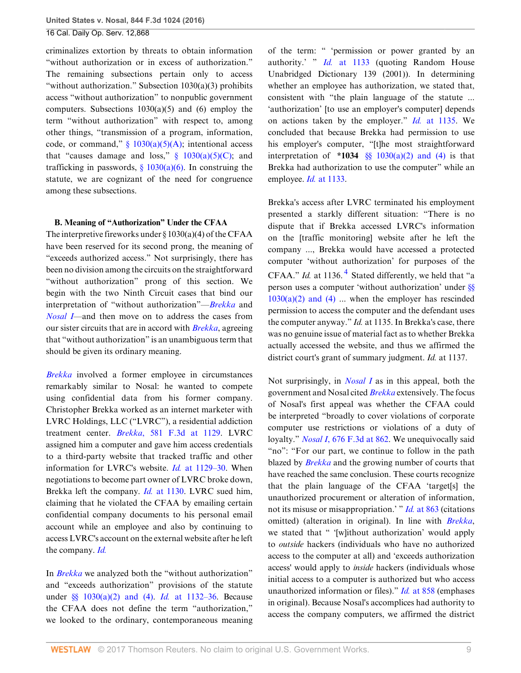criminalizes extortion by threats to obtain information "without authorization or in excess of authorization." The remaining subsections pertain only to access "without authorization." Subsection 1030(a)(3) prohibits access "without authorization" to nonpublic government computers. Subsections  $1030(a)(5)$  and (6) employ the term "without authorization" with respect to, among other things, "transmission of a program, information, code, or command,"  $\frac{6}{9}$  1030(a)(5)(A); intentional access that "causes damage and loss,"  $\S$  1030(a)(5)(C); and trafficking in passwords,  $\S$  1030(a)(6). In construing the statute, we are cognizant of the need for congruence among these subsections.

#### **B. Meaning of "Authorization" Under the CFAA**

The interpretive fireworks under  $\S 1030(a)(4)$  of the CFAA have been reserved for its second prong, the meaning of "exceeds authorized access." Not surprisingly, there has been no division among the circuits on the straightforward "without authorization" prong of this section. We begin with the two Ninth Circuit cases that bind our interpretation of "without authorization"—*[Brekka](http://www.westlaw.com/Link/Document/FullText?findType=Y&serNum=2019808398&originatingDoc=I62b0a700bdea11e6ac07a76176915fee&refType=RP&originationContext=document&vr=3.0&rs=cblt1.0&transitionType=DocumentItem&contextData=(sc.UserEnteredCitation))* and *[Nosal I](http://www.westlaw.com/Link/Document/FullText?findType=Y&serNum=2027470557&pubNum=0000506&originatingDoc=I62b0a700bdea11e6ac07a76176915fee&refType=RP&originationContext=document&vr=3.0&rs=cblt1.0&transitionType=DocumentItem&contextData=(sc.UserEnteredCitation))*—and then move on to address the cases from our sister circuits that are in accord with *[Brekka](http://www.westlaw.com/Link/Document/FullText?findType=Y&serNum=2019808398&pubNum=0000506&originatingDoc=I62b0a700bdea11e6ac07a76176915fee&refType=RP&originationContext=document&vr=3.0&rs=cblt1.0&transitionType=DocumentItem&contextData=(sc.UserEnteredCitation))*, agreeing that "without authorization" is an unambiguous term that should be given its ordinary meaning.

*[Brekka](http://www.westlaw.com/Link/Document/FullText?findType=Y&serNum=2019808398&pubNum=0000506&originatingDoc=I62b0a700bdea11e6ac07a76176915fee&refType=RP&originationContext=document&vr=3.0&rs=cblt1.0&transitionType=DocumentItem&contextData=(sc.UserEnteredCitation))* involved a former employee in circumstances remarkably similar to Nosal: he wanted to compete using confidential data from his former company. Christopher Brekka worked as an internet marketer with LVRC Holdings, LLC ("LVRC"), a residential addiction treatment center. *Brekka*[, 581 F.3d at 1129](http://www.westlaw.com/Link/Document/FullText?findType=Y&serNum=2019808398&pubNum=0000506&originatingDoc=I62b0a700bdea11e6ac07a76176915fee&refType=RP&fi=co_pp_sp_506_1129&originationContext=document&vr=3.0&rs=cblt1.0&transitionType=DocumentItem&contextData=(sc.UserEnteredCitation)#co_pp_sp_506_1129). LVRC assigned him a computer and gave him access credentials to a third-party website that tracked traffic and other information for LVRC's website. *Id.* [at 1129–30](http://www.westlaw.com/Link/Document/FullText?findType=Y&serNum=2019808398&pubNum=0000506&originatingDoc=I62b0a700bdea11e6ac07a76176915fee&refType=RP&fi=co_pp_sp_506_1129&originationContext=document&vr=3.0&rs=cblt1.0&transitionType=DocumentItem&contextData=(sc.UserEnteredCitation)#co_pp_sp_506_1129). When negotiations to become part owner of LVRC broke down, Brekka left the company. *Id.* [at 1130.](http://www.westlaw.com/Link/Document/FullText?findType=Y&serNum=2019808398&pubNum=0000506&originatingDoc=I62b0a700bdea11e6ac07a76176915fee&refType=RP&fi=co_pp_sp_506_1130&originationContext=document&vr=3.0&rs=cblt1.0&transitionType=DocumentItem&contextData=(sc.UserEnteredCitation)#co_pp_sp_506_1130) LVRC sued him, claiming that he violated the CFAA by emailing certain confidential company documents to his personal email account while an employee and also by continuing to access LVRC's account on the external website after he left the company. *[Id.](http://www.westlaw.com/Link/Document/FullText?findType=Y&serNum=2019808398&pubNum=0000506&originatingDoc=I62b0a700bdea11e6ac07a76176915fee&refType=RP&originationContext=document&vr=3.0&rs=cblt1.0&transitionType=DocumentItem&contextData=(sc.UserEnteredCitation))*

In *[Brekka](http://www.westlaw.com/Link/Document/FullText?findType=Y&serNum=2019808398&pubNum=0000506&originatingDoc=I62b0a700bdea11e6ac07a76176915fee&refType=RP&originationContext=document&vr=3.0&rs=cblt1.0&transitionType=DocumentItem&contextData=(sc.UserEnteredCitation))* we analyzed both the "without authorization" and "exceeds authorization" provisions of the statute under [§§ 1030\(a\)\(2\) and \(4\)](http://www.westlaw.com/Link/Document/FullText?findType=L&pubNum=1000546&cite=18USCAS1030&originatingDoc=I62b0a700bdea11e6ac07a76176915fee&refType=SP&originationContext=document&vr=3.0&rs=cblt1.0&transitionType=DocumentItem&contextData=(sc.UserEnteredCitation)#co_pp_d86d0000be040). *Id.* [at 1132–36](http://www.westlaw.com/Link/Document/FullText?findType=Y&serNum=2019808398&pubNum=0000506&originatingDoc=I62b0a700bdea11e6ac07a76176915fee&refType=RP&fi=co_pp_sp_506_1132&originationContext=document&vr=3.0&rs=cblt1.0&transitionType=DocumentItem&contextData=(sc.UserEnteredCitation)#co_pp_sp_506_1132). Because the CFAA does not define the term "authorization," we looked to the ordinary, contemporaneous meaning of the term: " 'permission or power granted by an authority.' " *Id.* [at 1133](http://www.westlaw.com/Link/Document/FullText?findType=Y&serNum=2019808398&pubNum=0000506&originatingDoc=I62b0a700bdea11e6ac07a76176915fee&refType=RP&fi=co_pp_sp_506_1133&originationContext=document&vr=3.0&rs=cblt1.0&transitionType=DocumentItem&contextData=(sc.UserEnteredCitation)#co_pp_sp_506_1133) (quoting Random House Unabridged Dictionary 139 (2001)). In determining whether an employee has authorization, we stated that, consistent with "the plain language of the statute ... 'authorization' [to use an employer's computer] depends on actions taken by the employer." *Id.* [at 1135](http://www.westlaw.com/Link/Document/FullText?findType=Y&serNum=2019808398&pubNum=0000506&originatingDoc=I62b0a700bdea11e6ac07a76176915fee&refType=RP&fi=co_pp_sp_506_1135&originationContext=document&vr=3.0&rs=cblt1.0&transitionType=DocumentItem&contextData=(sc.UserEnteredCitation)#co_pp_sp_506_1135). We concluded that because Brekka had permission to use his employer's computer, "[t]he most straightforward interpretation of  $*1034 \frac{\text{ss}}{\text{ss}} 1030(a)(2)$  and (4) is that Brekka had authorization to use the computer" while an employee. *Id.* [at 1133](http://www.westlaw.com/Link/Document/FullText?findType=Y&serNum=2019808398&pubNum=0000506&originatingDoc=I62b0a700bdea11e6ac07a76176915fee&refType=RP&fi=co_pp_sp_506_1133&originationContext=document&vr=3.0&rs=cblt1.0&transitionType=DocumentItem&contextData=(sc.UserEnteredCitation)#co_pp_sp_506_1133).

<span id="page-8-0"></span>Brekka's access after LVRC terminated his employment presented a starkly different situation: "There is no dispute that if Brekka accessed LVRC's information on the [traffic monitoring] website after he left the company ..., Brekka would have accessed a protected computer 'without authorization' for purposes of the CFAA." *Id.* at 1136.<sup>[4](#page-25-3)</sup> Stated differently, we held that "a person uses a computer 'without authorization' under [§§](http://www.westlaw.com/Link/Document/FullText?findType=L&pubNum=1000546&cite=18USCAS1030&originatingDoc=I62b0a700bdea11e6ac07a76176915fee&refType=SP&originationContext=document&vr=3.0&rs=cblt1.0&transitionType=DocumentItem&contextData=(sc.UserEnteredCitation)#co_pp_d86d0000be040)  $1030(a)(2)$  and  $(4)$  ... when the employer has rescinded permission to access the computer and the defendant uses the computer anyway." *Id.* at 1135. In Brekka's case, there was no genuine issue of material fact as to whether Brekka actually accessed the website, and thus we affirmed the district court's grant of summary judgment. *Id.* at 1137.

Not surprisingly, in *[Nosal I](http://www.westlaw.com/Link/Document/FullText?findType=Y&serNum=2027470557&pubNum=0000506&originatingDoc=I62b0a700bdea11e6ac07a76176915fee&refType=RP&originationContext=document&vr=3.0&rs=cblt1.0&transitionType=DocumentItem&contextData=(sc.UserEnteredCitation))* as in this appeal, both the government and Nosal cited *[Brekka](http://www.westlaw.com/Link/Document/FullText?findType=Y&serNum=2019808398&pubNum=0000506&originatingDoc=I62b0a700bdea11e6ac07a76176915fee&refType=RP&originationContext=document&vr=3.0&rs=cblt1.0&transitionType=DocumentItem&contextData=(sc.UserEnteredCitation))* extensively. The focus of Nosal's first appeal was whether the CFAA could be interpreted "broadly to cover violations of corporate computer use restrictions or violations of a duty of loyalty." *Nosal I*[, 676 F.3d at 862.](http://www.westlaw.com/Link/Document/FullText?findType=Y&serNum=2027470557&pubNum=0000506&originatingDoc=I62b0a700bdea11e6ac07a76176915fee&refType=RP&fi=co_pp_sp_506_862&originationContext=document&vr=3.0&rs=cblt1.0&transitionType=DocumentItem&contextData=(sc.UserEnteredCitation)#co_pp_sp_506_862) We unequivocally said "no": "For our part, we continue to follow in the path blazed by *[Brekka](http://www.westlaw.com/Link/Document/FullText?findType=Y&serNum=2019808398&pubNum=0000506&originatingDoc=I62b0a700bdea11e6ac07a76176915fee&refType=RP&originationContext=document&vr=3.0&rs=cblt1.0&transitionType=DocumentItem&contextData=(sc.UserEnteredCitation))* and the growing number of courts that have reached the same conclusion. These courts recognize that the plain language of the CFAA 'target[s] the unauthorized procurement or alteration of information, not its misuse or misappropriation.' " *Id.* [at 863](http://www.westlaw.com/Link/Document/FullText?findType=Y&serNum=2027470557&pubNum=0000506&originatingDoc=I62b0a700bdea11e6ac07a76176915fee&refType=RP&fi=co_pp_sp_506_863&originationContext=document&vr=3.0&rs=cblt1.0&transitionType=DocumentItem&contextData=(sc.UserEnteredCitation)#co_pp_sp_506_863) (citations omitted) (alteration in original). In line with *[Brekka](http://www.westlaw.com/Link/Document/FullText?findType=Y&serNum=2019808398&pubNum=0000506&originatingDoc=I62b0a700bdea11e6ac07a76176915fee&refType=RP&originationContext=document&vr=3.0&rs=cblt1.0&transitionType=DocumentItem&contextData=(sc.UserEnteredCitation))*, we stated that " '[w]ithout authorization' would apply to *outside* hackers (individuals who have no authorized access to the computer at all) and 'exceeds authorization access' would apply to *inside* hackers (individuals whose initial access to a computer is authorized but who access unauthorized information or files)." *Id.* [at 858](http://www.westlaw.com/Link/Document/FullText?findType=Y&serNum=2027470557&pubNum=0000506&originatingDoc=I62b0a700bdea11e6ac07a76176915fee&refType=RP&fi=co_pp_sp_506_858&originationContext=document&vr=3.0&rs=cblt1.0&transitionType=DocumentItem&contextData=(sc.UserEnteredCitation)#co_pp_sp_506_858) (emphases in original). Because Nosal's accomplices had authority to access the company computers, we affirmed the district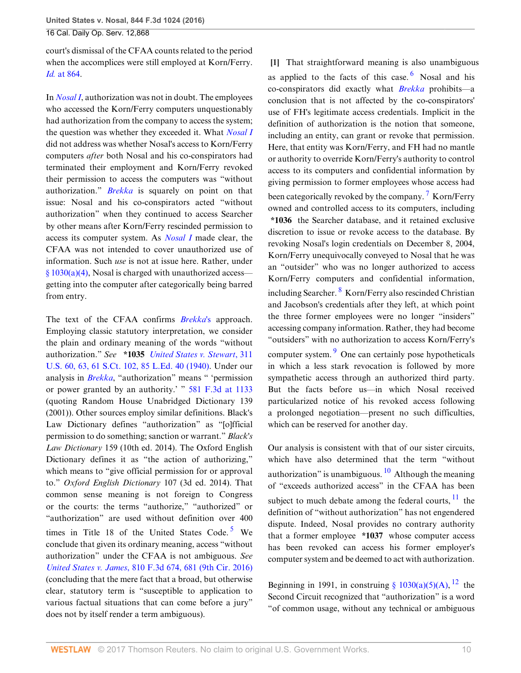court's dismissal of the CFAA counts related to the period when the accomplices were still employed at Korn/Ferry. *Id.* [at 864.](http://www.westlaw.com/Link/Document/FullText?findType=Y&serNum=2027470557&pubNum=0000506&originatingDoc=I62b0a700bdea11e6ac07a76176915fee&refType=RP&fi=co_pp_sp_506_864&originationContext=document&vr=3.0&rs=cblt1.0&transitionType=DocumentItem&contextData=(sc.UserEnteredCitation)#co_pp_sp_506_864)

In *[Nosal I](http://www.westlaw.com/Link/Document/FullText?findType=Y&serNum=2027470557&pubNum=0000506&originatingDoc=I62b0a700bdea11e6ac07a76176915fee&refType=RP&originationContext=document&vr=3.0&rs=cblt1.0&transitionType=DocumentItem&contextData=(sc.UserEnteredCitation))*, authorization was not in doubt. The employees who accessed the Korn/Ferry computers unquestionably had authorization from the company to access the system; the question was whether they exceeded it. What *[Nosal I](http://www.westlaw.com/Link/Document/FullText?findType=Y&serNum=2027470557&pubNum=0000506&originatingDoc=I62b0a700bdea11e6ac07a76176915fee&refType=RP&originationContext=document&vr=3.0&rs=cblt1.0&transitionType=DocumentItem&contextData=(sc.UserEnteredCitation))* did not address was whether Nosal's access to Korn/Ferry computers *after* both Nosal and his co-conspirators had terminated their employment and Korn/Ferry revoked their permission to access the computers was "without authorization." *[Brekka](http://www.westlaw.com/Link/Document/FullText?findType=Y&serNum=2019808398&pubNum=0000506&originatingDoc=I62b0a700bdea11e6ac07a76176915fee&refType=RP&originationContext=document&vr=3.0&rs=cblt1.0&transitionType=DocumentItem&contextData=(sc.UserEnteredCitation))* is squarely on point on that issue: Nosal and his co-conspirators acted "without authorization" when they continued to access Searcher by other means after Korn/Ferry rescinded permission to access its computer system. As *[Nosal I](http://www.westlaw.com/Link/Document/FullText?findType=Y&serNum=2027470557&pubNum=0000506&originatingDoc=I62b0a700bdea11e6ac07a76176915fee&refType=RP&originationContext=document&vr=3.0&rs=cblt1.0&transitionType=DocumentItem&contextData=(sc.UserEnteredCitation))* made clear, the CFAA was not intended to cover unauthorized use of information. Such *use* is not at issue here. Rather, under [§ 1030\(a\)\(4\)](http://www.westlaw.com/Link/Document/FullText?findType=L&pubNum=1000546&cite=18USCAS1030&originatingDoc=I62b0a700bdea11e6ac07a76176915fee&refType=SP&originationContext=document&vr=3.0&rs=cblt1.0&transitionType=DocumentItem&contextData=(sc.UserEnteredCitation)#co_pp_d40e000072291), Nosal is charged with unauthorized access getting into the computer after categorically being barred from entry.

The text of the CFAA confirms *[Brekka](http://www.westlaw.com/Link/Document/FullText?findType=Y&serNum=2019808398&originatingDoc=I62b0a700bdea11e6ac07a76176915fee&refType=RP&originationContext=document&vr=3.0&rs=cblt1.0&transitionType=DocumentItem&contextData=(sc.UserEnteredCitation))*'s approach. Employing classic statutory interpretation, we consider the plain and ordinary meaning of the words "without authorization." *See* **\*1035** *[United States v. Stewart](http://www.westlaw.com/Link/Document/FullText?findType=Y&serNum=1940124541&pubNum=0000708&originatingDoc=I62b0a700bdea11e6ac07a76176915fee&refType=RP&originationContext=document&vr=3.0&rs=cblt1.0&transitionType=DocumentItem&contextData=(sc.UserEnteredCitation))*, 311 [U.S. 60, 63, 61 S.Ct. 102, 85 L.Ed. 40 \(1940\).](http://www.westlaw.com/Link/Document/FullText?findType=Y&serNum=1940124541&pubNum=0000708&originatingDoc=I62b0a700bdea11e6ac07a76176915fee&refType=RP&originationContext=document&vr=3.0&rs=cblt1.0&transitionType=DocumentItem&contextData=(sc.UserEnteredCitation)) Under our analysis in *[Brekka](http://www.westlaw.com/Link/Document/FullText?findType=Y&serNum=2019808398&pubNum=0000506&originatingDoc=I62b0a700bdea11e6ac07a76176915fee&refType=RP&originationContext=document&vr=3.0&rs=cblt1.0&transitionType=DocumentItem&contextData=(sc.UserEnteredCitation))*, "authorization" means " 'permission or power granted by an authority.' " [581 F.3d at 1133](http://www.westlaw.com/Link/Document/FullText?findType=Y&serNum=2019808398&pubNum=0000506&originatingDoc=I62b0a700bdea11e6ac07a76176915fee&refType=RP&fi=co_pp_sp_506_1133&originationContext=document&vr=3.0&rs=cblt1.0&transitionType=DocumentItem&contextData=(sc.UserEnteredCitation)#co_pp_sp_506_1133) (quoting Random House Unabridged Dictionary 139 (2001)). Other sources employ similar definitions. Black's Law Dictionary defines "authorization" as "[o]fficial permission to do something; sanction or warrant." *Black's Law Dictionary* 159 (10th ed. 2014). The Oxford English Dictionary defines it as "the action of authorizing," which means to "give official permission for or approval to." *Oxford English Dictionary* 107 (3d ed. 2014). That common sense meaning is not foreign to Congress or the courts: the terms "authorize," "authorized" or "authorization" are used without definition over 400 times in Title 18 of the United States Code.<sup>[5](#page-25-4)</sup> We conclude that given its ordinary meaning, access "without authorization" under the CFAA is not ambiguous. *See United States v. James*[, 810 F.3d 674, 681 \(9th Cir. 2016\)](http://www.westlaw.com/Link/Document/FullText?findType=Y&serNum=2037999126&pubNum=0000506&originatingDoc=I62b0a700bdea11e6ac07a76176915fee&refType=RP&fi=co_pp_sp_506_681&originationContext=document&vr=3.0&rs=cblt1.0&transitionType=DocumentItem&contextData=(sc.UserEnteredCitation)#co_pp_sp_506_681) (concluding that the mere fact that a broad, but otherwise clear, statutory term is "susceptible to application to various factual situations that can come before a jury" does not by itself render a term ambiguous).

<span id="page-9-3"></span><span id="page-9-2"></span><span id="page-9-0"></span>**[\[1](#page-0-1)]** That straightforward meaning is also unambiguous as applied to the facts of this case. <sup>[6](#page-25-5)</sup> Nosal and his co-conspirators did exactly what *[Brekka](http://www.westlaw.com/Link/Document/FullText?findType=Y&serNum=2019808398&pubNum=0000506&originatingDoc=I62b0a700bdea11e6ac07a76176915fee&refType=RP&originationContext=document&vr=3.0&rs=cblt1.0&transitionType=DocumentItem&contextData=(sc.UserEnteredCitation))* prohibits—a conclusion that is not affected by the co-conspirators' use of FH's legitimate access credentials. Implicit in the definition of authorization is the notion that someone, including an entity, can grant or revoke that permission. Here, that entity was Korn/Ferry, and FH had no mantle or authority to override Korn/Ferry's authority to control access to its computers and confidential information by giving permission to former employees whose access had been categorically revoked by the company.<sup>[7](#page-25-6)</sup> Korn/Ferry owned and controlled access to its computers, including **\*1036** the Searcher database, and it retained exclusive discretion to issue or revoke access to the database. By revoking Nosal's login credentials on December 8, 2004, Korn/Ferry unequivocally conveyed to Nosal that he was an "outsider" who was no longer authorized to access Korn/Ferry computers and confidential information, including Searcher. <sup>[8](#page-25-7)</sup> Korn/Ferry also rescinded Christian and Jacobson's credentials after they left, at which point the three former employees were no longer "insiders" accessing company information. Rather, they had become "outsiders" with no authorization to access Korn/Ferry's computer system. <sup>[9](#page-25-8)</sup> One can certainly pose hypotheticals in which a less stark revocation is followed by more sympathetic access through an authorized third party. But the facts before us—in which Nosal received particularized notice of his revoked access following a prolonged negotiation—present no such difficulties, which can be reserved for another day.

<span id="page-9-7"></span><span id="page-9-6"></span><span id="page-9-5"></span><span id="page-9-4"></span>Our analysis is consistent with that of our sister circuits, which have also determined that the term "without authorization" is unambiguous.  $10$  Although the meaning of "exceeds authorized access" in the CFAA has been subject to much debate among the federal courts,  $\frac{11}{1}$  $\frac{11}{1}$  $\frac{11}{1}$  the definition of "without authorization" has not engendered dispute. Indeed, Nosal provides no contrary authority that a former employee **\*1037** whose computer access has been revoked can access his former employer's computer system and be deemed to act with authorization.

<span id="page-9-8"></span><span id="page-9-1"></span>Beginning in 1991, in construing  $\S 1030(a)(5)(A)$ , <sup>[12](#page-26-1)</sup> the Second Circuit recognized that "authorization" is a word "of common usage, without any technical or ambiguous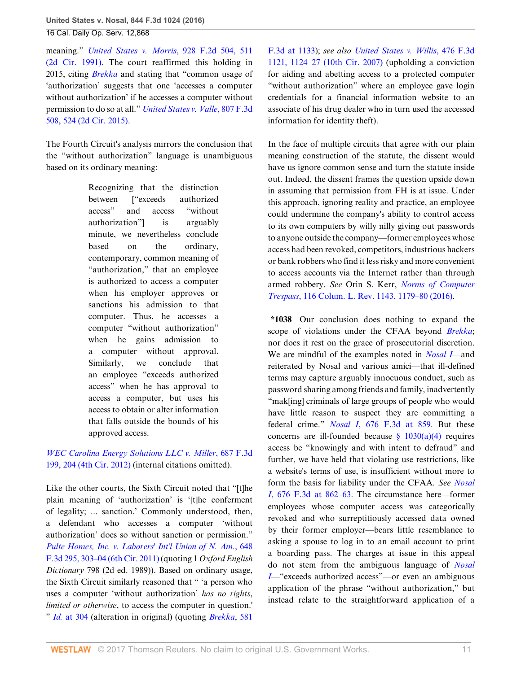meaning." *[United States v. Morris](http://www.westlaw.com/Link/Document/FullText?findType=Y&serNum=1991049644&pubNum=0000350&originatingDoc=I62b0a700bdea11e6ac07a76176915fee&refType=RP&fi=co_pp_sp_350_511&originationContext=document&vr=3.0&rs=cblt1.0&transitionType=DocumentItem&contextData=(sc.UserEnteredCitation)#co_pp_sp_350_511)*, 928 F.2d 504, 511 [\(2d Cir. 1991\)](http://www.westlaw.com/Link/Document/FullText?findType=Y&serNum=1991049644&pubNum=0000350&originatingDoc=I62b0a700bdea11e6ac07a76176915fee&refType=RP&fi=co_pp_sp_350_511&originationContext=document&vr=3.0&rs=cblt1.0&transitionType=DocumentItem&contextData=(sc.UserEnteredCitation)#co_pp_sp_350_511). The court reaffirmed this holding in 2015, citing *[Brekka](http://www.westlaw.com/Link/Document/FullText?findType=Y&serNum=2019808398&pubNum=0000506&originatingDoc=I62b0a700bdea11e6ac07a76176915fee&refType=RP&originationContext=document&vr=3.0&rs=cblt1.0&transitionType=DocumentItem&contextData=(sc.UserEnteredCitation))* and stating that "common usage of 'authorization' suggests that one 'accesses a computer without authorization' if he accesses a computer without permission to do so at all." *[United States v. Valle](http://www.westlaw.com/Link/Document/FullText?findType=Y&serNum=2037731566&pubNum=0000506&originatingDoc=I62b0a700bdea11e6ac07a76176915fee&refType=RP&fi=co_pp_sp_506_524&originationContext=document&vr=3.0&rs=cblt1.0&transitionType=DocumentItem&contextData=(sc.UserEnteredCitation)#co_pp_sp_506_524)*, 807 F.3d [508, 524 \(2d Cir. 2015\)](http://www.westlaw.com/Link/Document/FullText?findType=Y&serNum=2037731566&pubNum=0000506&originatingDoc=I62b0a700bdea11e6ac07a76176915fee&refType=RP&fi=co_pp_sp_506_524&originationContext=document&vr=3.0&rs=cblt1.0&transitionType=DocumentItem&contextData=(sc.UserEnteredCitation)#co_pp_sp_506_524).

The Fourth Circuit's analysis mirrors the conclusion that the "without authorization" language is unambiguous based on its ordinary meaning:

> Recognizing that the distinction between ["exceeds authorized access" and access "without authorization"] is arguably minute, we nevertheless conclude based on the ordinary, contemporary, common meaning of "authorization," that an employee is authorized to access a computer when his employer approves or sanctions his admission to that computer. Thus, he accesses a computer "without authorization" when he gains admission to a computer without approval. Similarly, we conclude that an employee "exceeds authorized access" when he has approval to access a computer, but uses his access to obtain or alter information that falls outside the bounds of his approved access.

*[WEC Carolina Energy Solutions LLC v. Miller](http://www.westlaw.com/Link/Document/FullText?findType=Y&serNum=2028288229&pubNum=0000506&originatingDoc=I62b0a700bdea11e6ac07a76176915fee&refType=RP&fi=co_pp_sp_506_204&originationContext=document&vr=3.0&rs=cblt1.0&transitionType=DocumentItem&contextData=(sc.UserEnteredCitation)#co_pp_sp_506_204)*, 687 F.3d [199, 204 \(4th Cir. 2012\)](http://www.westlaw.com/Link/Document/FullText?findType=Y&serNum=2028288229&pubNum=0000506&originatingDoc=I62b0a700bdea11e6ac07a76176915fee&refType=RP&fi=co_pp_sp_506_204&originationContext=document&vr=3.0&rs=cblt1.0&transitionType=DocumentItem&contextData=(sc.UserEnteredCitation)#co_pp_sp_506_204) (internal citations omitted).

Like the other courts, the Sixth Circuit noted that "[t]he plain meaning of 'authorization' is '[t]he conferment of legality; ... sanction.' Commonly understood, then, a defendant who accesses a computer 'without authorization' does so without sanction or permission." *[Pulte Homes, Inc. v. Laborers' Int'l Union of N. Am.](http://www.westlaw.com/Link/Document/FullText?findType=Y&serNum=2025804200&pubNum=0000506&originatingDoc=I62b0a700bdea11e6ac07a76176915fee&refType=RP&fi=co_pp_sp_506_303&originationContext=document&vr=3.0&rs=cblt1.0&transitionType=DocumentItem&contextData=(sc.UserEnteredCitation)#co_pp_sp_506_303)*, 648 [F.3d 295, 303–04 \(6th Cir. 2011\)](http://www.westlaw.com/Link/Document/FullText?findType=Y&serNum=2025804200&pubNum=0000506&originatingDoc=I62b0a700bdea11e6ac07a76176915fee&refType=RP&fi=co_pp_sp_506_303&originationContext=document&vr=3.0&rs=cblt1.0&transitionType=DocumentItem&contextData=(sc.UserEnteredCitation)#co_pp_sp_506_303) (quoting 1 *Oxford English Dictionary* 798 (2d ed. 1989)). Based on ordinary usage, the Sixth Circuit similarly reasoned that " 'a person who uses a computer 'without authorization' *has no rights*, *limited or otherwise*, to access the computer in question.' " *Id.* [at 304](http://www.westlaw.com/Link/Document/FullText?findType=Y&serNum=2025804200&pubNum=0000506&originatingDoc=I62b0a700bdea11e6ac07a76176915fee&refType=RP&fi=co_pp_sp_506_304&originationContext=document&vr=3.0&rs=cblt1.0&transitionType=DocumentItem&contextData=(sc.UserEnteredCitation)#co_pp_sp_506_304) (alteration in original) (quoting *[Brekka](http://www.westlaw.com/Link/Document/FullText?findType=Y&serNum=2019808398&pubNum=0000506&originatingDoc=I62b0a700bdea11e6ac07a76176915fee&refType=RP&fi=co_pp_sp_506_1133&originationContext=document&vr=3.0&rs=cblt1.0&transitionType=DocumentItem&contextData=(sc.UserEnteredCitation)#co_pp_sp_506_1133)*, 581 [F.3d at 1133](http://www.westlaw.com/Link/Document/FullText?findType=Y&serNum=2019808398&pubNum=0000506&originatingDoc=I62b0a700bdea11e6ac07a76176915fee&refType=RP&fi=co_pp_sp_506_1133&originationContext=document&vr=3.0&rs=cblt1.0&transitionType=DocumentItem&contextData=(sc.UserEnteredCitation)#co_pp_sp_506_1133)); *see also [United States v. Willis](http://www.westlaw.com/Link/Document/FullText?findType=Y&serNum=2011481168&pubNum=0000506&originatingDoc=I62b0a700bdea11e6ac07a76176915fee&refType=RP&fi=co_pp_sp_506_1124&originationContext=document&vr=3.0&rs=cblt1.0&transitionType=DocumentItem&contextData=(sc.UserEnteredCitation)#co_pp_sp_506_1124)*, 476 F.3d [1121, 1124–27 \(10th Cir. 2007\)](http://www.westlaw.com/Link/Document/FullText?findType=Y&serNum=2011481168&pubNum=0000506&originatingDoc=I62b0a700bdea11e6ac07a76176915fee&refType=RP&fi=co_pp_sp_506_1124&originationContext=document&vr=3.0&rs=cblt1.0&transitionType=DocumentItem&contextData=(sc.UserEnteredCitation)#co_pp_sp_506_1124) (upholding a conviction for aiding and abetting access to a protected computer "without authorization" where an employee gave login credentials for a financial information website to an associate of his drug dealer who in turn used the accessed information for identity theft).

In the face of multiple circuits that agree with our plain meaning construction of the statute, the dissent would have us ignore common sense and turn the statute inside out. Indeed, the dissent frames the question upside down in assuming that permission from FH is at issue. Under this approach, ignoring reality and practice, an employee could undermine the company's ability to control access to its own computers by willy nilly giving out passwords to anyone outside the company—former employees whose access had been revoked, competitors, industrious hackers or bank robbers who find it less risky and more convenient to access accounts via the Internet rather than through armed robbery. *See* Orin S. Kerr, *[Norms of Computer](http://www.westlaw.com/Link/Document/FullText?findType=Y&serNum=0445244690&pubNum=0003050&originatingDoc=I62b0a700bdea11e6ac07a76176915fee&refType=LR&fi=co_pp_sp_3050_1179&originationContext=document&vr=3.0&rs=cblt1.0&transitionType=DocumentItem&contextData=(sc.UserEnteredCitation)#co_pp_sp_3050_1179) Trespass*[, 116 Colum. L. Rev. 1143, 1179–80 \(2016\)](http://www.westlaw.com/Link/Document/FullText?findType=Y&serNum=0445244690&pubNum=0003050&originatingDoc=I62b0a700bdea11e6ac07a76176915fee&refType=LR&fi=co_pp_sp_3050_1179&originationContext=document&vr=3.0&rs=cblt1.0&transitionType=DocumentItem&contextData=(sc.UserEnteredCitation)#co_pp_sp_3050_1179).

**\*1038** Our conclusion does nothing to expand the scope of violations under the CFAA beyond *[Brekka](http://www.westlaw.com/Link/Document/FullText?findType=Y&serNum=2019808398&pubNum=0000506&originatingDoc=I62b0a700bdea11e6ac07a76176915fee&refType=RP&originationContext=document&vr=3.0&rs=cblt1.0&transitionType=DocumentItem&contextData=(sc.UserEnteredCitation))*; nor does it rest on the grace of prosecutorial discretion. We are mindful of the examples noted in *[Nosal I](http://www.westlaw.com/Link/Document/FullText?findType=Y&serNum=2027470557&pubNum=0000506&originatingDoc=I62b0a700bdea11e6ac07a76176915fee&refType=RP&originationContext=document&vr=3.0&rs=cblt1.0&transitionType=DocumentItem&contextData=(sc.UserEnteredCitation))*—and reiterated by Nosal and various amici—that ill-defined terms may capture arguably innocuous conduct, such as password sharing among friends and family, inadvertently "mak[ing] criminals of large groups of people who would have little reason to suspect they are committing a federal crime." *Nosal I*[, 676 F.3d at 859](http://www.westlaw.com/Link/Document/FullText?findType=Y&serNum=2027470557&pubNum=0000506&originatingDoc=I62b0a700bdea11e6ac07a76176915fee&refType=RP&fi=co_pp_sp_506_859&originationContext=document&vr=3.0&rs=cblt1.0&transitionType=DocumentItem&contextData=(sc.UserEnteredCitation)#co_pp_sp_506_859). But these concerns are ill-founded because  $\S$  1030(a)(4) requires access be "knowingly and with intent to defraud" and further, we have held that violating use restrictions, like a website's terms of use, is insufficient without more to form the basis for liability under the CFAA. *See [Nosal](http://www.westlaw.com/Link/Document/FullText?findType=Y&serNum=2027470557&pubNum=0000506&originatingDoc=I62b0a700bdea11e6ac07a76176915fee&refType=RP&fi=co_pp_sp_506_862&originationContext=document&vr=3.0&rs=cblt1.0&transitionType=DocumentItem&contextData=(sc.UserEnteredCitation)#co_pp_sp_506_862) I*[, 676 F.3d at 862–63.](http://www.westlaw.com/Link/Document/FullText?findType=Y&serNum=2027470557&pubNum=0000506&originatingDoc=I62b0a700bdea11e6ac07a76176915fee&refType=RP&fi=co_pp_sp_506_862&originationContext=document&vr=3.0&rs=cblt1.0&transitionType=DocumentItem&contextData=(sc.UserEnteredCitation)#co_pp_sp_506_862) The circumstance here—former employees whose computer access was categorically revoked and who surreptitiously accessed data owned by their former employer—bears little resemblance to asking a spouse to log in to an email account to print a boarding pass. The charges at issue in this appeal do not stem from the ambiguous language of *[Nosal](http://www.westlaw.com/Link/Document/FullText?findType=Y&serNum=2027470557&pubNum=0000506&originatingDoc=I62b0a700bdea11e6ac07a76176915fee&refType=RP&originationContext=document&vr=3.0&rs=cblt1.0&transitionType=DocumentItem&contextData=(sc.UserEnteredCitation)) [I](http://www.westlaw.com/Link/Document/FullText?findType=Y&serNum=2027470557&pubNum=0000506&originatingDoc=I62b0a700bdea11e6ac07a76176915fee&refType=RP&originationContext=document&vr=3.0&rs=cblt1.0&transitionType=DocumentItem&contextData=(sc.UserEnteredCitation))*—"exceeds authorized access"—or even an ambiguous application of the phrase "without authorization," but instead relate to the straightforward application of a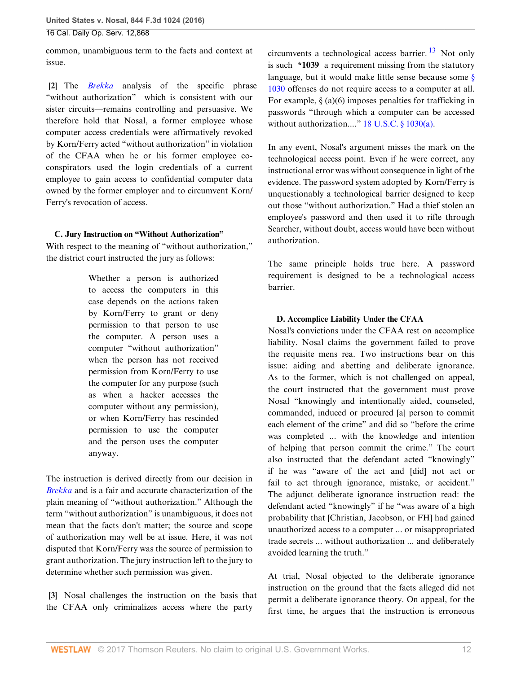common, unambiguous term to the facts and context at issue.

<span id="page-11-0"></span>**[\[2](#page-0-0)]** The *[Brekka](http://www.westlaw.com/Link/Document/FullText?findType=Y&serNum=2019808398&pubNum=0000506&originatingDoc=I62b0a700bdea11e6ac07a76176915fee&refType=RP&originationContext=document&vr=3.0&rs=cblt1.0&transitionType=DocumentItem&contextData=(sc.UserEnteredCitation))* analysis of the specific phrase "without authorization"—which is consistent with our sister circuits—remains controlling and persuasive. We therefore hold that Nosal, a former employee whose computer access credentials were affirmatively revoked by Korn/Ferry acted "without authorization" in violation of the CFAA when he or his former employee coconspirators used the login credentials of a current employee to gain access to confidential computer data owned by the former employer and to circumvent Korn/ Ferry's revocation of access.

## **C. Jury Instruction on "Without Authorization"**

With respect to the meaning of "without authorization," the district court instructed the jury as follows:

> Whether a person is authorized to access the computers in this case depends on the actions taken by Korn/Ferry to grant or deny permission to that person to use the computer. A person uses a computer "without authorization" when the person has not received permission from Korn/Ferry to use the computer for any purpose (such as when a hacker accesses the computer without any permission), or when Korn/Ferry has rescinded permission to use the computer and the person uses the computer anyway.

The instruction is derived directly from our decision in *[Brekka](http://www.westlaw.com/Link/Document/FullText?findType=Y&serNum=2019808398&pubNum=0000506&originatingDoc=I62b0a700bdea11e6ac07a76176915fee&refType=RP&originationContext=document&vr=3.0&rs=cblt1.0&transitionType=DocumentItem&contextData=(sc.UserEnteredCitation))* and is a fair and accurate characterization of the plain meaning of "without authorization." Although the term "without authorization" is unambiguous, it does not mean that the facts don't matter; the source and scope of authorization may well be at issue. Here, it was not disputed that Korn/Ferry was the source of permission to grant authorization. The jury instruction left to the jury to determine whether such permission was given.

<span id="page-11-1"></span>**[\[3](#page-1-0)]** Nosal challenges the instruction on the basis that the CFAA only criminalizes access where the party

<span id="page-11-2"></span>circumvents a technological access barrier.  $^{13}$  $^{13}$  $^{13}$  Not only is such **\*1039** a requirement missing from the statutory language, but it would make little sense because some  $\delta$ [1030](http://www.westlaw.com/Link/Document/FullText?findType=L&pubNum=1000546&cite=18USCAS1030&originatingDoc=I62b0a700bdea11e6ac07a76176915fee&refType=LQ&originationContext=document&vr=3.0&rs=cblt1.0&transitionType=DocumentItem&contextData=(sc.UserEnteredCitation)) offenses do not require access to a computer at all. For example,  $\S$  (a)(6) imposes penalties for trafficking in passwords "through which a computer can be accessed without authorization...." [18 U.S.C. § 1030\(a\).](http://www.westlaw.com/Link/Document/FullText?findType=L&pubNum=1000546&cite=18USCAS1030&originatingDoc=I62b0a700bdea11e6ac07a76176915fee&refType=SP&originationContext=document&vr=3.0&rs=cblt1.0&transitionType=DocumentItem&contextData=(sc.UserEnteredCitation)#co_pp_8b3b0000958a4)

In any event, Nosal's argument misses the mark on the technological access point. Even if he were correct, any instructional error was without consequence in light of the evidence. The password system adopted by Korn/Ferry is unquestionably a technological barrier designed to keep out those "without authorization." Had a thief stolen an employee's password and then used it to rifle through Searcher, without doubt, access would have been without authorization.

The same principle holds true here. A password requirement is designed to be a technological access barrier.

## **D. Accomplice Liability Under the CFAA**

Nosal's convictions under the CFAA rest on accomplice liability. Nosal claims the government failed to prove the requisite mens rea. Two instructions bear on this issue: aiding and abetting and deliberate ignorance. As to the former, which is not challenged on appeal, the court instructed that the government must prove Nosal "knowingly and intentionally aided, counseled, commanded, induced or procured [a] person to commit each element of the crime" and did so "before the crime was completed ... with the knowledge and intention of helping that person commit the crime." The court also instructed that the defendant acted "knowingly" if he was "aware of the act and [did] not act or fail to act through ignorance, mistake, or accident." The adjunct deliberate ignorance instruction read: the defendant acted "knowingly" if he "was aware of a high probability that [Christian, Jacobson, or FH] had gained unauthorized access to a computer ... or misappropriated trade secrets ... without authorization ... and deliberately avoided learning the truth."

At trial, Nosal objected to the deliberate ignorance instruction on the ground that the facts alleged did not permit a deliberate ignorance theory. On appeal, for the first time, he argues that the instruction is erroneous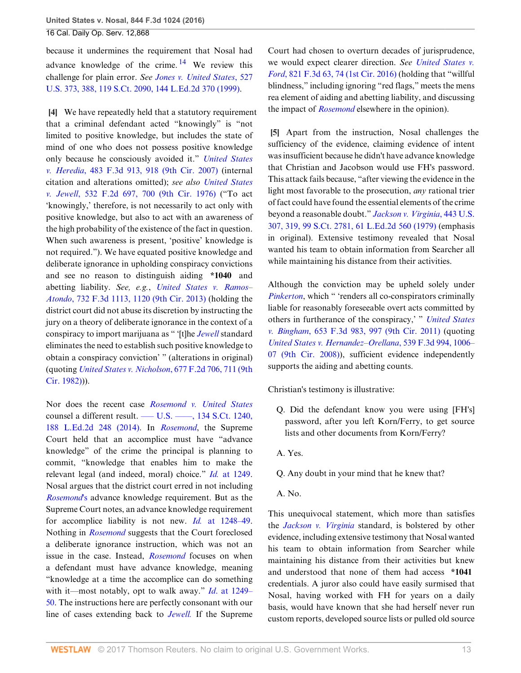because it undermines the requirement that Nosal had advance knowledge of the crime.  $14$  We review this challenge for plain error. *See [Jones v. United States](http://www.westlaw.com/Link/Document/FullText?findType=Y&serNum=1999145061&pubNum=0000708&originatingDoc=I62b0a700bdea11e6ac07a76176915fee&refType=RP&originationContext=document&vr=3.0&rs=cblt1.0&transitionType=DocumentItem&contextData=(sc.UserEnteredCitation))*, 527 [U.S. 373, 388, 119 S.Ct. 2090, 144 L.Ed.2d 370 \(1999\).](http://www.westlaw.com/Link/Document/FullText?findType=Y&serNum=1999145061&pubNum=0000708&originatingDoc=I62b0a700bdea11e6ac07a76176915fee&refType=RP&originationContext=document&vr=3.0&rs=cblt1.0&transitionType=DocumentItem&contextData=(sc.UserEnteredCitation))

<span id="page-12-0"></span>**[\[4](#page-1-1)]** We have repeatedly held that a statutory requirement that a criminal defendant acted "knowingly" is "not limited to positive knowledge, but includes the state of mind of one who does not possess positive knowledge only because he consciously avoided it." *[United States](http://www.westlaw.com/Link/Document/FullText?findType=Y&serNum=2012129853&pubNum=0000506&originatingDoc=I62b0a700bdea11e6ac07a76176915fee&refType=RP&fi=co_pp_sp_506_918&originationContext=document&vr=3.0&rs=cblt1.0&transitionType=DocumentItem&contextData=(sc.UserEnteredCitation)#co_pp_sp_506_918) v. Heredia*[, 483 F.3d 913, 918 \(9th Cir. 2007\)](http://www.westlaw.com/Link/Document/FullText?findType=Y&serNum=2012129853&pubNum=0000506&originatingDoc=I62b0a700bdea11e6ac07a76176915fee&refType=RP&fi=co_pp_sp_506_918&originationContext=document&vr=3.0&rs=cblt1.0&transitionType=DocumentItem&contextData=(sc.UserEnteredCitation)#co_pp_sp_506_918) (internal citation and alterations omitted); *see also [United States](http://www.westlaw.com/Link/Document/FullText?findType=Y&serNum=1976145705&pubNum=0000350&originatingDoc=I62b0a700bdea11e6ac07a76176915fee&refType=RP&fi=co_pp_sp_350_700&originationContext=document&vr=3.0&rs=cblt1.0&transitionType=DocumentItem&contextData=(sc.UserEnteredCitation)#co_pp_sp_350_700) v. Jewell*[, 532 F.2d 697, 700 \(9th Cir. 1976\)](http://www.westlaw.com/Link/Document/FullText?findType=Y&serNum=1976145705&pubNum=0000350&originatingDoc=I62b0a700bdea11e6ac07a76176915fee&refType=RP&fi=co_pp_sp_350_700&originationContext=document&vr=3.0&rs=cblt1.0&transitionType=DocumentItem&contextData=(sc.UserEnteredCitation)#co_pp_sp_350_700) ("To act 'knowingly,' therefore, is not necessarily to act only with positive knowledge, but also to act with an awareness of the high probability of the existence of the fact in question. When such awareness is present, 'positive' knowledge is not required."). We have equated positive knowledge and deliberate ignorance in upholding conspiracy convictions and see no reason to distinguish aiding **\*1040** and abetting liability. *See, e.g.*, *[United States v. Ramos–](http://www.westlaw.com/Link/Document/FullText?findType=Y&serNum=2031755410&pubNum=0000506&originatingDoc=I62b0a700bdea11e6ac07a76176915fee&refType=RP&fi=co_pp_sp_506_1120&originationContext=document&vr=3.0&rs=cblt1.0&transitionType=DocumentItem&contextData=(sc.UserEnteredCitation)#co_pp_sp_506_1120) Atondo*[, 732 F.3d 1113, 1120 \(9th Cir. 2013\)](http://www.westlaw.com/Link/Document/FullText?findType=Y&serNum=2031755410&pubNum=0000506&originatingDoc=I62b0a700bdea11e6ac07a76176915fee&refType=RP&fi=co_pp_sp_506_1120&originationContext=document&vr=3.0&rs=cblt1.0&transitionType=DocumentItem&contextData=(sc.UserEnteredCitation)#co_pp_sp_506_1120) (holding the district court did not abuse its discretion by instructing the jury on a theory of deliberate ignorance in the context of a conspiracy to import marijuana as " '[t]he *[Jewell](http://www.westlaw.com/Link/Document/FullText?findType=Y&serNum=1976145705&pubNum=0000350&originatingDoc=I62b0a700bdea11e6ac07a76176915fee&refType=RP&originationContext=document&vr=3.0&rs=cblt1.0&transitionType=DocumentItem&contextData=(sc.UserEnteredCitation))* standard eliminates the need to establish such positive knowledge to obtain a conspiracy conviction' " (alterations in original) (quoting *[United States v. Nicholson](http://www.westlaw.com/Link/Document/FullText?findType=Y&serNum=1982121406&pubNum=0000350&originatingDoc=I62b0a700bdea11e6ac07a76176915fee&refType=RP&fi=co_pp_sp_350_711&originationContext=document&vr=3.0&rs=cblt1.0&transitionType=DocumentItem&contextData=(sc.UserEnteredCitation)#co_pp_sp_350_711)*, 677 F.2d 706, 711 (9th [Cir. 1982\)](http://www.westlaw.com/Link/Document/FullText?findType=Y&serNum=1982121406&pubNum=0000350&originatingDoc=I62b0a700bdea11e6ac07a76176915fee&refType=RP&fi=co_pp_sp_350_711&originationContext=document&vr=3.0&rs=cblt1.0&transitionType=DocumentItem&contextData=(sc.UserEnteredCitation)#co_pp_sp_350_711))).

Nor does the recent case *[Rosemond v. United States](http://www.westlaw.com/Link/Document/FullText?findType=Y&serNum=2032824241&pubNum=0000708&originatingDoc=I62b0a700bdea11e6ac07a76176915fee&refType=RP&originationContext=document&vr=3.0&rs=cblt1.0&transitionType=DocumentItem&contextData=(sc.UserEnteredCitation))* counsel a different result. — U.S. — , 134 S.Ct. 1240, [188 L.Ed.2d 248 \(2014\).](http://www.westlaw.com/Link/Document/FullText?findType=Y&serNum=2032824241&pubNum=0000708&originatingDoc=I62b0a700bdea11e6ac07a76176915fee&refType=RP&originationContext=document&vr=3.0&rs=cblt1.0&transitionType=DocumentItem&contextData=(sc.UserEnteredCitation)) In *[Rosemond](http://www.westlaw.com/Link/Document/FullText?findType=Y&serNum=2032824241&pubNum=0000708&originatingDoc=I62b0a700bdea11e6ac07a76176915fee&refType=RP&originationContext=document&vr=3.0&rs=cblt1.0&transitionType=DocumentItem&contextData=(sc.UserEnteredCitation))*, the Supreme Court held that an accomplice must have "advance knowledge" of the crime the principal is planning to commit, "knowledge that enables him to make the relevant legal (and indeed, moral) choice." *Id.* [at 1249](http://www.westlaw.com/Link/Document/FullText?findType=Y&serNum=2032824241&pubNum=0000708&originatingDoc=I62b0a700bdea11e6ac07a76176915fee&refType=RP&fi=co_pp_sp_708_1249&originationContext=document&vr=3.0&rs=cblt1.0&transitionType=DocumentItem&contextData=(sc.UserEnteredCitation)#co_pp_sp_708_1249). Nosal argues that the district court erred in not including *[Rosemond](http://www.westlaw.com/Link/Document/FullText?findType=Y&serNum=2032824241&originatingDoc=I62b0a700bdea11e6ac07a76176915fee&refType=RP&originationContext=document&vr=3.0&rs=cblt1.0&transitionType=DocumentItem&contextData=(sc.UserEnteredCitation))*'s advance knowledge requirement. But as the Supreme Court notes, an advance knowledge requirement for accomplice liability is not new. *Id.* [at 1248–49](http://www.westlaw.com/Link/Document/FullText?findType=Y&serNum=2032824241&pubNum=0000708&originatingDoc=I62b0a700bdea11e6ac07a76176915fee&refType=RP&fi=co_pp_sp_708_1248&originationContext=document&vr=3.0&rs=cblt1.0&transitionType=DocumentItem&contextData=(sc.UserEnteredCitation)#co_pp_sp_708_1248). Nothing in *[Rosemond](http://www.westlaw.com/Link/Document/FullText?findType=Y&serNum=2032824241&pubNum=0000708&originatingDoc=I62b0a700bdea11e6ac07a76176915fee&refType=RP&originationContext=document&vr=3.0&rs=cblt1.0&transitionType=DocumentItem&contextData=(sc.UserEnteredCitation))* suggests that the Court foreclosed a deliberate ignorance instruction, which was not an issue in the case. Instead, *[Rosemond](http://www.westlaw.com/Link/Document/FullText?findType=Y&serNum=2032824241&pubNum=0000708&originatingDoc=I62b0a700bdea11e6ac07a76176915fee&refType=RP&originationContext=document&vr=3.0&rs=cblt1.0&transitionType=DocumentItem&contextData=(sc.UserEnteredCitation))* focuses on when a defendant must have advance knowledge, meaning "knowledge at a time the accomplice can do something with it—most notably, opt to walk away." *Id*[. at 1249–](http://www.westlaw.com/Link/Document/FullText?findType=Y&serNum=2032824241&pubNum=0000708&originatingDoc=I62b0a700bdea11e6ac07a76176915fee&refType=RP&fi=co_pp_sp_708_1249&originationContext=document&vr=3.0&rs=cblt1.0&transitionType=DocumentItem&contextData=(sc.UserEnteredCitation)#co_pp_sp_708_1249) [50](http://www.westlaw.com/Link/Document/FullText?findType=Y&serNum=2032824241&pubNum=0000708&originatingDoc=I62b0a700bdea11e6ac07a76176915fee&refType=RP&fi=co_pp_sp_708_1249&originationContext=document&vr=3.0&rs=cblt1.0&transitionType=DocumentItem&contextData=(sc.UserEnteredCitation)#co_pp_sp_708_1249). The instructions here are perfectly consonant with our line of cases extending back to *[Jewell.](http://www.westlaw.com/Link/Document/FullText?findType=Y&serNum=1976145705&pubNum=0000350&originatingDoc=I62b0a700bdea11e6ac07a76176915fee&refType=RP&originationContext=document&vr=3.0&rs=cblt1.0&transitionType=DocumentItem&contextData=(sc.UserEnteredCitation))* If the Supreme <span id="page-12-2"></span>Court had chosen to overturn decades of jurisprudence, we would expect clearer direction. *See [United States v.](http://www.westlaw.com/Link/Document/FullText?findType=Y&serNum=2038667143&pubNum=0000506&originatingDoc=I62b0a700bdea11e6ac07a76176915fee&refType=RP&fi=co_pp_sp_506_74&originationContext=document&vr=3.0&rs=cblt1.0&transitionType=DocumentItem&contextData=(sc.UserEnteredCitation)#co_pp_sp_506_74) Ford*[, 821 F.3d 63, 74 \(1st Cir. 2016\)](http://www.westlaw.com/Link/Document/FullText?findType=Y&serNum=2038667143&pubNum=0000506&originatingDoc=I62b0a700bdea11e6ac07a76176915fee&refType=RP&fi=co_pp_sp_506_74&originationContext=document&vr=3.0&rs=cblt1.0&transitionType=DocumentItem&contextData=(sc.UserEnteredCitation)#co_pp_sp_506_74) (holding that "willful blindness," including ignoring "red flags," meets the mens rea element of aiding and abetting liability, and discussing the impact of *[Rosemond](http://www.westlaw.com/Link/Document/FullText?findType=Y&serNum=2032824241&pubNum=0000708&originatingDoc=I62b0a700bdea11e6ac07a76176915fee&refType=RP&originationContext=document&vr=3.0&rs=cblt1.0&transitionType=DocumentItem&contextData=(sc.UserEnteredCitation))* elsewhere in the opinion).

<span id="page-12-1"></span>**[\[5](#page-1-2)]** Apart from the instruction, Nosal challenges the sufficiency of the evidence, claiming evidence of intent was insufficient because he didn't have advance knowledge that Christian and Jacobson would use FH's password. This attack fails because, "after viewing the evidence in the light most favorable to the prosecution, *any* rational trier of fact could have found the essential elements of the crime beyond a reasonable doubt." *[Jackson v. Virginia](http://www.westlaw.com/Link/Document/FullText?findType=Y&serNum=1979135171&pubNum=0000708&originatingDoc=I62b0a700bdea11e6ac07a76176915fee&refType=RP&originationContext=document&vr=3.0&rs=cblt1.0&transitionType=DocumentItem&contextData=(sc.UserEnteredCitation))*, 443 U.S. [307, 319, 99 S.Ct. 2781, 61 L.Ed.2d 560 \(1979\)](http://www.westlaw.com/Link/Document/FullText?findType=Y&serNum=1979135171&pubNum=0000708&originatingDoc=I62b0a700bdea11e6ac07a76176915fee&refType=RP&originationContext=document&vr=3.0&rs=cblt1.0&transitionType=DocumentItem&contextData=(sc.UserEnteredCitation)) (emphasis in original). Extensive testimony revealed that Nosal wanted his team to obtain information from Searcher all while maintaining his distance from their activities.

Although the conviction may be upheld solely under *[Pinkerton](http://www.westlaw.com/Link/Document/FullText?findType=Y&serNum=1946114732&pubNum=0000780&originatingDoc=I62b0a700bdea11e6ac07a76176915fee&refType=RP&originationContext=document&vr=3.0&rs=cblt1.0&transitionType=DocumentItem&contextData=(sc.UserEnteredCitation))*, which " 'renders all co-conspirators criminally liable for reasonably foreseeable overt acts committed by others in furtherance of the conspiracy,' " *[United States](http://www.westlaw.com/Link/Document/FullText?findType=Y&serNum=2025820428&pubNum=0000506&originatingDoc=I62b0a700bdea11e6ac07a76176915fee&refType=RP&fi=co_pp_sp_506_997&originationContext=document&vr=3.0&rs=cblt1.0&transitionType=DocumentItem&contextData=(sc.UserEnteredCitation)#co_pp_sp_506_997) v. Bingham*[, 653 F.3d 983, 997 \(9th Cir. 2011\)](http://www.westlaw.com/Link/Document/FullText?findType=Y&serNum=2025820428&pubNum=0000506&originatingDoc=I62b0a700bdea11e6ac07a76176915fee&refType=RP&fi=co_pp_sp_506_997&originationContext=document&vr=3.0&rs=cblt1.0&transitionType=DocumentItem&contextData=(sc.UserEnteredCitation)#co_pp_sp_506_997) (quoting *[United States v. Hernandez–Orellana](http://www.westlaw.com/Link/Document/FullText?findType=Y&serNum=2016791293&pubNum=0000506&originatingDoc=I62b0a700bdea11e6ac07a76176915fee&refType=RP&fi=co_pp_sp_506_1006&originationContext=document&vr=3.0&rs=cblt1.0&transitionType=DocumentItem&contextData=(sc.UserEnteredCitation)#co_pp_sp_506_1006)*, 539 F.3d 994, 1006– [07 \(9th Cir. 2008\)](http://www.westlaw.com/Link/Document/FullText?findType=Y&serNum=2016791293&pubNum=0000506&originatingDoc=I62b0a700bdea11e6ac07a76176915fee&refType=RP&fi=co_pp_sp_506_1006&originationContext=document&vr=3.0&rs=cblt1.0&transitionType=DocumentItem&contextData=(sc.UserEnteredCitation)#co_pp_sp_506_1006)), sufficient evidence independently supports the aiding and abetting counts.

Christian's testimony is illustrative:

- Q. Did the defendant know you were using [FH's] password, after you left Korn/Ferry, to get source lists and other documents from Korn/Ferry?
- A. Yes.
- Q. Any doubt in your mind that he knew that?
- A. No.

This unequivocal statement, which more than satisfies the *[Jackson v. Virginia](http://www.westlaw.com/Link/Document/FullText?findType=Y&serNum=1979135171&pubNum=0000780&originatingDoc=I62b0a700bdea11e6ac07a76176915fee&refType=RP&originationContext=document&vr=3.0&rs=cblt1.0&transitionType=DocumentItem&contextData=(sc.UserEnteredCitation))* standard, is bolstered by other evidence, including extensive testimony that Nosal wanted his team to obtain information from Searcher while maintaining his distance from their activities but knew and understood that none of them had access **\*1041** credentials. A juror also could have easily surmised that Nosal, having worked with FH for years on a daily basis, would have known that she had herself never run custom reports, developed source lists or pulled old source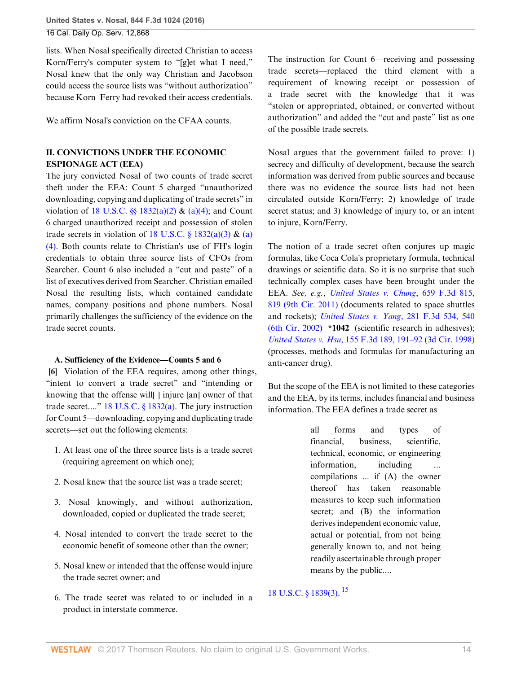lists. When Nosal specifically directed Christian to access Korn/Ferry's computer system to "[g]et what I need," Nosal knew that the only way Christian and Jacobson could access the source lists was "without authorization" because Korn–Ferry had revoked their access credentials.

We affirm Nosal's conviction on the CFAA counts.

## **II. CONVICTIONS UNDER THE ECONOMIC ESPIONAGE ACT (EEA)**

The jury convicted Nosal of two counts of trade secret theft under the EEA: Count 5 charged "unauthorized downloading, copying and duplicating of trade secrets" in violation of 18 U.S.C.  $\S$  1832(a)(2) & [\(a\)\(4\);](http://www.westlaw.com/Link/Document/FullText?findType=L&pubNum=1000546&cite=18USCAS1832&originatingDoc=I62b0a700bdea11e6ac07a76176915fee&refType=SP&originationContext=document&vr=3.0&rs=cblt1.0&transitionType=DocumentItem&contextData=(sc.UserEnteredCitation)#co_pp_d40e000072291) and Count 6 charged unauthorized receipt and possession of stolen trade secrets in violation of 18 U.S.C.  $\S$  1832[\(a\)](http://www.westlaw.com/Link/Document/FullText?findType=L&pubNum=1000546&cite=18USCAS1832&originatingDoc=I62b0a700bdea11e6ac07a76176915fee&refType=SP&originationContext=document&vr=3.0&rs=cblt1.0&transitionType=DocumentItem&contextData=(sc.UserEnteredCitation)#co_pp_d40e000072291)(3) & (a) [\(4\).](http://www.westlaw.com/Link/Document/FullText?findType=L&pubNum=1000546&cite=18USCAS1832&originatingDoc=I62b0a700bdea11e6ac07a76176915fee&refType=SP&originationContext=document&vr=3.0&rs=cblt1.0&transitionType=DocumentItem&contextData=(sc.UserEnteredCitation)#co_pp_d40e000072291) Both counts relate to Christian's use of FH's login credentials to obtain three source lists of CFOs from Searcher. Count 6 also included a "cut and paste" of a list of executives derived from Searcher. Christian emailed Nosal the resulting lists, which contained candidate names, company positions and phone numbers. Nosal primarily challenges the sufficiency of the evidence on the trade secret counts.

## <span id="page-13-0"></span>**A. Sufficiency of the Evidence—Counts 5 and 6**

**[\[6](#page-1-3)]** Violation of the EEA requires, among other things, "intent to convert a trade secret" and "intending or knowing that the offense will[ ] injure [an] owner of that trade secret...." [18 U.S.C. § 1832\(a\).](http://www.westlaw.com/Link/Document/FullText?findType=L&pubNum=1000546&cite=18USCAS1832&originatingDoc=I62b0a700bdea11e6ac07a76176915fee&refType=SP&originationContext=document&vr=3.0&rs=cblt1.0&transitionType=DocumentItem&contextData=(sc.UserEnteredCitation)#co_pp_8b3b0000958a4) The jury instruction for Count 5—downloading, copying and duplicating trade secrets—set out the following elements:

- 1. At least one of the three source lists is a trade secret (requiring agreement on which one);
- 2. Nosal knew that the source list was a trade secret;
- 3. Nosal knowingly, and without authorization, downloaded, copied or duplicated the trade secret;
- 4. Nosal intended to convert the trade secret to the economic benefit of someone other than the owner;
- 5. Nosal knew or intended that the offense would injure the trade secret owner; and
- 6. The trade secret was related to or included in a product in interstate commerce.

The instruction for Count 6—receiving and possessing trade secrets—replaced the third element with a requirement of knowing receipt or possession of a trade secret with the knowledge that it was "stolen or appropriated, obtained, or converted without authorization" and added the "cut and paste" list as one of the possible trade secrets.

Nosal argues that the government failed to prove: 1) secrecy and difficulty of development, because the search information was derived from public sources and because there was no evidence the source lists had not been circulated outside Korn/Ferry; 2) knowledge of trade secret status; and 3) knowledge of injury to, or an intent to injure, Korn/Ferry.

The notion of a trade secret often conjures up magic formulas, like Coca Cola's proprietary formula, technical drawings or scientific data. So it is no surprise that such technically complex cases have been brought under the EEA. *See, e.g.*, *[United States v. Chung](http://www.westlaw.com/Link/Document/FullText?findType=Y&serNum=2026216703&pubNum=0000506&originatingDoc=I62b0a700bdea11e6ac07a76176915fee&refType=RP&fi=co_pp_sp_506_819&originationContext=document&vr=3.0&rs=cblt1.0&transitionType=DocumentItem&contextData=(sc.UserEnteredCitation)#co_pp_sp_506_819)*, 659 F.3d 815, [819 \(9th Cir. 2011\)](http://www.westlaw.com/Link/Document/FullText?findType=Y&serNum=2026216703&pubNum=0000506&originatingDoc=I62b0a700bdea11e6ac07a76176915fee&refType=RP&fi=co_pp_sp_506_819&originationContext=document&vr=3.0&rs=cblt1.0&transitionType=DocumentItem&contextData=(sc.UserEnteredCitation)#co_pp_sp_506_819) (documents related to space shuttles and rockets); *[United States v. Yang](http://www.westlaw.com/Link/Document/FullText?findType=Y&serNum=2002133974&pubNum=0000506&originatingDoc=I62b0a700bdea11e6ac07a76176915fee&refType=RP&fi=co_pp_sp_506_540&originationContext=document&vr=3.0&rs=cblt1.0&transitionType=DocumentItem&contextData=(sc.UserEnteredCitation)#co_pp_sp_506_540)*, 281 F.3d 534, 540 [\(6th Cir. 2002\)](http://www.westlaw.com/Link/Document/FullText?findType=Y&serNum=2002133974&pubNum=0000506&originatingDoc=I62b0a700bdea11e6ac07a76176915fee&refType=RP&fi=co_pp_sp_506_540&originationContext=document&vr=3.0&rs=cblt1.0&transitionType=DocumentItem&contextData=(sc.UserEnteredCitation)#co_pp_sp_506_540) **\*1042** (scientific research in adhesives); *United States v. Hsu*[, 155 F.3d 189, 191–92 \(3d Cir. 1998\)](http://www.westlaw.com/Link/Document/FullText?findType=Y&serNum=1998178891&pubNum=0000506&originatingDoc=I62b0a700bdea11e6ac07a76176915fee&refType=RP&fi=co_pp_sp_506_191&originationContext=document&vr=3.0&rs=cblt1.0&transitionType=DocumentItem&contextData=(sc.UserEnteredCitation)#co_pp_sp_506_191) (processes, methods and formulas for manufacturing an anti-cancer drug).

But the scope of the EEA is not limited to these categories and the EEA, by its terms, includes financial and business information. The EEA defines a trade secret as

> all forms and types of financial, business, scientific, technical, economic, or engineering information, including ... compilations ... if (A) the owner thereof has taken reasonable measures to keep such information secret; and (B) the information derives independent economic value, actual or potential, from not being generally known to, and not being readily ascertainable through proper means by the public....

<span id="page-13-1"></span>[18 U.S.C. § 1839\(3\)](http://www.westlaw.com/Link/Document/FullText?findType=L&pubNum=1000546&cite=18USCAS1839&originatingDoc=I62b0a700bdea11e6ac07a76176915fee&refType=SP&originationContext=document&vr=3.0&rs=cblt1.0&transitionType=DocumentItem&contextData=(sc.UserEnteredCitation)#co_pp_d08f0000f5f67). [15](#page-26-4)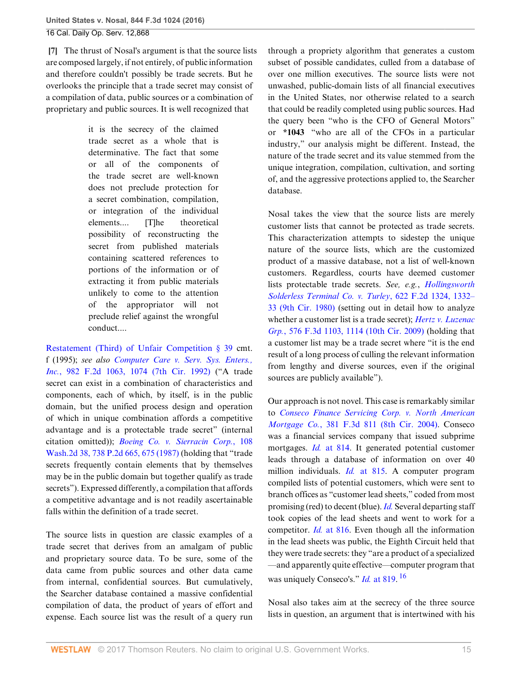<span id="page-14-0"></span>**[\[7](#page-1-4)]** The thrust of Nosal's argument is that the source lists are composed largely, if not entirely, of public information and therefore couldn't possibly be trade secrets. But he overlooks the principle that a trade secret may consist of a compilation of data, public sources or a combination of proprietary and public sources. It is well recognized that

> it is the secrecy of the claimed trade secret as a whole that is determinative. The fact that some or all of the components of the trade secret are well-known does not preclude protection for a secret combination, compilation, or integration of the individual elements.... [T]he theoretical possibility of reconstructing the secret from published materials containing scattered references to portions of the information or of extracting it from public materials unlikely to come to the attention of the appropriator will not preclude relief against the wrongful conduct....

[Restatement \(Third\) of Unfair Competition § 39](http://www.westlaw.com/Link/Document/FullText?findType=Y&pubNum=0106587&cite=REST3DUNCOMs39&originatingDoc=I62b0a700bdea11e6ac07a76176915fee&refType=TS&originationContext=document&vr=3.0&rs=cblt1.0&transitionType=DocumentItem&contextData=(sc.UserEnteredCitation)) cmt. f (1995); *see also [Computer Care v. Serv. Sys. Enters.,](http://www.westlaw.com/Link/Document/FullText?findType=Y&serNum=1992200313&pubNum=0000350&originatingDoc=I62b0a700bdea11e6ac07a76176915fee&refType=RP&fi=co_pp_sp_350_1074&originationContext=document&vr=3.0&rs=cblt1.0&transitionType=DocumentItem&contextData=(sc.UserEnteredCitation)#co_pp_sp_350_1074) Inc.*[, 982 F.2d 1063, 1074 \(7th Cir. 1992\)](http://www.westlaw.com/Link/Document/FullText?findType=Y&serNum=1992200313&pubNum=0000350&originatingDoc=I62b0a700bdea11e6ac07a76176915fee&refType=RP&fi=co_pp_sp_350_1074&originationContext=document&vr=3.0&rs=cblt1.0&transitionType=DocumentItem&contextData=(sc.UserEnteredCitation)#co_pp_sp_350_1074) ("A trade secret can exist in a combination of characteristics and components, each of which, by itself, is in the public domain, but the unified process design and operation of which in unique combination affords a competitive advantage and is a protectable trade secret" (internal citation omitted)); *[Boeing Co. v. Sierracin Corp.](http://www.westlaw.com/Link/Document/FullText?findType=Y&serNum=1987055098&pubNum=0000661&originatingDoc=I62b0a700bdea11e6ac07a76176915fee&refType=RP&fi=co_pp_sp_661_675&originationContext=document&vr=3.0&rs=cblt1.0&transitionType=DocumentItem&contextData=(sc.UserEnteredCitation)#co_pp_sp_661_675)*, 108 [Wash.2d 38, 738 P.2d 665, 675 \(1987\)](http://www.westlaw.com/Link/Document/FullText?findType=Y&serNum=1987055098&pubNum=0000661&originatingDoc=I62b0a700bdea11e6ac07a76176915fee&refType=RP&fi=co_pp_sp_661_675&originationContext=document&vr=3.0&rs=cblt1.0&transitionType=DocumentItem&contextData=(sc.UserEnteredCitation)#co_pp_sp_661_675) (holding that "trade secrets frequently contain elements that by themselves may be in the public domain but together qualify as trade secrets"). Expressed differently, a compilation that affords a competitive advantage and is not readily ascertainable falls within the definition of a trade secret.

The source lists in question are classic examples of a trade secret that derives from an amalgam of public and proprietary source data. To be sure, some of the data came from public sources and other data came from internal, confidential sources. But cumulatively, the Searcher database contained a massive confidential compilation of data, the product of years of effort and expense. Each source list was the result of a query run

through a propriety algorithm that generates a custom subset of possible candidates, culled from a database of over one million executives. The source lists were not unwashed, public-domain lists of all financial executives in the United States, nor otherwise related to a search that could be readily completed using public sources. Had the query been "who is the CFO of General Motors" or **\*1043** "who are all of the CFOs in a particular industry," our analysis might be different. Instead, the nature of the trade secret and its value stemmed from the unique integration, compilation, cultivation, and sorting of, and the aggressive protections applied to, the Searcher database.

Nosal takes the view that the source lists are merely customer lists that cannot be protected as trade secrets. This characterization attempts to sidestep the unique nature of the source lists, which are the customized product of a massive database, not a list of well-known customers. Regardless, courts have deemed customer lists protectable trade secrets. *See, e.g.*, *[Hollingsworth](http://www.westlaw.com/Link/Document/FullText?findType=Y&serNum=1980118368&pubNum=0000350&originatingDoc=I62b0a700bdea11e6ac07a76176915fee&refType=RP&fi=co_pp_sp_350_1332&originationContext=document&vr=3.0&rs=cblt1.0&transitionType=DocumentItem&contextData=(sc.UserEnteredCitation)#co_pp_sp_350_1332) [Solderless Terminal Co. v. Turley](http://www.westlaw.com/Link/Document/FullText?findType=Y&serNum=1980118368&pubNum=0000350&originatingDoc=I62b0a700bdea11e6ac07a76176915fee&refType=RP&fi=co_pp_sp_350_1332&originationContext=document&vr=3.0&rs=cblt1.0&transitionType=DocumentItem&contextData=(sc.UserEnteredCitation)#co_pp_sp_350_1332)*, 622 F.2d 1324, 1332– [33 \(9th Cir. 1980\)](http://www.westlaw.com/Link/Document/FullText?findType=Y&serNum=1980118368&pubNum=0000350&originatingDoc=I62b0a700bdea11e6ac07a76176915fee&refType=RP&fi=co_pp_sp_350_1332&originationContext=document&vr=3.0&rs=cblt1.0&transitionType=DocumentItem&contextData=(sc.UserEnteredCitation)#co_pp_sp_350_1332) (setting out in detail how to analyze whether a customer list is a trade secret); *[Hertz v. Luzenac](http://www.westlaw.com/Link/Document/FullText?findType=Y&serNum=2019580766&pubNum=0000506&originatingDoc=I62b0a700bdea11e6ac07a76176915fee&refType=RP&fi=co_pp_sp_506_1114&originationContext=document&vr=3.0&rs=cblt1.0&transitionType=DocumentItem&contextData=(sc.UserEnteredCitation)#co_pp_sp_506_1114) Grp.*[, 576 F.3d 1103, 1114 \(10th Cir. 2009\)](http://www.westlaw.com/Link/Document/FullText?findType=Y&serNum=2019580766&pubNum=0000506&originatingDoc=I62b0a700bdea11e6ac07a76176915fee&refType=RP&fi=co_pp_sp_506_1114&originationContext=document&vr=3.0&rs=cblt1.0&transitionType=DocumentItem&contextData=(sc.UserEnteredCitation)#co_pp_sp_506_1114) (holding that a customer list may be a trade secret where "it is the end result of a long process of culling the relevant information from lengthy and diverse sources, even if the original sources are publicly available").

Our approach is not novel. This case is remarkably similar to *[Conseco Finance Servicing Corp. v. North American](http://www.westlaw.com/Link/Document/FullText?findType=Y&serNum=2004951597&pubNum=0000506&originatingDoc=I62b0a700bdea11e6ac07a76176915fee&refType=RP&originationContext=document&vr=3.0&rs=cblt1.0&transitionType=DocumentItem&contextData=(sc.UserEnteredCitation)) Mortgage Co.*[, 381 F.3d 811 \(8th Cir. 2004\)](http://www.westlaw.com/Link/Document/FullText?findType=Y&serNum=2004951597&pubNum=0000506&originatingDoc=I62b0a700bdea11e6ac07a76176915fee&refType=RP&originationContext=document&vr=3.0&rs=cblt1.0&transitionType=DocumentItem&contextData=(sc.UserEnteredCitation)). Conseco was a financial services company that issued subprime mortgages. *Id.* [at 814.](http://www.westlaw.com/Link/Document/FullText?findType=Y&serNum=2004951597&pubNum=0000506&originatingDoc=I62b0a700bdea11e6ac07a76176915fee&refType=RP&fi=co_pp_sp_506_814&originationContext=document&vr=3.0&rs=cblt1.0&transitionType=DocumentItem&contextData=(sc.UserEnteredCitation)#co_pp_sp_506_814) It generated potential customer leads through a database of information on over 40 million individuals. *Id.* [at 815.](http://www.westlaw.com/Link/Document/FullText?findType=Y&serNum=2004951597&pubNum=0000506&originatingDoc=I62b0a700bdea11e6ac07a76176915fee&refType=RP&fi=co_pp_sp_506_815&originationContext=document&vr=3.0&rs=cblt1.0&transitionType=DocumentItem&contextData=(sc.UserEnteredCitation)#co_pp_sp_506_815) A computer program compiled lists of potential customers, which were sent to branch offices as "customer lead sheets," coded from most promising (red) to decent (blue). *[Id.](http://www.westlaw.com/Link/Document/FullText?findType=Y&serNum=2004951597&pubNum=0000506&originatingDoc=I62b0a700bdea11e6ac07a76176915fee&refType=RP&originationContext=document&vr=3.0&rs=cblt1.0&transitionType=DocumentItem&contextData=(sc.UserEnteredCitation))* Several departing staff took copies of the lead sheets and went to work for a competitor. *Id.* [at 816](http://www.westlaw.com/Link/Document/FullText?findType=Y&serNum=2004951597&pubNum=0000506&originatingDoc=I62b0a700bdea11e6ac07a76176915fee&refType=RP&fi=co_pp_sp_506_816&originationContext=document&vr=3.0&rs=cblt1.0&transitionType=DocumentItem&contextData=(sc.UserEnteredCitation)#co_pp_sp_506_816). Even though all the information in the lead sheets was public, the Eighth Circuit held that they were trade secrets: they "are a product of a specialized —and apparently quite effective—computer program that was uniquely Conseco's." *Id.* [at 819](http://www.westlaw.com/Link/Document/FullText?findType=Y&serNum=2004951597&pubNum=0000506&originatingDoc=I62b0a700bdea11e6ac07a76176915fee&refType=RP&fi=co_pp_sp_506_819&originationContext=document&vr=3.0&rs=cblt1.0&transitionType=DocumentItem&contextData=(sc.UserEnteredCitation)#co_pp_sp_506_819). [16](#page-26-5)

<span id="page-14-1"></span>Nosal also takes aim at the secrecy of the three source lists in question, an argument that is intertwined with his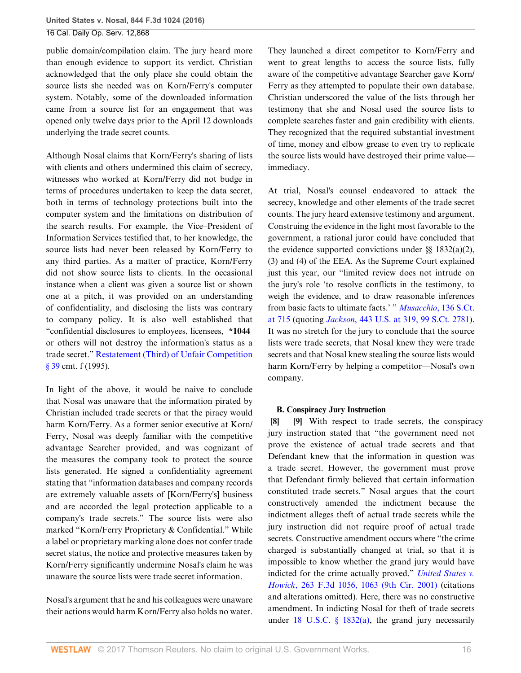public domain/compilation claim. The jury heard more than enough evidence to support its verdict. Christian acknowledged that the only place she could obtain the source lists she needed was on Korn/Ferry's computer system. Notably, some of the downloaded information came from a source list for an engagement that was opened only twelve days prior to the April 12 downloads underlying the trade secret counts.

Although Nosal claims that Korn/Ferry's sharing of lists with clients and others undermined this claim of secrecy, witnesses who worked at Korn/Ferry did not budge in terms of procedures undertaken to keep the data secret, both in terms of technology protections built into the computer system and the limitations on distribution of the search results. For example, the Vice–President of Information Services testified that, to her knowledge, the source lists had never been released by Korn/Ferry to any third parties. As a matter of practice, Korn/Ferry did not show source lists to clients. In the occasional instance when a client was given a source list or shown one at a pitch, it was provided on an understanding of confidentiality, and disclosing the lists was contrary to company policy. It is also well established that "confidential disclosures to employees, licensees, **\*1044** or others will not destroy the information's status as a trade secret." [Restatement \(Third\) of Unfair Competition](http://www.westlaw.com/Link/Document/FullText?findType=Y&pubNum=0106587&cite=REST3DUNCOMs39&originatingDoc=I62b0a700bdea11e6ac07a76176915fee&refType=TS&originationContext=document&vr=3.0&rs=cblt1.0&transitionType=DocumentItem&contextData=(sc.UserEnteredCitation)) [§ 39](http://www.westlaw.com/Link/Document/FullText?findType=Y&pubNum=0106587&cite=REST3DUNCOMs39&originatingDoc=I62b0a700bdea11e6ac07a76176915fee&refType=TS&originationContext=document&vr=3.0&rs=cblt1.0&transitionType=DocumentItem&contextData=(sc.UserEnteredCitation)) cmt. f (1995).

In light of the above, it would be naive to conclude that Nosal was unaware that the information pirated by Christian included trade secrets or that the piracy would harm Korn/Ferry. As a former senior executive at Korn/ Ferry, Nosal was deeply familiar with the competitive advantage Searcher provided, and was cognizant of the measures the company took to protect the source lists generated. He signed a confidentiality agreement stating that "information databases and company records are extremely valuable assets of [Korn/Ferry's] business and are accorded the legal protection applicable to a company's trade secrets." The source lists were also marked "Korn/Ferry Proprietary & Confidential." While a label or proprietary marking alone does not confer trade secret status, the notice and protective measures taken by Korn/Ferry significantly undermine Nosal's claim he was unaware the source lists were trade secret information.

Nosal's argument that he and his colleagues were unaware their actions would harm Korn/Ferry also holds no water. They launched a direct competitor to Korn/Ferry and went to great lengths to access the source lists, fully aware of the competitive advantage Searcher gave Korn/ Ferry as they attempted to populate their own database. Christian underscored the value of the lists through her testimony that she and Nosal used the source lists to complete searches faster and gain credibility with clients. They recognized that the required substantial investment of time, money and elbow grease to even try to replicate the source lists would have destroyed their prime value immediacy.

At trial, Nosal's counsel endeavored to attack the secrecy, knowledge and other elements of the trade secret counts. The jury heard extensive testimony and argument. Construing the evidence in the light most favorable to the government, a rational juror could have concluded that the evidence supported convictions under  $\S$ § 1832(a)(2), (3) and (4) of the EEA. As the Supreme Court explained just this year, our "limited review does not intrude on the jury's role 'to resolve conflicts in the testimony, to weigh the evidence, and to draw reasonable inferences from basic facts to ultimate facts.' " *[Musacchio](http://www.westlaw.com/Link/Document/FullText?findType=Y&serNum=2038150527&pubNum=0000708&originatingDoc=I62b0a700bdea11e6ac07a76176915fee&refType=RP&fi=co_pp_sp_708_715&originationContext=document&vr=3.0&rs=cblt1.0&transitionType=DocumentItem&contextData=(sc.UserEnteredCitation)#co_pp_sp_708_715)*, 136 S.Ct. [at 715](http://www.westlaw.com/Link/Document/FullText?findType=Y&serNum=2038150527&pubNum=0000708&originatingDoc=I62b0a700bdea11e6ac07a76176915fee&refType=RP&fi=co_pp_sp_708_715&originationContext=document&vr=3.0&rs=cblt1.0&transitionType=DocumentItem&contextData=(sc.UserEnteredCitation)#co_pp_sp_708_715) (quoting *Jackson*[, 443 U.S. at 319, 99 S.Ct. 2781\)](http://www.westlaw.com/Link/Document/FullText?findType=Y&serNum=1979135171&pubNum=0000708&originatingDoc=I62b0a700bdea11e6ac07a76176915fee&refType=RP&originationContext=document&vr=3.0&rs=cblt1.0&transitionType=DocumentItem&contextData=(sc.UserEnteredCitation)). It was no stretch for the jury to conclude that the source lists were trade secrets, that Nosal knew they were trade secrets and that Nosal knew stealing the source lists would harm Korn/Ferry by helping a competitor—Nosal's own company.

## <span id="page-15-1"></span><span id="page-15-0"></span>**B. Conspiracy Jury Instruction**

**[\[8](#page-1-5)] [\[9](#page-1-6)]** With respect to trade secrets, the conspiracy jury instruction stated that "the government need not prove the existence of actual trade secrets and that Defendant knew that the information in question was a trade secret. However, the government must prove that Defendant firmly believed that certain information constituted trade secrets." Nosal argues that the court constructively amended the indictment because the indictment alleges theft of actual trade secrets while the jury instruction did not require proof of actual trade secrets. Constructive amendment occurs where "the crime charged is substantially changed at trial, so that it is impossible to know whether the grand jury would have indicted for the crime actually proved." *[United States v.](http://www.westlaw.com/Link/Document/FullText?findType=Y&serNum=2001751006&pubNum=0000506&originatingDoc=I62b0a700bdea11e6ac07a76176915fee&refType=RP&fi=co_pp_sp_506_1063&originationContext=document&vr=3.0&rs=cblt1.0&transitionType=DocumentItem&contextData=(sc.UserEnteredCitation)#co_pp_sp_506_1063) Howick*[, 263 F.3d 1056, 1063 \(9th Cir. 2001\)](http://www.westlaw.com/Link/Document/FullText?findType=Y&serNum=2001751006&pubNum=0000506&originatingDoc=I62b0a700bdea11e6ac07a76176915fee&refType=RP&fi=co_pp_sp_506_1063&originationContext=document&vr=3.0&rs=cblt1.0&transitionType=DocumentItem&contextData=(sc.UserEnteredCitation)#co_pp_sp_506_1063) (citations and alterations omitted). Here, there was no constructive amendment. In indicting Nosal for theft of trade secrets under 18 U.S.C.  $\S$  1832(a), the grand jury necessarily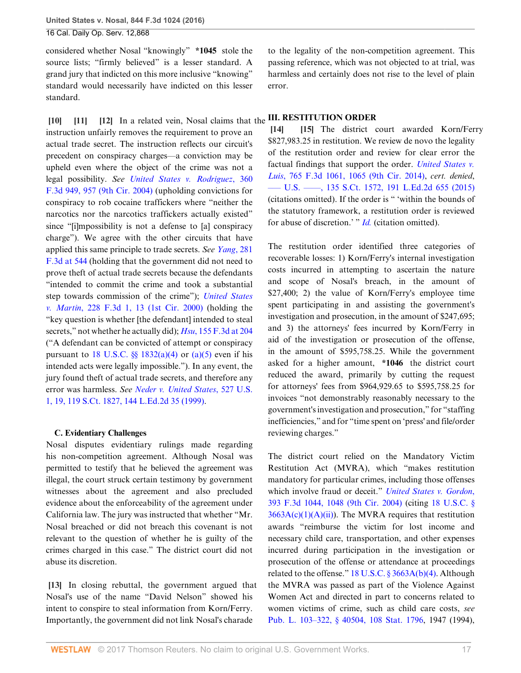considered whether Nosal "knowingly" **\*1045** stole the source lists; "firmly believed" is a lesser standard. A grand jury that indicted on this more inclusive "knowing" standard would necessarily have indicted on this lesser standard.

<span id="page-16-2"></span><span id="page-16-1"></span><span id="page-16-0"></span>**[\[10](#page-2-0)] [\[11](#page-2-1)] [\[12](#page-2-2)]** In a related vein, Nosal claims that the **III. RESTITUTION ORDER** instruction unfairly removes the requirement to prove an actual trade secret. The instruction reflects our circuit's precedent on conspiracy charges—a conviction may be upheld even where the object of the crime was not a legal possibility. *See [United States v. Rodriguez](http://www.westlaw.com/Link/Document/FullText?findType=Y&serNum=2004151709&pubNum=0000506&originatingDoc=I62b0a700bdea11e6ac07a76176915fee&refType=RP&fi=co_pp_sp_506_957&originationContext=document&vr=3.0&rs=cblt1.0&transitionType=DocumentItem&contextData=(sc.UserEnteredCitation)#co_pp_sp_506_957)*, 360 [F.3d 949, 957 \(9th Cir. 2004\)](http://www.westlaw.com/Link/Document/FullText?findType=Y&serNum=2004151709&pubNum=0000506&originatingDoc=I62b0a700bdea11e6ac07a76176915fee&refType=RP&fi=co_pp_sp_506_957&originationContext=document&vr=3.0&rs=cblt1.0&transitionType=DocumentItem&contextData=(sc.UserEnteredCitation)#co_pp_sp_506_957) (upholding convictions for conspiracy to rob cocaine traffickers where "neither the narcotics nor the narcotics traffickers actually existed" since "[i]mpossibility is not a defense to [a] conspiracy charge"). We agree with the other circuits that have applied this same principle to trade secrets. *See [Yang](http://www.westlaw.com/Link/Document/FullText?findType=Y&serNum=2002133974&pubNum=0000506&originatingDoc=I62b0a700bdea11e6ac07a76176915fee&refType=RP&fi=co_pp_sp_506_544&originationContext=document&vr=3.0&rs=cblt1.0&transitionType=DocumentItem&contextData=(sc.UserEnteredCitation)#co_pp_sp_506_544)*, 281 [F.3d at 544](http://www.westlaw.com/Link/Document/FullText?findType=Y&serNum=2002133974&pubNum=0000506&originatingDoc=I62b0a700bdea11e6ac07a76176915fee&refType=RP&fi=co_pp_sp_506_544&originationContext=document&vr=3.0&rs=cblt1.0&transitionType=DocumentItem&contextData=(sc.UserEnteredCitation)#co_pp_sp_506_544) (holding that the government did not need to prove theft of actual trade secrets because the defendants "intended to commit the crime and took a substantial step towards commission of the crime"); *[United States](http://www.westlaw.com/Link/Document/FullText?findType=Y&serNum=2000533124&pubNum=0000506&originatingDoc=I62b0a700bdea11e6ac07a76176915fee&refType=RP&fi=co_pp_sp_506_13&originationContext=document&vr=3.0&rs=cblt1.0&transitionType=DocumentItem&contextData=(sc.UserEnteredCitation)#co_pp_sp_506_13) v. Martin*[, 228 F.3d 1, 13 \(1st Cir. 2000\)](http://www.westlaw.com/Link/Document/FullText?findType=Y&serNum=2000533124&pubNum=0000506&originatingDoc=I62b0a700bdea11e6ac07a76176915fee&refType=RP&fi=co_pp_sp_506_13&originationContext=document&vr=3.0&rs=cblt1.0&transitionType=DocumentItem&contextData=(sc.UserEnteredCitation)#co_pp_sp_506_13) (holding the "key question is whether [the defendant] intended to steal secrets," not whether he actually did); *Hsu*[, 155 F.3d at 204](http://www.westlaw.com/Link/Document/FullText?findType=Y&serNum=1998178891&pubNum=0000506&originatingDoc=I62b0a700bdea11e6ac07a76176915fee&refType=RP&fi=co_pp_sp_506_204&originationContext=document&vr=3.0&rs=cblt1.0&transitionType=DocumentItem&contextData=(sc.UserEnteredCitation)#co_pp_sp_506_204) ("A defendant can be convicted of attempt or conspiracy pursuant to 18 U.S.C.  $\S$  1832(a)(4) or [\(a\)\(5\)](http://www.westlaw.com/Link/Document/FullText?findType=L&pubNum=1000546&cite=18USCAS1832&originatingDoc=I62b0a700bdea11e6ac07a76176915fee&refType=SP&originationContext=document&vr=3.0&rs=cblt1.0&transitionType=DocumentItem&contextData=(sc.UserEnteredCitation)#co_pp_488b0000d05e2) even if his intended acts were legally impossible."). In any event, the jury found theft of actual trade secrets, and therefore any error was harmless. *See [Neder v. United States](http://www.westlaw.com/Link/Document/FullText?findType=Y&serNum=1999137124&pubNum=0000708&originatingDoc=I62b0a700bdea11e6ac07a76176915fee&refType=RP&originationContext=document&vr=3.0&rs=cblt1.0&transitionType=DocumentItem&contextData=(sc.UserEnteredCitation))*, 527 U.S. [1, 19, 119 S.Ct. 1827, 144 L.Ed.2d 35 \(1999\)](http://www.westlaw.com/Link/Document/FullText?findType=Y&serNum=1999137124&pubNum=0000708&originatingDoc=I62b0a700bdea11e6ac07a76176915fee&refType=RP&originationContext=document&vr=3.0&rs=cblt1.0&transitionType=DocumentItem&contextData=(sc.UserEnteredCitation)).

## **C. Evidentiary Challenges**

Nosal disputes evidentiary rulings made regarding his non-competition agreement. Although Nosal was permitted to testify that he believed the agreement was illegal, the court struck certain testimony by government witnesses about the agreement and also precluded evidence about the enforceability of the agreement under California law. The jury was instructed that whether "Mr. Nosal breached or did not breach this covenant is not relevant to the question of whether he is guilty of the crimes charged in this case." The district court did not abuse its discretion.

<span id="page-16-3"></span>**[\[13](#page-2-3)]** In closing rebuttal, the government argued that Nosal's use of the name "David Nelson" showed his intent to conspire to steal information from Korn/Ferry. Importantly, the government did not link Nosal's charade

to the legality of the non-competition agreement. This passing reference, which was not objected to at trial, was harmless and certainly does not rise to the level of plain error.

<span id="page-16-5"></span><span id="page-16-4"></span>**[\[14](#page-2-4)] [\[15](#page-2-5)]** The district court awarded Korn/Ferry \$827,983.25 in restitution. We review de novo the legality of the restitution order and review for clear error the factual findings that support the order. *[United States v.](http://www.westlaw.com/Link/Document/FullText?findType=Y&serNum=2034230780&pubNum=0000506&originatingDoc=I62b0a700bdea11e6ac07a76176915fee&refType=RP&fi=co_pp_sp_506_1065&originationContext=document&vr=3.0&rs=cblt1.0&transitionType=DocumentItem&contextData=(sc.UserEnteredCitation)#co_pp_sp_506_1065) Luis*[, 765 F.3d 1061, 1065 \(9th Cir. 2014\)](http://www.westlaw.com/Link/Document/FullText?findType=Y&serNum=2034230780&pubNum=0000506&originatingDoc=I62b0a700bdea11e6ac07a76176915fee&refType=RP&fi=co_pp_sp_506_1065&originationContext=document&vr=3.0&rs=cblt1.0&transitionType=DocumentItem&contextData=(sc.UserEnteredCitation)#co_pp_sp_506_1065), *cert. denied*, [––– U.S. ––––, 135 S.Ct. 1572, 191 L.Ed.2d 655 \(2015\)](http://www.westlaw.com/Link/Document/FullText?findType=Y&pubNum=0000708&cite=135SCT1572&originatingDoc=I62b0a700bdea11e6ac07a76176915fee&refType=RP&originationContext=document&vr=3.0&rs=cblt1.0&transitionType=DocumentItem&contextData=(sc.UserEnteredCitation)) (citations omitted). If the order is " 'within the bounds of the statutory framework, a restitution order is reviewed for abuse of discretion.' " *[Id.](http://www.westlaw.com/Link/Document/FullText?findType=Y&serNum=2034230780&pubNum=0000506&originatingDoc=I62b0a700bdea11e6ac07a76176915fee&refType=RP&originationContext=document&vr=3.0&rs=cblt1.0&transitionType=DocumentItem&contextData=(sc.UserEnteredCitation))* (citation omitted).

The restitution order identified three categories of recoverable losses: 1) Korn/Ferry's internal investigation costs incurred in attempting to ascertain the nature and scope of Nosal's breach, in the amount of \$27,400; 2) the value of Korn/Ferry's employee time spent participating in and assisting the government's investigation and prosecution, in the amount of \$247,695; and 3) the attorneys' fees incurred by Korn/Ferry in aid of the investigation or prosecution of the offense, in the amount of \$595,758.25. While the government asked for a higher amount, **\*1046** the district court reduced the award, primarily by cutting the request for attorneys' fees from \$964,929.65 to \$595,758.25 for invoices "not demonstrably reasonably necessary to the government's investigation and prosecution," for "staffing inefficiencies," and for "time spent on 'press' and file/order reviewing charges."

The district court relied on the Mandatory Victim Restitution Act (MVRA), which "makes restitution mandatory for particular crimes, including those offenses which involve fraud or deceit." *[United States v. Gordon](http://www.westlaw.com/Link/Document/FullText?findType=Y&serNum=2005869719&pubNum=0000506&originatingDoc=I62b0a700bdea11e6ac07a76176915fee&refType=RP&fi=co_pp_sp_506_1048&originationContext=document&vr=3.0&rs=cblt1.0&transitionType=DocumentItem&contextData=(sc.UserEnteredCitation)#co_pp_sp_506_1048)*, [393 F.3d 1044, 1048 \(9th Cir. 2004\)](http://www.westlaw.com/Link/Document/FullText?findType=Y&serNum=2005869719&pubNum=0000506&originatingDoc=I62b0a700bdea11e6ac07a76176915fee&refType=RP&fi=co_pp_sp_506_1048&originationContext=document&vr=3.0&rs=cblt1.0&transitionType=DocumentItem&contextData=(sc.UserEnteredCitation)#co_pp_sp_506_1048) (citing [18 U.S.C. §](http://www.westlaw.com/Link/Document/FullText?findType=L&pubNum=1000546&cite=18USCAS3663A&originatingDoc=I62b0a700bdea11e6ac07a76176915fee&refType=SP&originationContext=document&vr=3.0&rs=cblt1.0&transitionType=DocumentItem&contextData=(sc.UserEnteredCitation)#co_pp_e02c000039f27)  $3663A(c)(1)(A)(ii)$ . The MVRA requires that restitution awards "reimburse the victim for lost income and necessary child care, transportation, and other expenses incurred during participation in the investigation or prosecution of the offense or attendance at proceedings related to the offense." [18 U.S.C. § 3663A\(b\)\(4\)](http://www.westlaw.com/Link/Document/FullText?findType=L&pubNum=1000546&cite=18USCAS3663A&originatingDoc=I62b0a700bdea11e6ac07a76176915fee&refType=SP&originationContext=document&vr=3.0&rs=cblt1.0&transitionType=DocumentItem&contextData=(sc.UserEnteredCitation)#co_pp_6ad60000aeea7). Although the MVRA was passed as part of the Violence Against Women Act and directed in part to concerns related to women victims of crime, such as child care costs, *see* [Pub. L. 103–322, § 40504, 108 Stat. 1796,](http://www.westlaw.com/Link/Document/FullText?findType=l&pubNum=1077005&cite=UUID(ID14F6788C8-514A68AF5C8-DB99CD86958)&originatingDoc=I62b0a700bdea11e6ac07a76176915fee&refType=SL&originationContext=document&vr=3.0&rs=cblt1.0&transitionType=DocumentItem&contextData=(sc.UserEnteredCitation)) 1947 (1994),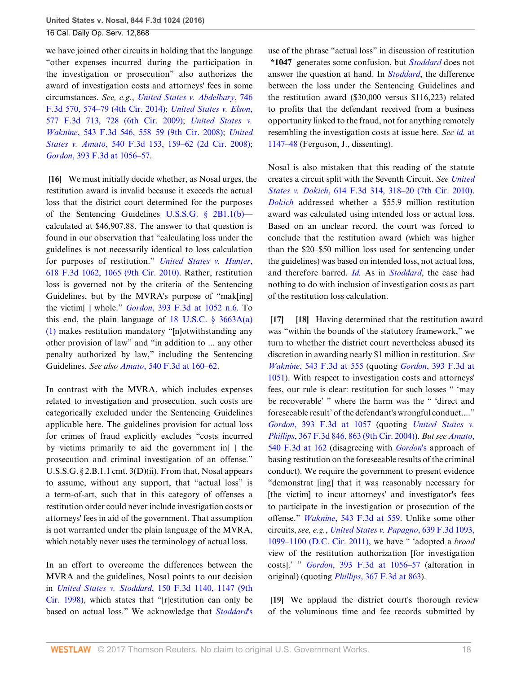we have joined other circuits in holding that the language "other expenses incurred during the participation in the investigation or prosecution" also authorizes the award of investigation costs and attorneys' fees in some circumstances. *See, e.g.*, *[United States v. Abdelbary](http://www.westlaw.com/Link/Document/FullText?findType=Y&serNum=2032873417&pubNum=0000506&originatingDoc=I62b0a700bdea11e6ac07a76176915fee&refType=RP&fi=co_pp_sp_506_574&originationContext=document&vr=3.0&rs=cblt1.0&transitionType=DocumentItem&contextData=(sc.UserEnteredCitation)#co_pp_sp_506_574)*, 746 [F.3d 570, 574–79 \(4th Cir. 2014\)](http://www.westlaw.com/Link/Document/FullText?findType=Y&serNum=2032873417&pubNum=0000506&originatingDoc=I62b0a700bdea11e6ac07a76176915fee&refType=RP&fi=co_pp_sp_506_574&originationContext=document&vr=3.0&rs=cblt1.0&transitionType=DocumentItem&contextData=(sc.UserEnteredCitation)#co_pp_sp_506_574); *[United States v. Elson](http://www.westlaw.com/Link/Document/FullText?findType=Y&serNum=2019654926&pubNum=0000506&originatingDoc=I62b0a700bdea11e6ac07a76176915fee&refType=RP&fi=co_pp_sp_506_728&originationContext=document&vr=3.0&rs=cblt1.0&transitionType=DocumentItem&contextData=(sc.UserEnteredCitation)#co_pp_sp_506_728)*, [577 F.3d 713, 728 \(6th Cir. 2009\);](http://www.westlaw.com/Link/Document/FullText?findType=Y&serNum=2019654926&pubNum=0000506&originatingDoc=I62b0a700bdea11e6ac07a76176915fee&refType=RP&fi=co_pp_sp_506_728&originationContext=document&vr=3.0&rs=cblt1.0&transitionType=DocumentItem&contextData=(sc.UserEnteredCitation)#co_pp_sp_506_728) *[United States v.](http://www.westlaw.com/Link/Document/FullText?findType=Y&serNum=2016942330&pubNum=0000506&originatingDoc=I62b0a700bdea11e6ac07a76176915fee&refType=RP&fi=co_pp_sp_506_558&originationContext=document&vr=3.0&rs=cblt1.0&transitionType=DocumentItem&contextData=(sc.UserEnteredCitation)#co_pp_sp_506_558) Waknine*[, 543 F.3d 546, 558–59 \(9th Cir. 2008\)](http://www.westlaw.com/Link/Document/FullText?findType=Y&serNum=2016942330&pubNum=0000506&originatingDoc=I62b0a700bdea11e6ac07a76176915fee&refType=RP&fi=co_pp_sp_506_558&originationContext=document&vr=3.0&rs=cblt1.0&transitionType=DocumentItem&contextData=(sc.UserEnteredCitation)#co_pp_sp_506_558); *[United](http://www.westlaw.com/Link/Document/FullText?findType=Y&serNum=2016809680&pubNum=0000506&originatingDoc=I62b0a700bdea11e6ac07a76176915fee&refType=RP&fi=co_pp_sp_506_159&originationContext=document&vr=3.0&rs=cblt1.0&transitionType=DocumentItem&contextData=(sc.UserEnteredCitation)#co_pp_sp_506_159) States v. Amato*[, 540 F.3d 153, 159–62 \(2d Cir. 2008\)](http://www.westlaw.com/Link/Document/FullText?findType=Y&serNum=2016809680&pubNum=0000506&originatingDoc=I62b0a700bdea11e6ac07a76176915fee&refType=RP&fi=co_pp_sp_506_159&originationContext=document&vr=3.0&rs=cblt1.0&transitionType=DocumentItem&contextData=(sc.UserEnteredCitation)#co_pp_sp_506_159); *Gordon*[, 393 F.3d at 1056–57.](http://www.westlaw.com/Link/Document/FullText?findType=Y&serNum=2005869719&pubNum=0000506&originatingDoc=I62b0a700bdea11e6ac07a76176915fee&refType=RP&fi=co_pp_sp_506_1056&originationContext=document&vr=3.0&rs=cblt1.0&transitionType=DocumentItem&contextData=(sc.UserEnteredCitation)#co_pp_sp_506_1056)

<span id="page-17-0"></span>**[\[16](#page-2-6)]** We must initially decide whether, as Nosal urges, the restitution award is invalid because it exceeds the actual loss that the district court determined for the purposes of the Sentencing Guidelines [U.S.S.G. § 2B1.1\(b\)](http://www.westlaw.com/Link/Document/FullText?findType=L&pubNum=0004057&cite=FSGS2B1.1&originatingDoc=I62b0a700bdea11e6ac07a76176915fee&refType=LQ&originationContext=document&vr=3.0&rs=cblt1.0&transitionType=DocumentItem&contextData=(sc.UserEnteredCitation)) calculated at \$46,907.88. The answer to that question is found in our observation that "calculating loss under the guidelines is not necessarily identical to loss calculation for purposes of restitution." *[United States v. Hunter](http://www.westlaw.com/Link/Document/FullText?findType=Y&serNum=2022816622&pubNum=0000506&originatingDoc=I62b0a700bdea11e6ac07a76176915fee&refType=RP&fi=co_pp_sp_506_1065&originationContext=document&vr=3.0&rs=cblt1.0&transitionType=DocumentItem&contextData=(sc.UserEnteredCitation)#co_pp_sp_506_1065)*, [618 F.3d 1062, 1065 \(9th Cir. 2010\)](http://www.westlaw.com/Link/Document/FullText?findType=Y&serNum=2022816622&pubNum=0000506&originatingDoc=I62b0a700bdea11e6ac07a76176915fee&refType=RP&fi=co_pp_sp_506_1065&originationContext=document&vr=3.0&rs=cblt1.0&transitionType=DocumentItem&contextData=(sc.UserEnteredCitation)#co_pp_sp_506_1065). Rather, restitution loss is governed not by the criteria of the Sentencing Guidelines, but by the MVRA's purpose of "mak[ing] the victim[ ] whole." *Gordon*[, 393 F.3d at 1052 n.6](http://www.westlaw.com/Link/Document/FullText?findType=Y&serNum=2005869719&pubNum=0000506&originatingDoc=I62b0a700bdea11e6ac07a76176915fee&refType=RP&fi=co_pp_sp_506_1052&originationContext=document&vr=3.0&rs=cblt1.0&transitionType=DocumentItem&contextData=(sc.UserEnteredCitation)#co_pp_sp_506_1052). To this end, the plain language of  $18$  U.S.C. § 3663A(a) [\(1\)](http://www.westlaw.com/Link/Document/FullText?findType=L&pubNum=1000546&cite=18USCAS3663A&originatingDoc=I62b0a700bdea11e6ac07a76176915fee&refType=SP&originationContext=document&vr=3.0&rs=cblt1.0&transitionType=DocumentItem&contextData=(sc.UserEnteredCitation)#co_pp_7b9b000044381) makes restitution mandatory "[n]otwithstanding any other provision of law" and "in addition to ... any other penalty authorized by law," including the Sentencing Guidelines. *See also Amato*[, 540 F.3d at 160–62](http://www.westlaw.com/Link/Document/FullText?findType=Y&serNum=2016809680&pubNum=0000506&originatingDoc=I62b0a700bdea11e6ac07a76176915fee&refType=RP&fi=co_pp_sp_506_160&originationContext=document&vr=3.0&rs=cblt1.0&transitionType=DocumentItem&contextData=(sc.UserEnteredCitation)#co_pp_sp_506_160).

In contrast with the MVRA, which includes expenses related to investigation and prosecution, such costs are categorically excluded under the Sentencing Guidelines applicable here. The guidelines provision for actual loss for crimes of fraud explicitly excludes "costs incurred by victims primarily to aid the government in[ ] the prosecution and criminal investigation of an offense." U.S.S.G. § 2.B.1.1 cmt. 3(D)(ii). From that, Nosal appears to assume, without any support, that "actual loss" is a term-of-art, such that in this category of offenses a restitution order could never include investigation costs or attorneys' fees in aid of the government. That assumption is not warranted under the plain language of the MVRA, which notably never uses the terminology of actual loss.

In an effort to overcome the differences between the MVRA and the guidelines, Nosal points to our decision in *United States v. Stoddard*[, 150 F.3d 1140, 1147 \(9th](http://www.westlaw.com/Link/Document/FullText?findType=Y&serNum=1998160208&pubNum=0000506&originatingDoc=I62b0a700bdea11e6ac07a76176915fee&refType=RP&fi=co_pp_sp_506_1147&originationContext=document&vr=3.0&rs=cblt1.0&transitionType=DocumentItem&contextData=(sc.UserEnteredCitation)#co_pp_sp_506_1147) [Cir. 1998\)](http://www.westlaw.com/Link/Document/FullText?findType=Y&serNum=1998160208&pubNum=0000506&originatingDoc=I62b0a700bdea11e6ac07a76176915fee&refType=RP&fi=co_pp_sp_506_1147&originationContext=document&vr=3.0&rs=cblt1.0&transitionType=DocumentItem&contextData=(sc.UserEnteredCitation)#co_pp_sp_506_1147), which states that "[r]estitution can only be based on actual loss." We acknowledge that *[Stoddard](http://www.westlaw.com/Link/Document/FullText?findType=Y&serNum=1998160208&originatingDoc=I62b0a700bdea11e6ac07a76176915fee&refType=RP&originationContext=document&vr=3.0&rs=cblt1.0&transitionType=DocumentItem&contextData=(sc.UserEnteredCitation))*'s use of the phrase "actual loss" in discussion of restitution **\*1047** generates some confusion, but *[Stoddard](http://www.westlaw.com/Link/Document/FullText?findType=Y&serNum=1998160208&pubNum=0000506&originatingDoc=I62b0a700bdea11e6ac07a76176915fee&refType=RP&originationContext=document&vr=3.0&rs=cblt1.0&transitionType=DocumentItem&contextData=(sc.UserEnteredCitation))* does not answer the question at hand. In *[Stoddard](http://www.westlaw.com/Link/Document/FullText?findType=Y&serNum=1998160208&pubNum=0000506&originatingDoc=I62b0a700bdea11e6ac07a76176915fee&refType=RP&originationContext=document&vr=3.0&rs=cblt1.0&transitionType=DocumentItem&contextData=(sc.UserEnteredCitation))*, the difference between the loss under the Sentencing Guidelines and the restitution award (\$30,000 versus \$116,223) related to profits that the defendant received from a business opportunity linked to the fraud, not for anything remotely resembling the investigation costs at issue here. *See id.* [at](http://www.westlaw.com/Link/Document/FullText?findType=Y&serNum=1998160208&pubNum=0000506&originatingDoc=I62b0a700bdea11e6ac07a76176915fee&refType=RP&fi=co_pp_sp_506_1147&originationContext=document&vr=3.0&rs=cblt1.0&transitionType=DocumentItem&contextData=(sc.UserEnteredCitation)#co_pp_sp_506_1147) [1147–48](http://www.westlaw.com/Link/Document/FullText?findType=Y&serNum=1998160208&pubNum=0000506&originatingDoc=I62b0a700bdea11e6ac07a76176915fee&refType=RP&fi=co_pp_sp_506_1147&originationContext=document&vr=3.0&rs=cblt1.0&transitionType=DocumentItem&contextData=(sc.UserEnteredCitation)#co_pp_sp_506_1147) (Ferguson, J., dissenting).

Nosal is also mistaken that this reading of the statute creates a circuit split with the Seventh Circuit. *See [United](http://www.westlaw.com/Link/Document/FullText?findType=Y&serNum=2022574520&pubNum=0000506&originatingDoc=I62b0a700bdea11e6ac07a76176915fee&refType=RP&fi=co_pp_sp_506_318&originationContext=document&vr=3.0&rs=cblt1.0&transitionType=DocumentItem&contextData=(sc.UserEnteredCitation)#co_pp_sp_506_318) States v. Dokich*[, 614 F.3d 314, 318–20 \(7th Cir. 2010\)](http://www.westlaw.com/Link/Document/FullText?findType=Y&serNum=2022574520&pubNum=0000506&originatingDoc=I62b0a700bdea11e6ac07a76176915fee&refType=RP&fi=co_pp_sp_506_318&originationContext=document&vr=3.0&rs=cblt1.0&transitionType=DocumentItem&contextData=(sc.UserEnteredCitation)#co_pp_sp_506_318). *[Dokich](http://www.westlaw.com/Link/Document/FullText?findType=Y&serNum=2022574520&pubNum=0000506&originatingDoc=I62b0a700bdea11e6ac07a76176915fee&refType=RP&originationContext=document&vr=3.0&rs=cblt1.0&transitionType=DocumentItem&contextData=(sc.UserEnteredCitation))* addressed whether a \$55.9 million restitution award was calculated using intended loss or actual loss. Based on an unclear record, the court was forced to conclude that the restitution award (which was higher than the \$20–\$50 million loss used for sentencing under the guidelines) was based on intended loss, not actual loss, and therefore barred. *[Id.](http://www.westlaw.com/Link/Document/FullText?findType=Y&serNum=2022574520&pubNum=0000506&originatingDoc=I62b0a700bdea11e6ac07a76176915fee&refType=RP&originationContext=document&vr=3.0&rs=cblt1.0&transitionType=DocumentItem&contextData=(sc.UserEnteredCitation))* As in *[Stoddard](http://www.westlaw.com/Link/Document/FullText?findType=Y&serNum=1998160208&pubNum=0000506&originatingDoc=I62b0a700bdea11e6ac07a76176915fee&refType=RP&originationContext=document&vr=3.0&rs=cblt1.0&transitionType=DocumentItem&contextData=(sc.UserEnteredCitation))*, the case had nothing to do with inclusion of investigation costs as part of the restitution loss calculation.

<span id="page-17-2"></span><span id="page-17-1"></span>**[\[17](#page-2-7)] [\[18](#page-3-2)]** Having determined that the restitution award was "within the bounds of the statutory framework," we turn to whether the district court nevertheless abused its discretion in awarding nearly \$1 million in restitution. *See Waknine*[, 543 F.3d at 555](http://www.westlaw.com/Link/Document/FullText?findType=Y&serNum=2016942330&pubNum=0000506&originatingDoc=I62b0a700bdea11e6ac07a76176915fee&refType=RP&fi=co_pp_sp_506_555&originationContext=document&vr=3.0&rs=cblt1.0&transitionType=DocumentItem&contextData=(sc.UserEnteredCitation)#co_pp_sp_506_555) (quoting *Gordon*[, 393 F.3d at](http://www.westlaw.com/Link/Document/FullText?findType=Y&serNum=2005869719&pubNum=0000506&originatingDoc=I62b0a700bdea11e6ac07a76176915fee&refType=RP&fi=co_pp_sp_506_1051&originationContext=document&vr=3.0&rs=cblt1.0&transitionType=DocumentItem&contextData=(sc.UserEnteredCitation)#co_pp_sp_506_1051) [1051](http://www.westlaw.com/Link/Document/FullText?findType=Y&serNum=2005869719&pubNum=0000506&originatingDoc=I62b0a700bdea11e6ac07a76176915fee&refType=RP&fi=co_pp_sp_506_1051&originationContext=document&vr=3.0&rs=cblt1.0&transitionType=DocumentItem&contextData=(sc.UserEnteredCitation)#co_pp_sp_506_1051)). With respect to investigation costs and attorneys' fees, our rule is clear: restitution for such losses " 'may be recoverable' " where the harm was the " 'direct and foreseeable result' of the defendant's wrongful conduct...." *Gordon*[, 393 F.3d at 1057](http://www.westlaw.com/Link/Document/FullText?findType=Y&serNum=2005869719&pubNum=0000506&originatingDoc=I62b0a700bdea11e6ac07a76176915fee&refType=RP&fi=co_pp_sp_506_1057&originationContext=document&vr=3.0&rs=cblt1.0&transitionType=DocumentItem&contextData=(sc.UserEnteredCitation)#co_pp_sp_506_1057) (quoting *[United States v.](http://www.westlaw.com/Link/Document/FullText?findType=Y&serNum=2004414371&pubNum=0000506&originatingDoc=I62b0a700bdea11e6ac07a76176915fee&refType=RP&fi=co_pp_sp_506_863&originationContext=document&vr=3.0&rs=cblt1.0&transitionType=DocumentItem&contextData=(sc.UserEnteredCitation)#co_pp_sp_506_863) Phillips*[, 367 F.3d 846, 863 \(9th Cir. 2004\)](http://www.westlaw.com/Link/Document/FullText?findType=Y&serNum=2004414371&pubNum=0000506&originatingDoc=I62b0a700bdea11e6ac07a76176915fee&refType=RP&fi=co_pp_sp_506_863&originationContext=document&vr=3.0&rs=cblt1.0&transitionType=DocumentItem&contextData=(sc.UserEnteredCitation)#co_pp_sp_506_863)). *But see [Amato](http://www.westlaw.com/Link/Document/FullText?findType=Y&serNum=2016809680&pubNum=0000506&originatingDoc=I62b0a700bdea11e6ac07a76176915fee&refType=RP&fi=co_pp_sp_506_162&originationContext=document&vr=3.0&rs=cblt1.0&transitionType=DocumentItem&contextData=(sc.UserEnteredCitation)#co_pp_sp_506_162)*, [540 F.3d at 162](http://www.westlaw.com/Link/Document/FullText?findType=Y&serNum=2016809680&pubNum=0000506&originatingDoc=I62b0a700bdea11e6ac07a76176915fee&refType=RP&fi=co_pp_sp_506_162&originationContext=document&vr=3.0&rs=cblt1.0&transitionType=DocumentItem&contextData=(sc.UserEnteredCitation)#co_pp_sp_506_162) (disagreeing with *[Gordon](http://www.westlaw.com/Link/Document/FullText?findType=Y&serNum=2005869719&originatingDoc=I62b0a700bdea11e6ac07a76176915fee&refType=RP&originationContext=document&vr=3.0&rs=cblt1.0&transitionType=DocumentItem&contextData=(sc.UserEnteredCitation))*'s approach of basing restitution on the foreseeable results of the criminal conduct). We require the government to present evidence "demonstrat [ing] that it was reasonably necessary for [the victim] to incur attorneys' and investigator's fees to participate in the investigation or prosecution of the offense." *Waknine*[, 543 F.3d at 559](http://www.westlaw.com/Link/Document/FullText?findType=Y&serNum=2016942330&pubNum=0000506&originatingDoc=I62b0a700bdea11e6ac07a76176915fee&refType=RP&fi=co_pp_sp_506_559&originationContext=document&vr=3.0&rs=cblt1.0&transitionType=DocumentItem&contextData=(sc.UserEnteredCitation)#co_pp_sp_506_559). Unlike some other circuits, *see, e.g.*, *[United States v. Papagno](http://www.westlaw.com/Link/Document/FullText?findType=Y&serNum=2025158734&pubNum=0000506&originatingDoc=I62b0a700bdea11e6ac07a76176915fee&refType=RP&fi=co_pp_sp_506_1099&originationContext=document&vr=3.0&rs=cblt1.0&transitionType=DocumentItem&contextData=(sc.UserEnteredCitation)#co_pp_sp_506_1099)*, 639 F.3d 1093, [1099–1100 \(D.C. Cir. 2011\)](http://www.westlaw.com/Link/Document/FullText?findType=Y&serNum=2025158734&pubNum=0000506&originatingDoc=I62b0a700bdea11e6ac07a76176915fee&refType=RP&fi=co_pp_sp_506_1099&originationContext=document&vr=3.0&rs=cblt1.0&transitionType=DocumentItem&contextData=(sc.UserEnteredCitation)#co_pp_sp_506_1099), we have " 'adopted a *broad* view of the restitution authorization [for investigation costs].' " *Gordon*[, 393 F.3d at 1056–57](http://www.westlaw.com/Link/Document/FullText?findType=Y&serNum=2005869719&pubNum=0000506&originatingDoc=I62b0a700bdea11e6ac07a76176915fee&refType=RP&fi=co_pp_sp_506_1056&originationContext=document&vr=3.0&rs=cblt1.0&transitionType=DocumentItem&contextData=(sc.UserEnteredCitation)#co_pp_sp_506_1056) (alteration in original) (quoting *Phillips*[, 367 F.3d at 863](http://www.westlaw.com/Link/Document/FullText?findType=Y&serNum=2004414371&pubNum=0000506&originatingDoc=I62b0a700bdea11e6ac07a76176915fee&refType=RP&fi=co_pp_sp_506_863&originationContext=document&vr=3.0&rs=cblt1.0&transitionType=DocumentItem&contextData=(sc.UserEnteredCitation)#co_pp_sp_506_863)).

<span id="page-17-3"></span>**[\[19](#page-3-0)]** We applaud the district court's thorough review of the voluminous time and fee records submitted by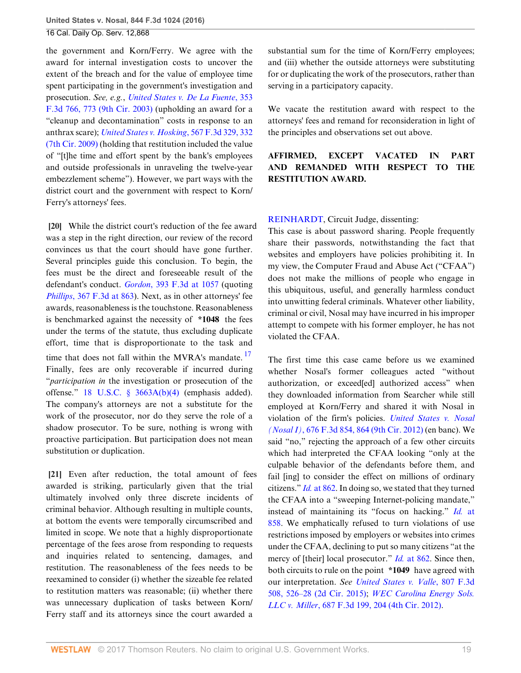the government and Korn/Ferry. We agree with the award for internal investigation costs to uncover the extent of the breach and for the value of employee time spent participating in the government's investigation and prosecution. *See, e.g.*, *[United States v. De La Fuente](http://www.westlaw.com/Link/Document/FullText?findType=Y&serNum=2003949586&pubNum=0000506&originatingDoc=I62b0a700bdea11e6ac07a76176915fee&refType=RP&fi=co_pp_sp_506_773&originationContext=document&vr=3.0&rs=cblt1.0&transitionType=DocumentItem&contextData=(sc.UserEnteredCitation)#co_pp_sp_506_773)*, 353 [F.3d 766, 773 \(9th Cir. 2003\)](http://www.westlaw.com/Link/Document/FullText?findType=Y&serNum=2003949586&pubNum=0000506&originatingDoc=I62b0a700bdea11e6ac07a76176915fee&refType=RP&fi=co_pp_sp_506_773&originationContext=document&vr=3.0&rs=cblt1.0&transitionType=DocumentItem&contextData=(sc.UserEnteredCitation)#co_pp_sp_506_773) (upholding an award for a "cleanup and decontamination" costs in response to an anthrax scare); *[United States v. Hosking](http://www.westlaw.com/Link/Document/FullText?findType=Y&serNum=2018968759&pubNum=0000506&originatingDoc=I62b0a700bdea11e6ac07a76176915fee&refType=RP&fi=co_pp_sp_506_332&originationContext=document&vr=3.0&rs=cblt1.0&transitionType=DocumentItem&contextData=(sc.UserEnteredCitation)#co_pp_sp_506_332)*, 567 F.3d 329, 332 [\(7th Cir. 2009\)](http://www.westlaw.com/Link/Document/FullText?findType=Y&serNum=2018968759&pubNum=0000506&originatingDoc=I62b0a700bdea11e6ac07a76176915fee&refType=RP&fi=co_pp_sp_506_332&originationContext=document&vr=3.0&rs=cblt1.0&transitionType=DocumentItem&contextData=(sc.UserEnteredCitation)#co_pp_sp_506_332) (holding that restitution included the value of "[t]he time and effort spent by the bank's employees and outside professionals in unraveling the twelve-year embezzlement scheme"). However, we part ways with the district court and the government with respect to Korn/ Ferry's attorneys' fees.

<span id="page-18-0"></span>**[\[20](#page-3-3)]** While the district court's reduction of the fee award was a step in the right direction, our review of the record convinces us that the court should have gone further. Several principles guide this conclusion. To begin, the fees must be the direct and foreseeable result of the defendant's conduct. *Gordon*[, 393 F.3d at 1057](http://www.westlaw.com/Link/Document/FullText?findType=Y&serNum=2005869719&pubNum=0000506&originatingDoc=I62b0a700bdea11e6ac07a76176915fee&refType=RP&fi=co_pp_sp_506_1057&originationContext=document&vr=3.0&rs=cblt1.0&transitionType=DocumentItem&contextData=(sc.UserEnteredCitation)#co_pp_sp_506_1057) (quoting *Phillips*[, 367 F.3d at 863](http://www.westlaw.com/Link/Document/FullText?findType=Y&serNum=2004414371&pubNum=0000506&originatingDoc=I62b0a700bdea11e6ac07a76176915fee&refType=RP&fi=co_pp_sp_506_863&originationContext=document&vr=3.0&rs=cblt1.0&transitionType=DocumentItem&contextData=(sc.UserEnteredCitation)#co_pp_sp_506_863)). Next, as in other attorneys' fee awards, reasonableness is the touchstone. Reasonableness is benchmarked against the necessity of **\*1048** the fees under the terms of the statute, thus excluding duplicate effort, time that is disproportionate to the task and time that does not fall within the MVRA's mandate.  $17$ Finally, fees are only recoverable if incurred during "*participation in* the investigation or prosecution of the offense." [18 U.S.C. § 3663A\(b\)\(4\)](http://www.westlaw.com/Link/Document/FullText?findType=L&pubNum=1000546&cite=18USCAS3663A&originatingDoc=I62b0a700bdea11e6ac07a76176915fee&refType=SP&originationContext=document&vr=3.0&rs=cblt1.0&transitionType=DocumentItem&contextData=(sc.UserEnteredCitation)#co_pp_6ad60000aeea7) (emphasis added). The company's attorneys are not a substitute for the work of the prosecutor, nor do they serve the role of a shadow prosecutor. To be sure, nothing is wrong with proactive participation. But participation does not mean substitution or duplication.

<span id="page-18-1"></span>**[\[21](#page-3-1)]** Even after reduction, the total amount of fees awarded is striking, particularly given that the trial ultimately involved only three discrete incidents of criminal behavior. Although resulting in multiple counts, at bottom the events were temporally circumscribed and limited in scope. We note that a highly disproportionate percentage of the fees arose from responding to requests and inquiries related to sentencing, damages, and restitution. The reasonableness of the fees needs to be reexamined to consider (i) whether the sizeable fee related to restitution matters was reasonable; (ii) whether there was unnecessary duplication of tasks between Korn/ Ferry staff and its attorneys since the court awarded a

substantial sum for the time of Korn/Ferry employees; and (iii) whether the outside attorneys were substituting for or duplicating the work of the prosecutors, rather than serving in a participatory capacity.

We vacate the restitution award with respect to the attorneys' fees and remand for reconsideration in light of the principles and observations set out above.

## **AFFIRMED, EXCEPT VACATED IN PART AND REMANDED WITH RESPECT TO THE RESTITUTION AWARD.**

## [REINHARDT](http://www.westlaw.com/Link/Document/FullText?findType=h&pubNum=176284&cite=0245335801&originatingDoc=I62b0a700bdea11e6ac07a76176915fee&refType=RQ&originationContext=document&vr=3.0&rs=cblt1.0&transitionType=DocumentItem&contextData=(sc.UserEnteredCitation)), Circuit Judge, dissenting:

This case is about password sharing. People frequently share their passwords, notwithstanding the fact that websites and employers have policies prohibiting it. In my view, the Computer Fraud and Abuse Act ("CFAA") does not make the millions of people who engage in this ubiquitous, useful, and generally harmless conduct into unwitting federal criminals. Whatever other liability, criminal or civil, Nosal may have incurred in his improper attempt to compete with his former employer, he has not violated the CFAA.

<span id="page-18-2"></span>The first time this case came before us we examined whether Nosal's former colleagues acted "without authorization, or exceed[ed] authorized access" when they downloaded information from Searcher while still employed at Korn/Ferry and shared it with Nosal in violation of the firm's policies. *[United States v. Nosal](http://www.westlaw.com/Link/Document/FullText?findType=Y&serNum=2027470557&pubNum=0000506&originatingDoc=I62b0a700bdea11e6ac07a76176915fee&refType=RP&fi=co_pp_sp_506_864&originationContext=document&vr=3.0&rs=cblt1.0&transitionType=DocumentItem&contextData=(sc.UserEnteredCitation)#co_pp_sp_506_864) (Nosal I)*[, 676 F.3d 854, 864 \(9th Cir. 2012\)](http://www.westlaw.com/Link/Document/FullText?findType=Y&serNum=2027470557&pubNum=0000506&originatingDoc=I62b0a700bdea11e6ac07a76176915fee&refType=RP&fi=co_pp_sp_506_864&originationContext=document&vr=3.0&rs=cblt1.0&transitionType=DocumentItem&contextData=(sc.UserEnteredCitation)#co_pp_sp_506_864) (en banc). We said "no," rejecting the approach of a few other circuits which had interpreted the CFAA looking "only at the culpable behavior of the defendants before them, and fail [ing] to consider the effect on millions of ordinary citizens." *Id.* [at 862](http://www.westlaw.com/Link/Document/FullText?findType=Y&serNum=2027470557&pubNum=0000506&originatingDoc=I62b0a700bdea11e6ac07a76176915fee&refType=RP&fi=co_pp_sp_506_862&originationContext=document&vr=3.0&rs=cblt1.0&transitionType=DocumentItem&contextData=(sc.UserEnteredCitation)#co_pp_sp_506_862). In doing so, we stated that they turned the CFAA into a "sweeping Internet-policing mandate," instead of maintaining its "focus on hacking." *Id.* [at](http://www.westlaw.com/Link/Document/FullText?findType=Y&serNum=2027470557&pubNum=0000506&originatingDoc=I62b0a700bdea11e6ac07a76176915fee&refType=RP&fi=co_pp_sp_506_858&originationContext=document&vr=3.0&rs=cblt1.0&transitionType=DocumentItem&contextData=(sc.UserEnteredCitation)#co_pp_sp_506_858) [858](http://www.westlaw.com/Link/Document/FullText?findType=Y&serNum=2027470557&pubNum=0000506&originatingDoc=I62b0a700bdea11e6ac07a76176915fee&refType=RP&fi=co_pp_sp_506_858&originationContext=document&vr=3.0&rs=cblt1.0&transitionType=DocumentItem&contextData=(sc.UserEnteredCitation)#co_pp_sp_506_858). We emphatically refused to turn violations of use restrictions imposed by employers or websites into crimes under the CFAA, declining to put so many citizens "at the mercy of [their] local prosecutor." *Id.* [at 862](http://www.westlaw.com/Link/Document/FullText?findType=Y&serNum=2027470557&pubNum=0000506&originatingDoc=I62b0a700bdea11e6ac07a76176915fee&refType=RP&fi=co_pp_sp_506_862&originationContext=document&vr=3.0&rs=cblt1.0&transitionType=DocumentItem&contextData=(sc.UserEnteredCitation)#co_pp_sp_506_862). Since then, both circuits to rule on the point **\*1049** have agreed with our interpretation. *See [United States v. Valle](http://www.westlaw.com/Link/Document/FullText?findType=Y&serNum=2037731566&pubNum=0000506&originatingDoc=I62b0a700bdea11e6ac07a76176915fee&refType=RP&fi=co_pp_sp_506_526&originationContext=document&vr=3.0&rs=cblt1.0&transitionType=DocumentItem&contextData=(sc.UserEnteredCitation)#co_pp_sp_506_526)*, 807 F.3d [508, 526–28 \(2d Cir. 2015\);](http://www.westlaw.com/Link/Document/FullText?findType=Y&serNum=2037731566&pubNum=0000506&originatingDoc=I62b0a700bdea11e6ac07a76176915fee&refType=RP&fi=co_pp_sp_506_526&originationContext=document&vr=3.0&rs=cblt1.0&transitionType=DocumentItem&contextData=(sc.UserEnteredCitation)#co_pp_sp_506_526) *[WEC Carolina Energy Sols.](http://www.westlaw.com/Link/Document/FullText?findType=Y&serNum=2028288229&pubNum=0000506&originatingDoc=I62b0a700bdea11e6ac07a76176915fee&refType=RP&fi=co_pp_sp_506_204&originationContext=document&vr=3.0&rs=cblt1.0&transitionType=DocumentItem&contextData=(sc.UserEnteredCitation)#co_pp_sp_506_204) LLC v. Miller*[, 687 F.3d 199, 204 \(4th Cir. 2012\).](http://www.westlaw.com/Link/Document/FullText?findType=Y&serNum=2028288229&pubNum=0000506&originatingDoc=I62b0a700bdea11e6ac07a76176915fee&refType=RP&fi=co_pp_sp_506_204&originationContext=document&vr=3.0&rs=cblt1.0&transitionType=DocumentItem&contextData=(sc.UserEnteredCitation)#co_pp_sp_506_204)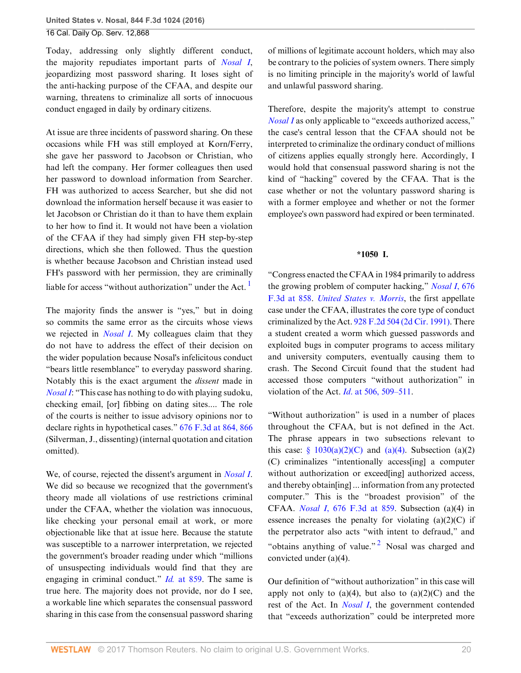Today, addressing only slightly different conduct, the majority repudiates important parts of *[Nosal I](http://www.westlaw.com/Link/Document/FullText?findType=Y&serNum=2027470557&pubNum=0000506&originatingDoc=I62b0a700bdea11e6ac07a76176915fee&refType=RP&originationContext=document&vr=3.0&rs=cblt1.0&transitionType=DocumentItem&contextData=(sc.UserEnteredCitation))*, jeopardizing most password sharing. It loses sight of the anti-hacking purpose of the CFAA, and despite our warning, threatens to criminalize all sorts of innocuous conduct engaged in daily by ordinary citizens.

At issue are three incidents of password sharing. On these occasions while FH was still employed at Korn/Ferry, she gave her password to Jacobson or Christian, who had left the company. Her former colleagues then used her password to download information from Searcher. FH was authorized to access Searcher, but she did not download the information herself because it was easier to let Jacobson or Christian do it than to have them explain to her how to find it. It would not have been a violation of the CFAA if they had simply given FH step-by-step directions, which she then followed. Thus the question is whether because Jacobson and Christian instead used FH's password with her permission, they are criminally liable for access "without authorization" under the Act.  $\frac{1}{1}$  $\frac{1}{1}$  $\frac{1}{1}$ 

The majority finds the answer is "yes," but in doing so commits the same error as the circuits whose views we rejected in *[Nosal I](http://www.westlaw.com/Link/Document/FullText?findType=Y&serNum=2027470557&originatingDoc=I62b0a700bdea11e6ac07a76176915fee&refType=RP&originationContext=document&vr=3.0&rs=cblt1.0&transitionType=DocumentItem&contextData=(sc.UserEnteredCitation))*. My colleagues claim that they do not have to address the effect of their decision on the wider population because Nosal's infelicitous conduct "bears little resemblance" to everyday password sharing. Notably this is the exact argument the *dissent* made in *[Nosal I](http://www.westlaw.com/Link/Document/FullText?findType=Y&serNum=2027470557&pubNum=0000506&originatingDoc=I62b0a700bdea11e6ac07a76176915fee&refType=RP&originationContext=document&vr=3.0&rs=cblt1.0&transitionType=DocumentItem&contextData=(sc.UserEnteredCitation))*: "This case has nothing to do with playing sudoku, checking email, [or] fibbing on dating sites.... The role of the courts is neither to issue advisory opinions nor to declare rights in hypothetical cases." [676 F.3d at 864, 866](http://www.westlaw.com/Link/Document/FullText?findType=Y&serNum=2027470557&pubNum=0000506&originatingDoc=I62b0a700bdea11e6ac07a76176915fee&refType=RP&fi=co_pp_sp_506_864&originationContext=document&vr=3.0&rs=cblt1.0&transitionType=DocumentItem&contextData=(sc.UserEnteredCitation)#co_pp_sp_506_864) (Silverman, J., dissenting) (internal quotation and citation omitted).

We, of course, rejected the dissent's argument in *[Nosal I](http://www.westlaw.com/Link/Document/FullText?findType=Y&serNum=2027470557&originatingDoc=I62b0a700bdea11e6ac07a76176915fee&refType=RP&originationContext=document&vr=3.0&rs=cblt1.0&transitionType=DocumentItem&contextData=(sc.UserEnteredCitation))*. We did so because we recognized that the government's theory made all violations of use restrictions criminal under the CFAA, whether the violation was innocuous, like checking your personal email at work, or more objectionable like that at issue here. Because the statute was susceptible to a narrower interpretation, we rejected the government's broader reading under which "millions of unsuspecting individuals would find that they are engaging in criminal conduct." *Id.* [at 859](http://www.westlaw.com/Link/Document/FullText?findType=Y&serNum=2027470557&pubNum=0000506&originatingDoc=I62b0a700bdea11e6ac07a76176915fee&refType=RP&fi=co_pp_sp_506_859&originationContext=document&vr=3.0&rs=cblt1.0&transitionType=DocumentItem&contextData=(sc.UserEnteredCitation)#co_pp_sp_506_859). The same is true here. The majority does not provide, nor do I see, a workable line which separates the consensual password sharing in this case from the consensual password sharing of millions of legitimate account holders, which may also be contrary to the policies of system owners. There simply is no limiting principle in the majority's world of lawful and unlawful password sharing.

Therefore, despite the majority's attempt to construe *[Nosal I](http://www.westlaw.com/Link/Document/FullText?findType=Y&serNum=2027470557&pubNum=0000506&originatingDoc=I62b0a700bdea11e6ac07a76176915fee&refType=RP&originationContext=document&vr=3.0&rs=cblt1.0&transitionType=DocumentItem&contextData=(sc.UserEnteredCitation))* as only applicable to "exceeds authorized access," the case's central lesson that the CFAA should not be interpreted to criminalize the ordinary conduct of millions of citizens applies equally strongly here. Accordingly, I would hold that consensual password sharing is not the kind of "hacking" covered by the CFAA. That is the case whether or not the voluntary password sharing is with a former employee and whether or not the former employee's own password had expired or been terminated.

#### **\*1050 I.**

<span id="page-19-0"></span>"Congress enacted the CFAA in 1984 primarily to address the growing problem of computer hacking," *[Nosal I](http://www.westlaw.com/Link/Document/FullText?findType=Y&serNum=2027470557&pubNum=0000506&originatingDoc=I62b0a700bdea11e6ac07a76176915fee&refType=RP&fi=co_pp_sp_506_858&originationContext=document&vr=3.0&rs=cblt1.0&transitionType=DocumentItem&contextData=(sc.UserEnteredCitation)#co_pp_sp_506_858)*, 676 [F.3d at 858](http://www.westlaw.com/Link/Document/FullText?findType=Y&serNum=2027470557&pubNum=0000506&originatingDoc=I62b0a700bdea11e6ac07a76176915fee&refType=RP&fi=co_pp_sp_506_858&originationContext=document&vr=3.0&rs=cblt1.0&transitionType=DocumentItem&contextData=(sc.UserEnteredCitation)#co_pp_sp_506_858). *[United States v. Morris](http://www.westlaw.com/Link/Document/FullText?findType=Y&serNum=1991049644&pubNum=0000350&originatingDoc=I62b0a700bdea11e6ac07a76176915fee&refType=RP&originationContext=document&vr=3.0&rs=cblt1.0&transitionType=DocumentItem&contextData=(sc.UserEnteredCitation))*, the first appellate case under the CFAA, illustrates the core type of conduct criminalized by the Act. [928 F.2d 504 \(2d Cir. 1991\).](http://www.westlaw.com/Link/Document/FullText?findType=Y&serNum=1991049644&pubNum=0000350&originatingDoc=I62b0a700bdea11e6ac07a76176915fee&refType=RP&originationContext=document&vr=3.0&rs=cblt1.0&transitionType=DocumentItem&contextData=(sc.UserEnteredCitation)) There a student created a worm which guessed passwords and exploited bugs in computer programs to access military and university computers, eventually causing them to crash. The Second Circuit found that the student had accessed those computers "without authorization" in violation of the Act. *Id*[. at 506, 509–511](http://www.westlaw.com/Link/Document/FullText?findType=Y&serNum=1991049644&pubNum=0000350&originatingDoc=I62b0a700bdea11e6ac07a76176915fee&refType=RP&fi=co_pp_sp_350_506&originationContext=document&vr=3.0&rs=cblt1.0&transitionType=DocumentItem&contextData=(sc.UserEnteredCitation)#co_pp_sp_350_506).

"Without authorization" is used in a number of places throughout the CFAA, but is not defined in the Act. The phrase appears in two subsections relevant to this case:  $\frac{6}{9}$  1030(a)(2)(C) and [\(a\)\(4\).](http://www.westlaw.com/Link/Document/FullText?findType=L&pubNum=1000546&cite=18USCAS1030&originatingDoc=I62b0a700bdea11e6ac07a76176915fee&refType=SP&originationContext=document&vr=3.0&rs=cblt1.0&transitionType=DocumentItem&contextData=(sc.UserEnteredCitation)#co_pp_d40e000072291) Subsection (a)(2) (C) criminalizes "intentionally access[ing] a computer without authorization or exceed[ing] authorized access, and thereby obtain[ing] ... information from any protected computer." This is the "broadest provision" of the CFAA. *Nosal I*[, 676 F.3d at 859.](http://www.westlaw.com/Link/Document/FullText?findType=Y&serNum=2027470557&pubNum=0000506&originatingDoc=I62b0a700bdea11e6ac07a76176915fee&refType=RP&fi=co_pp_sp_506_859&originationContext=document&vr=3.0&rs=cblt1.0&transitionType=DocumentItem&contextData=(sc.UserEnteredCitation)#co_pp_sp_506_859) Subsection (a)(4) in essence increases the penalty for violating  $(a)(2)(C)$  if the perpetrator also acts "with intent to defraud," and "obtains anything of value."  $2$  Nosal was charged and convicted under (a)(4).

<span id="page-19-1"></span>Our definition of "without authorization" in this case will apply not only to (a)(4), but also to (a)(2)(C) and the rest of the Act. In *[Nosal I](http://www.westlaw.com/Link/Document/FullText?findType=Y&serNum=2027470557&pubNum=0000506&originatingDoc=I62b0a700bdea11e6ac07a76176915fee&refType=RP&originationContext=document&vr=3.0&rs=cblt1.0&transitionType=DocumentItem&contextData=(sc.UserEnteredCitation))*, the government contended that "exceeds authorization" could be interpreted more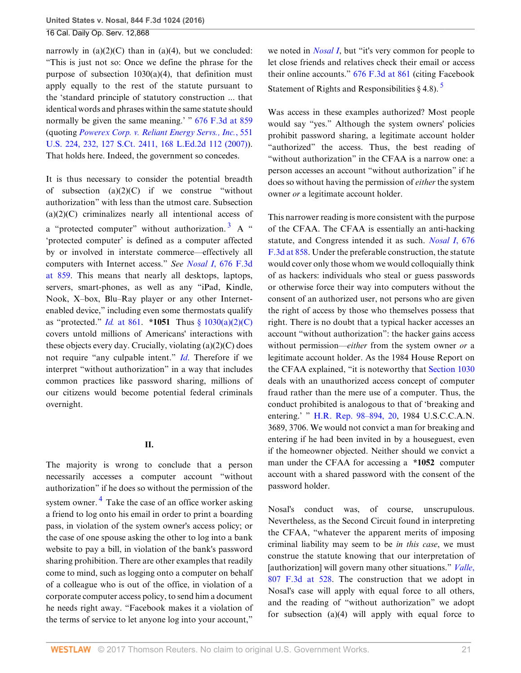narrowly in  $(a)(2)(C)$  than in  $(a)(4)$ , but we concluded: "This is just not so: Once we define the phrase for the purpose of subsection  $1030(a)(4)$ , that definition must apply equally to the rest of the statute pursuant to the 'standard principle of statutory construction ... that identical words and phrases within the same statute should normally be given the same meaning.' "  $676$  F.3d at 859 (quoting *[Powerex Corp. v. Reliant Energy Servs., Inc.](http://www.westlaw.com/Link/Document/FullText?findType=Y&serNum=2012495883&pubNum=0000708&originatingDoc=I62b0a700bdea11e6ac07a76176915fee&refType=RP&originationContext=document&vr=3.0&rs=cblt1.0&transitionType=DocumentItem&contextData=(sc.UserEnteredCitation))*, 551 [U.S. 224, 232, 127 S.Ct. 2411, 168 L.Ed.2d 112 \(2007\)\)](http://www.westlaw.com/Link/Document/FullText?findType=Y&serNum=2012495883&pubNum=0000708&originatingDoc=I62b0a700bdea11e6ac07a76176915fee&refType=RP&originationContext=document&vr=3.0&rs=cblt1.0&transitionType=DocumentItem&contextData=(sc.UserEnteredCitation)). That holds here. Indeed, the government so concedes.

It is thus necessary to consider the potential breadth of subsection  $(a)(2)(C)$  if we construe "without authorization" with less than the utmost care. Subsection  $(a)(2)(C)$  criminalizes nearly all intentional access of a "protected computer" without authorization.<sup>[3](#page-26-9)</sup> A " 'protected computer' is defined as a computer affected by or involved in interstate commerce—effectively all computers with Internet access." *See Nosal I*[, 676 F.3d](http://www.westlaw.com/Link/Document/FullText?findType=Y&serNum=2027470557&pubNum=0000506&originatingDoc=I62b0a700bdea11e6ac07a76176915fee&refType=RP&fi=co_pp_sp_506_859&originationContext=document&vr=3.0&rs=cblt1.0&transitionType=DocumentItem&contextData=(sc.UserEnteredCitation)#co_pp_sp_506_859) [at 859.](http://www.westlaw.com/Link/Document/FullText?findType=Y&serNum=2027470557&pubNum=0000506&originatingDoc=I62b0a700bdea11e6ac07a76176915fee&refType=RP&fi=co_pp_sp_506_859&originationContext=document&vr=3.0&rs=cblt1.0&transitionType=DocumentItem&contextData=(sc.UserEnteredCitation)#co_pp_sp_506_859) This means that nearly all desktops, laptops, servers, smart-phones, as well as any "iPad, Kindle, Nook, X–box, Blu–Ray player or any other Internetenabled device," including even some thermostats qualify as "protected." *Id.* [at 861.](http://www.westlaw.com/Link/Document/FullText?findType=Y&serNum=2027470557&pubNum=0000506&originatingDoc=I62b0a700bdea11e6ac07a76176915fee&refType=RP&fi=co_pp_sp_506_861&originationContext=document&vr=3.0&rs=cblt1.0&transitionType=DocumentItem&contextData=(sc.UserEnteredCitation)#co_pp_sp_506_861) **\*1051** Thus [§ 1030\(a\)\(2\)\(C\)](http://www.westlaw.com/Link/Document/FullText?findType=L&pubNum=1000546&cite=18USCAS1030&originatingDoc=I62b0a700bdea11e6ac07a76176915fee&refType=SP&originationContext=document&vr=3.0&rs=cblt1.0&transitionType=DocumentItem&contextData=(sc.UserEnteredCitation)#co_pp_9bab000016341) covers untold millions of Americans' interactions with these objects every day. Crucially, violating (a)(2)(C) does not require "any culpable intent." *[Id](http://www.westlaw.com/Link/Document/FullText?findType=Y&serNum=2027470557&pubNum=0000506&originatingDoc=I62b0a700bdea11e6ac07a76176915fee&refType=RP&originationContext=document&vr=3.0&rs=cblt1.0&transitionType=DocumentItem&contextData=(sc.UserEnteredCitation))*. Therefore if we interpret "without authorization" in a way that includes common practices like password sharing, millions of our citizens would become potential federal criminals overnight.

## **II.**

<span id="page-20-1"></span>The majority is wrong to conclude that a person necessarily accesses a computer account "without authorization" if he does so without the permission of the system owner.<sup>[4](#page-26-10)</sup> Take the case of an office worker asking a friend to log onto his email in order to print a boarding pass, in violation of the system owner's access policy; or the case of one spouse asking the other to log into a bank website to pay a bill, in violation of the bank's password sharing prohibition. There are other examples that readily come to mind, such as logging onto a computer on behalf of a colleague who is out of the office, in violation of a corporate computer access policy, to send him a document he needs right away. "Facebook makes it a violation of the terms of service to let anyone log into your account,"

we noted in *[Nosal I](http://www.westlaw.com/Link/Document/FullText?findType=Y&serNum=2027470557&pubNum=0000506&originatingDoc=I62b0a700bdea11e6ac07a76176915fee&refType=RP&originationContext=document&vr=3.0&rs=cblt1.0&transitionType=DocumentItem&contextData=(sc.UserEnteredCitation))*, but "it's very common for people to let close friends and relatives check their email or access their online accounts." [676 F.3d at 861](http://www.westlaw.com/Link/Document/FullText?findType=Y&serNum=2027470557&pubNum=0000506&originatingDoc=I62b0a700bdea11e6ac07a76176915fee&refType=RP&fi=co_pp_sp_506_861&originationContext=document&vr=3.0&rs=cblt1.0&transitionType=DocumentItem&contextData=(sc.UserEnteredCitation)#co_pp_sp_506_861) (citing Facebook Statement of Rights and Responsibilities  $\S 4.8$ ).

<span id="page-20-2"></span>Was access in these examples authorized? Most people would say "yes." Although the system owners' policies prohibit password sharing, a legitimate account holder "authorized" the access. Thus, the best reading of "without authorization" in the CFAA is a narrow one: a person accesses an account "without authorization" if he does so without having the permission of *either* the system owner *or* a legitimate account holder.

<span id="page-20-0"></span>This narrower reading is more consistent with the purpose of the CFAA. The CFAA is essentially an anti-hacking statute, and Congress intended it as such. *[Nosal I](http://www.westlaw.com/Link/Document/FullText?findType=Y&serNum=2027470557&pubNum=0000506&originatingDoc=I62b0a700bdea11e6ac07a76176915fee&refType=RP&fi=co_pp_sp_506_858&originationContext=document&vr=3.0&rs=cblt1.0&transitionType=DocumentItem&contextData=(sc.UserEnteredCitation)#co_pp_sp_506_858)*, 676 [F.3d at 858](http://www.westlaw.com/Link/Document/FullText?findType=Y&serNum=2027470557&pubNum=0000506&originatingDoc=I62b0a700bdea11e6ac07a76176915fee&refType=RP&fi=co_pp_sp_506_858&originationContext=document&vr=3.0&rs=cblt1.0&transitionType=DocumentItem&contextData=(sc.UserEnteredCitation)#co_pp_sp_506_858). Under the preferable construction, the statute would cover only those whom we would colloquially think of as hackers: individuals who steal or guess passwords or otherwise force their way into computers without the consent of an authorized user, not persons who are given the right of access by those who themselves possess that right. There is no doubt that a typical hacker accesses an account "without authorization": the hacker gains access without permission—*either* from the system owner *or* a legitimate account holder. As the 1984 House Report on the CFAA explained, "it is noteworthy that [Section 1030](http://www.westlaw.com/Link/Document/FullText?findType=L&pubNum=1000546&cite=18USCAS1030&originatingDoc=I62b0a700bdea11e6ac07a76176915fee&refType=LQ&originationContext=document&vr=3.0&rs=cblt1.0&transitionType=DocumentItem&contextData=(sc.UserEnteredCitation)) deals with an unauthorized access concept of computer fraud rather than the mere use of a computer. Thus, the conduct prohibited is analogous to that of 'breaking and entering.' " [H.R. Rep. 98–894, 20](http://www.westlaw.com/Link/Document/FullText?findType=Y&serNum=0100370072&pubNum=0100014&originatingDoc=I62b0a700bdea11e6ac07a76176915fee&refType=TV&originationContext=document&vr=3.0&rs=cblt1.0&transitionType=DocumentItem&contextData=(sc.UserEnteredCitation)), 1984 U.S.C.C.A.N. 3689, 3706. We would not convict a man for breaking and entering if he had been invited in by a houseguest, even if the homeowner objected. Neither should we convict a man under the CFAA for accessing a **\*1052** computer account with a shared password with the consent of the password holder.

Nosal's conduct was, of course, unscrupulous. Nevertheless, as the Second Circuit found in interpreting the CFAA, "whatever the apparent merits of imposing criminal liability may seem to be *in this case*, we must construe the statute knowing that our interpretation of [authorization] will govern many other situations." *[Valle](http://www.westlaw.com/Link/Document/FullText?findType=Y&serNum=2037731566&pubNum=0000506&originatingDoc=I62b0a700bdea11e6ac07a76176915fee&refType=RP&fi=co_pp_sp_506_528&originationContext=document&vr=3.0&rs=cblt1.0&transitionType=DocumentItem&contextData=(sc.UserEnteredCitation)#co_pp_sp_506_528)*, [807 F.3d at 528.](http://www.westlaw.com/Link/Document/FullText?findType=Y&serNum=2037731566&pubNum=0000506&originatingDoc=I62b0a700bdea11e6ac07a76176915fee&refType=RP&fi=co_pp_sp_506_528&originationContext=document&vr=3.0&rs=cblt1.0&transitionType=DocumentItem&contextData=(sc.UserEnteredCitation)#co_pp_sp_506_528) The construction that we adopt in Nosal's case will apply with equal force to all others, and the reading of "without authorization" we adopt for subsection (a)(4) will apply with equal force to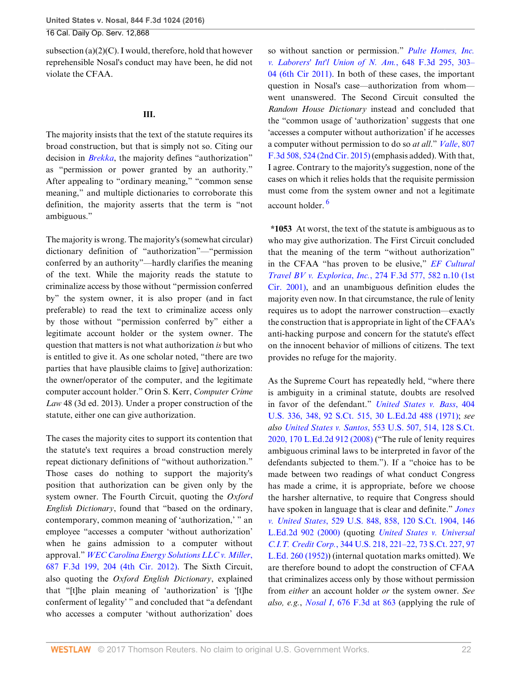subsection (a)(2)(C). I would, therefore, hold that however reprehensible Nosal's conduct may have been, he did not violate the CFAA.

## **III.**

The majority insists that the text of the statute requires its broad construction, but that is simply not so. Citing our decision in *[Brekka](http://www.westlaw.com/Link/Document/FullText?findType=Y&serNum=2019808398&pubNum=0000506&originatingDoc=I62b0a700bdea11e6ac07a76176915fee&refType=RP&originationContext=document&vr=3.0&rs=cblt1.0&transitionType=DocumentItem&contextData=(sc.UserEnteredCitation))*, the majority defines "authorization" as "permission or power granted by an authority." After appealing to "ordinary meaning," "common sense meaning," and multiple dictionaries to corroborate this definition, the majority asserts that the term is "not ambiguous."

The majority is wrong. The majority's (somewhat circular) dictionary definition of "authorization"—"permission conferred by an authority"—hardly clarifies the meaning of the text. While the majority reads the statute to criminalize access by those without "permission conferred by" the system owner, it is also proper (and in fact preferable) to read the text to criminalize access only by those without "permission conferred by" either a legitimate account holder or the system owner. The question that matters is not what authorization *is* but who is entitled to give it. As one scholar noted, "there are two parties that have plausible claims to [give] authorization: the owner/operator of the computer, and the legitimate computer account holder." Orin S. Kerr, *Computer Crime Law* 48 (3d ed. 2013). Under a proper construction of the statute, either one can give authorization.

The cases the majority cites to support its contention that the statute's text requires a broad construction merely repeat dictionary definitions of "without authorization." Those cases do nothing to support the majority's position that authorization can be given only by the system owner. The Fourth Circuit, quoting the *Oxford English Dictionary*, found that "based on the ordinary, contemporary, common meaning of 'authorization,' " an employee "accesses a computer 'without authorization' when he gains admission to a computer without approval." *[WEC Carolina Energy Solutions LLC v. Miller](http://www.westlaw.com/Link/Document/FullText?findType=Y&serNum=2028288229&pubNum=0000506&originatingDoc=I62b0a700bdea11e6ac07a76176915fee&refType=RP&fi=co_pp_sp_506_204&originationContext=document&vr=3.0&rs=cblt1.0&transitionType=DocumentItem&contextData=(sc.UserEnteredCitation)#co_pp_sp_506_204)*, [687 F.3d 199, 204 \(4th Cir. 2012\)](http://www.westlaw.com/Link/Document/FullText?findType=Y&serNum=2028288229&pubNum=0000506&originatingDoc=I62b0a700bdea11e6ac07a76176915fee&refType=RP&fi=co_pp_sp_506_204&originationContext=document&vr=3.0&rs=cblt1.0&transitionType=DocumentItem&contextData=(sc.UserEnteredCitation)#co_pp_sp_506_204). The Sixth Circuit, also quoting the *Oxford English Dictionary*, explained that "[t]he plain meaning of 'authorization' is '[t]he conferment of legality' " and concluded that "a defendant who accesses a computer 'without authorization' does

so without sanction or permission." *[Pulte Homes, Inc.](http://www.westlaw.com/Link/Document/FullText?findType=Y&serNum=2025804200&pubNum=0000506&originatingDoc=I62b0a700bdea11e6ac07a76176915fee&refType=RP&fi=co_pp_sp_506_303&originationContext=document&vr=3.0&rs=cblt1.0&transitionType=DocumentItem&contextData=(sc.UserEnteredCitation)#co_pp_sp_506_303) [v. Laborers' Int'l Union of N. Am.](http://www.westlaw.com/Link/Document/FullText?findType=Y&serNum=2025804200&pubNum=0000506&originatingDoc=I62b0a700bdea11e6ac07a76176915fee&refType=RP&fi=co_pp_sp_506_303&originationContext=document&vr=3.0&rs=cblt1.0&transitionType=DocumentItem&contextData=(sc.UserEnteredCitation)#co_pp_sp_506_303)*, 648 F.3d 295, 303– [04 \(6th Cir 2011\)](http://www.westlaw.com/Link/Document/FullText?findType=Y&serNum=2025804200&pubNum=0000506&originatingDoc=I62b0a700bdea11e6ac07a76176915fee&refType=RP&fi=co_pp_sp_506_303&originationContext=document&vr=3.0&rs=cblt1.0&transitionType=DocumentItem&contextData=(sc.UserEnteredCitation)#co_pp_sp_506_303). In both of these cases, the important question in Nosal's case—authorization from whom went unanswered. The Second Circuit consulted the *Random House Dictionary* instead and concluded that the "common usage of 'authorization' suggests that one 'accesses a computer without authorization' if he accesses a computer without permission to do so *at all*." *[Valle](http://www.westlaw.com/Link/Document/FullText?findType=Y&serNum=2037731566&pubNum=0000506&originatingDoc=I62b0a700bdea11e6ac07a76176915fee&refType=RP&fi=co_pp_sp_506_524&originationContext=document&vr=3.0&rs=cblt1.0&transitionType=DocumentItem&contextData=(sc.UserEnteredCitation)#co_pp_sp_506_524)*, 807 [F.3d 508, 524 \(2nd Cir. 2015\)](http://www.westlaw.com/Link/Document/FullText?findType=Y&serNum=2037731566&pubNum=0000506&originatingDoc=I62b0a700bdea11e6ac07a76176915fee&refType=RP&fi=co_pp_sp_506_524&originationContext=document&vr=3.0&rs=cblt1.0&transitionType=DocumentItem&contextData=(sc.UserEnteredCitation)#co_pp_sp_506_524) (emphasis added). With that, I agree. Contrary to the majority's suggestion, none of the cases on which it relies holds that the requisite permission must come from the system owner and not a legitimate account holder. [6](#page-27-0)

<span id="page-21-0"></span>**\*1053** At worst, the text of the statute is ambiguous as to who may give authorization. The First Circuit concluded that the meaning of the term "without authorization" in the CFAA "has proven to be elusive," *[EF Cultural](http://www.westlaw.com/Link/Document/FullText?findType=Y&serNum=2001544216&pubNum=0000506&originatingDoc=I62b0a700bdea11e6ac07a76176915fee&refType=RP&fi=co_pp_sp_506_582&originationContext=document&vr=3.0&rs=cblt1.0&transitionType=DocumentItem&contextData=(sc.UserEnteredCitation)#co_pp_sp_506_582) Travel BV v. Explorica*, *Inc.*[, 274 F.3d 577, 582 n.10 \(1st](http://www.westlaw.com/Link/Document/FullText?findType=Y&serNum=2001544216&pubNum=0000506&originatingDoc=I62b0a700bdea11e6ac07a76176915fee&refType=RP&fi=co_pp_sp_506_582&originationContext=document&vr=3.0&rs=cblt1.0&transitionType=DocumentItem&contextData=(sc.UserEnteredCitation)#co_pp_sp_506_582) [Cir. 2001\),](http://www.westlaw.com/Link/Document/FullText?findType=Y&serNum=2001544216&pubNum=0000506&originatingDoc=I62b0a700bdea11e6ac07a76176915fee&refType=RP&fi=co_pp_sp_506_582&originationContext=document&vr=3.0&rs=cblt1.0&transitionType=DocumentItem&contextData=(sc.UserEnteredCitation)#co_pp_sp_506_582) and an unambiguous definition eludes the majority even now. In that circumstance, the rule of lenity requires us to adopt the narrower construction—exactly the construction that is appropriate in light of the CFAA's anti-hacking purpose and concern for the statute's effect on the innocent behavior of millions of citizens. The text provides no refuge for the majority.

As the Supreme Court has repeatedly held, "where there is ambiguity in a criminal statute, doubts are resolved in favor of the defendant." *[United States v. Bass](http://www.westlaw.com/Link/Document/FullText?findType=Y&serNum=1971127154&pubNum=0000708&originatingDoc=I62b0a700bdea11e6ac07a76176915fee&refType=RP&originationContext=document&vr=3.0&rs=cblt1.0&transitionType=DocumentItem&contextData=(sc.UserEnteredCitation))*, 404 [U.S. 336, 348, 92 S.Ct. 515, 30 L.Ed.2d 488 \(1971\);](http://www.westlaw.com/Link/Document/FullText?findType=Y&serNum=1971127154&pubNum=0000708&originatingDoc=I62b0a700bdea11e6ac07a76176915fee&refType=RP&originationContext=document&vr=3.0&rs=cblt1.0&transitionType=DocumentItem&contextData=(sc.UserEnteredCitation)) *see also United States v. Santos*[, 553 U.S. 507, 514, 128 S.Ct.](http://www.westlaw.com/Link/Document/FullText?findType=Y&serNum=2016220691&pubNum=0000708&originatingDoc=I62b0a700bdea11e6ac07a76176915fee&refType=RP&originationContext=document&vr=3.0&rs=cblt1.0&transitionType=DocumentItem&contextData=(sc.UserEnteredCitation)) [2020, 170 L.Ed.2d 912 \(2008\)](http://www.westlaw.com/Link/Document/FullText?findType=Y&serNum=2016220691&pubNum=0000708&originatingDoc=I62b0a700bdea11e6ac07a76176915fee&refType=RP&originationContext=document&vr=3.0&rs=cblt1.0&transitionType=DocumentItem&contextData=(sc.UserEnteredCitation)) ("The rule of lenity requires ambiguous criminal laws to be interpreted in favor of the defendants subjected to them."). If a "choice has to be made between two readings of what conduct Congress has made a crime, it is appropriate, before we choose the harsher alternative, to require that Congress should have spoken in language that is clear and definite." *[Jones](http://www.westlaw.com/Link/Document/FullText?findType=Y&serNum=2000358278&pubNum=0000708&originatingDoc=I62b0a700bdea11e6ac07a76176915fee&refType=RP&originationContext=document&vr=3.0&rs=cblt1.0&transitionType=DocumentItem&contextData=(sc.UserEnteredCitation)) v. United States*[, 529 U.S. 848, 858, 120 S.Ct. 1904, 146](http://www.westlaw.com/Link/Document/FullText?findType=Y&serNum=2000358278&pubNum=0000708&originatingDoc=I62b0a700bdea11e6ac07a76176915fee&refType=RP&originationContext=document&vr=3.0&rs=cblt1.0&transitionType=DocumentItem&contextData=(sc.UserEnteredCitation)) [L.Ed.2d 902 \(2000\)](http://www.westlaw.com/Link/Document/FullText?findType=Y&serNum=2000358278&pubNum=0000708&originatingDoc=I62b0a700bdea11e6ac07a76176915fee&refType=RP&originationContext=document&vr=3.0&rs=cblt1.0&transitionType=DocumentItem&contextData=(sc.UserEnteredCitation)) (quoting *[United States v. Universal](http://www.westlaw.com/Link/Document/FullText?findType=Y&serNum=1952120571&pubNum=0000708&originatingDoc=I62b0a700bdea11e6ac07a76176915fee&refType=RP&originationContext=document&vr=3.0&rs=cblt1.0&transitionType=DocumentItem&contextData=(sc.UserEnteredCitation)) C.I.T. Credit Corp.*[, 344 U.S. 218, 221–22, 73 S.Ct. 227, 97](http://www.westlaw.com/Link/Document/FullText?findType=Y&serNum=1952120571&pubNum=0000708&originatingDoc=I62b0a700bdea11e6ac07a76176915fee&refType=RP&originationContext=document&vr=3.0&rs=cblt1.0&transitionType=DocumentItem&contextData=(sc.UserEnteredCitation)) [L.Ed. 260 \(1952\)](http://www.westlaw.com/Link/Document/FullText?findType=Y&serNum=1952120571&pubNum=0000708&originatingDoc=I62b0a700bdea11e6ac07a76176915fee&refType=RP&originationContext=document&vr=3.0&rs=cblt1.0&transitionType=DocumentItem&contextData=(sc.UserEnteredCitation))) (internal quotation marks omitted). We are therefore bound to adopt the construction of CFAA that criminalizes access only by those without permission from *either* an account holder *or* the system owner. *See also, e.g.*, *Nosal I*[, 676 F.3d at 863](http://www.westlaw.com/Link/Document/FullText?findType=Y&serNum=2027470557&pubNum=0000506&originatingDoc=I62b0a700bdea11e6ac07a76176915fee&refType=RP&fi=co_pp_sp_506_863&originationContext=document&vr=3.0&rs=cblt1.0&transitionType=DocumentItem&contextData=(sc.UserEnteredCitation)#co_pp_sp_506_863) (applying the rule of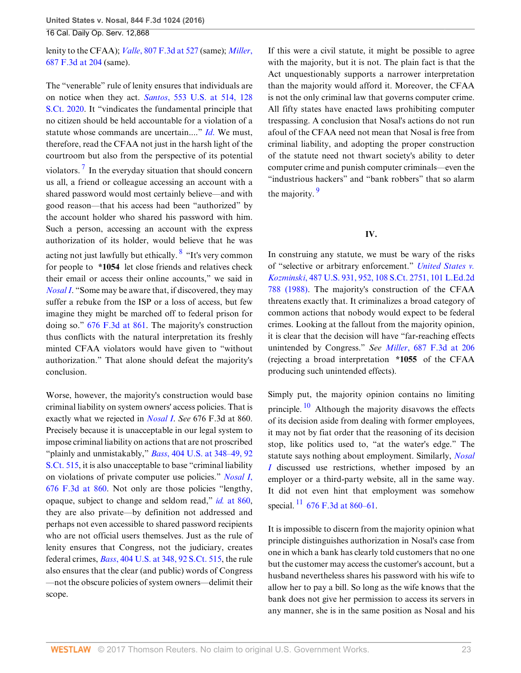lenity to the CFAA); *Valle*[, 807 F.3d at 527](http://www.westlaw.com/Link/Document/FullText?findType=Y&serNum=2037731566&pubNum=0000506&originatingDoc=I62b0a700bdea11e6ac07a76176915fee&refType=RP&fi=co_pp_sp_506_527&originationContext=document&vr=3.0&rs=cblt1.0&transitionType=DocumentItem&contextData=(sc.UserEnteredCitation)#co_pp_sp_506_527) (same); *[Miller](http://www.westlaw.com/Link/Document/FullText?findType=Y&serNum=2028288229&pubNum=0000506&originatingDoc=I62b0a700bdea11e6ac07a76176915fee&refType=RP&fi=co_pp_sp_506_204&originationContext=document&vr=3.0&rs=cblt1.0&transitionType=DocumentItem&contextData=(sc.UserEnteredCitation)#co_pp_sp_506_204)*, [687 F.3d at 204](http://www.westlaw.com/Link/Document/FullText?findType=Y&serNum=2028288229&pubNum=0000506&originatingDoc=I62b0a700bdea11e6ac07a76176915fee&refType=RP&fi=co_pp_sp_506_204&originationContext=document&vr=3.0&rs=cblt1.0&transitionType=DocumentItem&contextData=(sc.UserEnteredCitation)#co_pp_sp_506_204) (same).

<span id="page-22-0"></span>The "venerable" rule of lenity ensures that individuals are on notice when they act. *Santos*[, 553 U.S. at 514, 128](http://www.westlaw.com/Link/Document/FullText?findType=Y&serNum=2016220691&pubNum=0000708&originatingDoc=I62b0a700bdea11e6ac07a76176915fee&refType=RP&originationContext=document&vr=3.0&rs=cblt1.0&transitionType=DocumentItem&contextData=(sc.UserEnteredCitation)) [S.Ct. 2020.](http://www.westlaw.com/Link/Document/FullText?findType=Y&serNum=2016220691&pubNum=0000708&originatingDoc=I62b0a700bdea11e6ac07a76176915fee&refType=RP&originationContext=document&vr=3.0&rs=cblt1.0&transitionType=DocumentItem&contextData=(sc.UserEnteredCitation)) It "vindicates the fundamental principle that no citizen should be held accountable for a violation of a statute whose commands are uncertain...." *[Id](http://www.westlaw.com/Link/Document/FullText?findType=Y&serNum=2016220691&pubNum=0000780&originatingDoc=I62b0a700bdea11e6ac07a76176915fee&refType=RP&originationContext=document&vr=3.0&rs=cblt1.0&transitionType=DocumentItem&contextData=(sc.UserEnteredCitation))*. We must, therefore, read the CFAA not just in the harsh light of the courtroom but also from the perspective of its potential violators.<sup>[7](#page-27-1)</sup> In the everyday situation that should concern us all, a friend or colleague accessing an account with a shared password would most certainly believe—and with good reason—that his access had been "authorized" by the account holder who shared his password with him. Such a person, accessing an account with the express authorization of its holder, would believe that he was acting not just lawfully but ethically.  $^8$  $^8$  "It's very common for people to **\*1054** let close friends and relatives check their email or access their online accounts," we said in *[Nosal I](http://www.westlaw.com/Link/Document/FullText?findType=Y&serNum=2027470557&originatingDoc=I62b0a700bdea11e6ac07a76176915fee&refType=RP&originationContext=document&vr=3.0&rs=cblt1.0&transitionType=DocumentItem&contextData=(sc.UserEnteredCitation))*. "Some may be aware that, if discovered, they may suffer a rebuke from the ISP or a loss of access, but few imagine they might be marched off to federal prison for doing so." [676 F.3d at 861.](http://www.westlaw.com/Link/Document/FullText?findType=Y&serNum=2027470557&pubNum=0000506&originatingDoc=I62b0a700bdea11e6ac07a76176915fee&refType=RP&fi=co_pp_sp_506_861&originationContext=document&vr=3.0&rs=cblt1.0&transitionType=DocumentItem&contextData=(sc.UserEnteredCitation)#co_pp_sp_506_861) The majority's construction thus conflicts with the natural interpretation its freshly minted CFAA violators would have given to "without authorization." That alone should defeat the majority's conclusion.

Worse, however, the majority's construction would base criminal liability on system owners' access policies. That is exactly what we rejected in *[Nosal I](http://www.westlaw.com/Link/Document/FullText?findType=Y&serNum=2027470557&originatingDoc=I62b0a700bdea11e6ac07a76176915fee&refType=RP&originationContext=document&vr=3.0&rs=cblt1.0&transitionType=DocumentItem&contextData=(sc.UserEnteredCitation))*. *See* 676 F.3d at 860. Precisely because it is unacceptable in our legal system to impose criminal liability on actions that are not proscribed "plainly and unmistakably," *Bass*[, 404 U.S. at 348–49, 92](http://www.westlaw.com/Link/Document/FullText?findType=Y&serNum=1971127154&pubNum=0000708&originatingDoc=I62b0a700bdea11e6ac07a76176915fee&refType=RP&originationContext=document&vr=3.0&rs=cblt1.0&transitionType=DocumentItem&contextData=(sc.UserEnteredCitation)) [S.Ct. 515,](http://www.westlaw.com/Link/Document/FullText?findType=Y&serNum=1971127154&pubNum=0000708&originatingDoc=I62b0a700bdea11e6ac07a76176915fee&refType=RP&originationContext=document&vr=3.0&rs=cblt1.0&transitionType=DocumentItem&contextData=(sc.UserEnteredCitation)) it is also unacceptable to base "criminal liability on violations of private computer use policies." *[Nosal I](http://www.westlaw.com/Link/Document/FullText?findType=Y&serNum=2027470557&pubNum=0000506&originatingDoc=I62b0a700bdea11e6ac07a76176915fee&refType=RP&fi=co_pp_sp_506_860&originationContext=document&vr=3.0&rs=cblt1.0&transitionType=DocumentItem&contextData=(sc.UserEnteredCitation)#co_pp_sp_506_860)*, [676 F.3d at 860](http://www.westlaw.com/Link/Document/FullText?findType=Y&serNum=2027470557&pubNum=0000506&originatingDoc=I62b0a700bdea11e6ac07a76176915fee&refType=RP&fi=co_pp_sp_506_860&originationContext=document&vr=3.0&rs=cblt1.0&transitionType=DocumentItem&contextData=(sc.UserEnteredCitation)#co_pp_sp_506_860). Not only are those policies "lengthy, opaque, subject to change and seldom read," *id.* [at 860](http://www.westlaw.com/Link/Document/FullText?findType=Y&serNum=2027470557&pubNum=0000506&originatingDoc=I62b0a700bdea11e6ac07a76176915fee&refType=RP&fi=co_pp_sp_506_860&originationContext=document&vr=3.0&rs=cblt1.0&transitionType=DocumentItem&contextData=(sc.UserEnteredCitation)#co_pp_sp_506_860), they are also private—by definition not addressed and perhaps not even accessible to shared password recipients who are not official users themselves. Just as the rule of lenity ensures that Congress, not the judiciary, creates federal crimes, *Bass*[, 404 U.S. at 348, 92 S.Ct. 515](http://www.westlaw.com/Link/Document/FullText?findType=Y&serNum=1971127154&pubNum=0000708&originatingDoc=I62b0a700bdea11e6ac07a76176915fee&refType=RP&originationContext=document&vr=3.0&rs=cblt1.0&transitionType=DocumentItem&contextData=(sc.UserEnteredCitation)), the rule also ensures that the clear (and public) words of Congress —not the obscure policies of system owners—delimit their scope.

If this were a civil statute, it might be possible to agree with the majority, but it is not. The plain fact is that the Act unquestionably supports a narrower interpretation than the majority would afford it. Moreover, the CFAA is not the only criminal law that governs computer crime. All fifty states have enacted laws prohibiting computer trespassing. A conclusion that Nosal's actions do not run afoul of the CFAA need not mean that Nosal is free from criminal liability, and adopting the proper construction of the statute need not thwart society's ability to deter computer crime and punish computer criminals—even the "industrious hackers" and "bank robbers" that so alarm the majority.<sup>[9](#page-27-3)</sup>

## <span id="page-22-2"></span>**IV.**

<span id="page-22-1"></span>In construing any statute, we must be wary of the risks of "selective or arbitrary enforcement." *[United States v.](http://www.westlaw.com/Link/Document/FullText?findType=Y&serNum=1988084197&pubNum=0000708&originatingDoc=I62b0a700bdea11e6ac07a76176915fee&refType=RP&originationContext=document&vr=3.0&rs=cblt1.0&transitionType=DocumentItem&contextData=(sc.UserEnteredCitation)) Kozminski*[, 487 U.S. 931, 952, 108 S.Ct. 2751, 101 L.Ed.2d](http://www.westlaw.com/Link/Document/FullText?findType=Y&serNum=1988084197&pubNum=0000708&originatingDoc=I62b0a700bdea11e6ac07a76176915fee&refType=RP&originationContext=document&vr=3.0&rs=cblt1.0&transitionType=DocumentItem&contextData=(sc.UserEnteredCitation)) [788 \(1988\).](http://www.westlaw.com/Link/Document/FullText?findType=Y&serNum=1988084197&pubNum=0000708&originatingDoc=I62b0a700bdea11e6ac07a76176915fee&refType=RP&originationContext=document&vr=3.0&rs=cblt1.0&transitionType=DocumentItem&contextData=(sc.UserEnteredCitation)) The majority's construction of the CFAA threatens exactly that. It criminalizes a broad category of common actions that nobody would expect to be federal crimes. Looking at the fallout from the majority opinion, it is clear that the decision will have "far-reaching effects unintended by Congress." *See Miller*[, 687 F.3d at 206](http://www.westlaw.com/Link/Document/FullText?findType=Y&serNum=2028288229&pubNum=0000506&originatingDoc=I62b0a700bdea11e6ac07a76176915fee&refType=RP&fi=co_pp_sp_506_206&originationContext=document&vr=3.0&rs=cblt1.0&transitionType=DocumentItem&contextData=(sc.UserEnteredCitation)#co_pp_sp_506_206) (rejecting a broad interpretation **\*1055** of the CFAA producing such unintended effects).

<span id="page-22-3"></span>Simply put, the majority opinion contains no limiting principle. <sup>[10](#page-27-4)</sup> Although the majority disavows the effects of its decision aside from dealing with former employees, it may not by fiat order that the reasoning of its decision stop, like politics used to, "at the water's edge." The statute says nothing about employment. Similarly, *[Nosal](http://www.westlaw.com/Link/Document/FullText?findType=Y&serNum=2027470557&pubNum=0000506&originatingDoc=I62b0a700bdea11e6ac07a76176915fee&refType=RP&originationContext=document&vr=3.0&rs=cblt1.0&transitionType=DocumentItem&contextData=(sc.UserEnteredCitation)) [I](http://www.westlaw.com/Link/Document/FullText?findType=Y&serNum=2027470557&pubNum=0000506&originatingDoc=I62b0a700bdea11e6ac07a76176915fee&refType=RP&originationContext=document&vr=3.0&rs=cblt1.0&transitionType=DocumentItem&contextData=(sc.UserEnteredCitation))* discussed use restrictions, whether imposed by an employer or a third-party website, all in the same way. It did not even hint that employment was somehow special.  $^{11}$  $^{11}$  $^{11}$  [676 F.3d at 860–61](http://www.westlaw.com/Link/Document/FullText?findType=Y&serNum=2027470557&pubNum=0000506&originatingDoc=I62b0a700bdea11e6ac07a76176915fee&refType=RP&fi=co_pp_sp_506_860&originationContext=document&vr=3.0&rs=cblt1.0&transitionType=DocumentItem&contextData=(sc.UserEnteredCitation)#co_pp_sp_506_860).

<span id="page-22-4"></span>It is impossible to discern from the majority opinion what principle distinguishes authorization in Nosal's case from one in which a bank has clearly told customers that no one but the customer may access the customer's account, but a husband nevertheless shares his password with his wife to allow her to pay a bill. So long as the wife knows that the bank does not give her permission to access its servers in any manner, she is in the same position as Nosal and his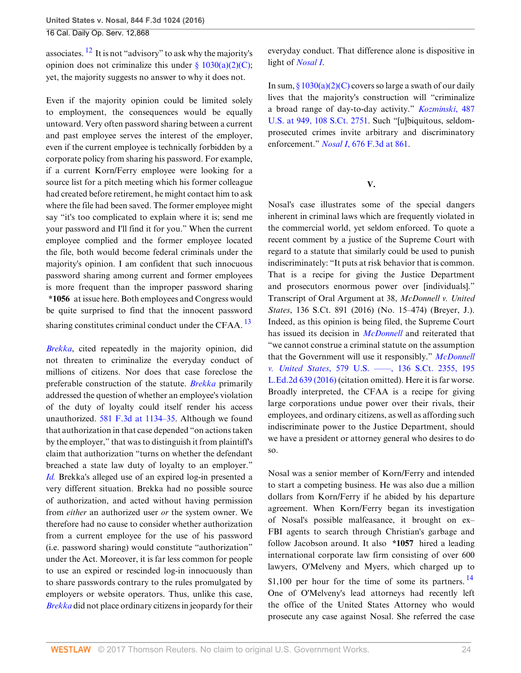<span id="page-23-0"></span>associates. [12](#page-27-6) It is not "advisory" to ask why the majority's opinion does not criminalize this under  $\S$  1030(a)(2)(C); yet, the majority suggests no answer to why it does not.

Even if the majority opinion could be limited solely to employment, the consequences would be equally untoward. Very often password sharing between a current and past employee serves the interest of the employer, even if the current employee is technically forbidden by a corporate policy from sharing his password. For example, if a current Korn/Ferry employee were looking for a source list for a pitch meeting which his former colleague had created before retirement, he might contact him to ask where the file had been saved. The former employee might say "it's too complicated to explain where it is; send me your password and I'll find it for you." When the current employee complied and the former employee located the file, both would become federal criminals under the majority's opinion. I am confident that such innocuous password sharing among current and former employees is more frequent than the improper password sharing **\*1056** at issue here. Both employees and Congress would be quite surprised to find that the innocent password sharing constitutes criminal conduct under the CFAA.<sup>[13](#page-27-7)</sup>

*[Brekka](http://www.westlaw.com/Link/Document/FullText?findType=Y&serNum=2019808398&pubNum=0000506&originatingDoc=I62b0a700bdea11e6ac07a76176915fee&refType=RP&originationContext=document&vr=3.0&rs=cblt1.0&transitionType=DocumentItem&contextData=(sc.UserEnteredCitation))*, cited repeatedly in the majority opinion, did not threaten to criminalize the everyday conduct of millions of citizens. Nor does that case foreclose the preferable construction of the statute. *[Brekka](http://www.westlaw.com/Link/Document/FullText?findType=Y&serNum=2019808398&pubNum=0000506&originatingDoc=I62b0a700bdea11e6ac07a76176915fee&refType=RP&originationContext=document&vr=3.0&rs=cblt1.0&transitionType=DocumentItem&contextData=(sc.UserEnteredCitation))* primarily addressed the question of whether an employee's violation of the duty of loyalty could itself render his access unauthorized. [581 F.3d at 1134–35.](http://www.westlaw.com/Link/Document/FullText?findType=Y&serNum=2019808398&pubNum=0000506&originatingDoc=I62b0a700bdea11e6ac07a76176915fee&refType=RP&fi=co_pp_sp_506_1134&originationContext=document&vr=3.0&rs=cblt1.0&transitionType=DocumentItem&contextData=(sc.UserEnteredCitation)#co_pp_sp_506_1134) Although we found that authorization in that case depended "on actions taken by the employer," that was to distinguish it from plaintiff's claim that authorization "turns on whether the defendant breached a state law duty of loyalty to an employer." *[Id.](http://www.westlaw.com/Link/Document/FullText?findType=Y&serNum=2019808398&pubNum=0000506&originatingDoc=I62b0a700bdea11e6ac07a76176915fee&refType=RP&originationContext=document&vr=3.0&rs=cblt1.0&transitionType=DocumentItem&contextData=(sc.UserEnteredCitation))* Brekka's alleged use of an expired log-in presented a very different situation. Brekka had no possible source of authorization, and acted without having permission from *either* an authorized user *or* the system owner. We therefore had no cause to consider whether authorization from a current employee for the use of his password (i.e. password sharing) would constitute "authorization" under the Act. Moreover, it is far less common for people to use an expired or rescinded log-in innocuously than to share passwords contrary to the rules promulgated by employers or website operators. Thus, unlike this case, *[Brekka](http://www.westlaw.com/Link/Document/FullText?findType=Y&serNum=2019808398&pubNum=0000506&originatingDoc=I62b0a700bdea11e6ac07a76176915fee&refType=RP&originationContext=document&vr=3.0&rs=cblt1.0&transitionType=DocumentItem&contextData=(sc.UserEnteredCitation))* did not place ordinary citizens in jeopardy for their everyday conduct. That difference alone is dispositive in light of *[Nosal I](http://www.westlaw.com/Link/Document/FullText?findType=Y&serNum=2027470557&originatingDoc=I62b0a700bdea11e6ac07a76176915fee&refType=RP&originationContext=document&vr=3.0&rs=cblt1.0&transitionType=DocumentItem&contextData=(sc.UserEnteredCitation))*.

In sum,  $\S 1030(a)(2)(C)$  covers so large a swath of our daily lives that the majority's construction will "criminalize a broad range of day-to-day activity." *[Kozminski](http://www.westlaw.com/Link/Document/FullText?findType=Y&serNum=1988084197&pubNum=0000708&originatingDoc=I62b0a700bdea11e6ac07a76176915fee&refType=RP&originationContext=document&vr=3.0&rs=cblt1.0&transitionType=DocumentItem&contextData=(sc.UserEnteredCitation))*, 487 [U.S. at 949, 108 S.Ct. 2751](http://www.westlaw.com/Link/Document/FullText?findType=Y&serNum=1988084197&pubNum=0000708&originatingDoc=I62b0a700bdea11e6ac07a76176915fee&refType=RP&originationContext=document&vr=3.0&rs=cblt1.0&transitionType=DocumentItem&contextData=(sc.UserEnteredCitation)). Such "[u]biquitous, seldomprosecuted crimes invite arbitrary and discriminatory enforcement." *Nosal I*[, 676 F.3d at 861.](http://www.westlaw.com/Link/Document/FullText?findType=Y&serNum=2027470557&pubNum=0000506&originatingDoc=I62b0a700bdea11e6ac07a76176915fee&refType=RP&fi=co_pp_sp_506_861&originationContext=document&vr=3.0&rs=cblt1.0&transitionType=DocumentItem&contextData=(sc.UserEnteredCitation)#co_pp_sp_506_861)

**V.**

<span id="page-23-1"></span>Nosal's case illustrates some of the special dangers inherent in criminal laws which are frequently violated in the commercial world, yet seldom enforced. To quote a recent comment by a justice of the Supreme Court with regard to a statute that similarly could be used to punish indiscriminately: "It puts at risk behavior that is common. That is a recipe for giving the Justice Department and prosecutors enormous power over [individuals]." Transcript of Oral Argument at 38, *McDonnell v. United States*, 136 S.Ct. 891 (2016) (No. 15–474) (Breyer, J.). Indeed, as this opinion is being filed, the Supreme Court has issued its decision in *[McDonnell](http://www.westlaw.com/Link/Document/FullText?findType=Y&serNum=2039250556&pubNum=0000708&originatingDoc=I62b0a700bdea11e6ac07a76176915fee&refType=RP&originationContext=document&vr=3.0&rs=cblt1.0&transitionType=DocumentItem&contextData=(sc.UserEnteredCitation))* and reiterated that "we cannot construe a criminal statute on the assumption that the Government will use it responsibly." *[McDonnell](http://www.westlaw.com/Link/Document/FullText?findType=Y&serNum=2039250556&pubNum=0000780&originatingDoc=I62b0a700bdea11e6ac07a76176915fee&refType=RP&originationContext=document&vr=3.0&rs=cblt1.0&transitionType=DocumentItem&contextData=(sc.UserEnteredCitation)) v. United States*[, 579 U.S. ––––, 136 S.Ct. 2355, 195](http://www.westlaw.com/Link/Document/FullText?findType=Y&serNum=2039250556&pubNum=0000780&originatingDoc=I62b0a700bdea11e6ac07a76176915fee&refType=RP&originationContext=document&vr=3.0&rs=cblt1.0&transitionType=DocumentItem&contextData=(sc.UserEnteredCitation)) [L.Ed.2d 639 \(2016\)](http://www.westlaw.com/Link/Document/FullText?findType=Y&serNum=2039250556&pubNum=0000780&originatingDoc=I62b0a700bdea11e6ac07a76176915fee&refType=RP&originationContext=document&vr=3.0&rs=cblt1.0&transitionType=DocumentItem&contextData=(sc.UserEnteredCitation)) (citation omitted). Here it is far worse. Broadly interpreted, the CFAA is a recipe for giving large corporations undue power over their rivals, their employees, and ordinary citizens, as well as affording such indiscriminate power to the Justice Department, should we have a president or attorney general who desires to do so.

<span id="page-23-2"></span>Nosal was a senior member of Korn/Ferry and intended to start a competing business. He was also due a million dollars from Korn/Ferry if he abided by his departure agreement. When Korn/Ferry began its investigation of Nosal's possible malfeasance, it brought on ex– FBI agents to search through Christian's garbage and follow Jacobson around. It also **\*1057** hired a leading international corporate law firm consisting of over 600 lawyers, O'Melveny and Myers, which charged up to \$1,100 per hour for the time of some its partners.  $^{14}$  $^{14}$  $^{14}$ One of O'Melveny's lead attorneys had recently left the office of the United States Attorney who would prosecute any case against Nosal. She referred the case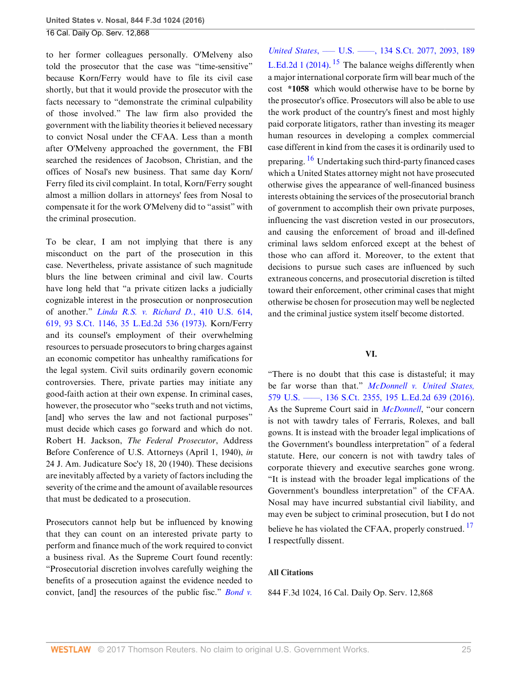to her former colleagues personally. O'Melveny also told the prosecutor that the case was "time-sensitive" because Korn/Ferry would have to file its civil case shortly, but that it would provide the prosecutor with the facts necessary to "demonstrate the criminal culpability of those involved." The law firm also provided the government with the liability theories it believed necessary to convict Nosal under the CFAA. Less than a month after O'Melveny approached the government, the FBI searched the residences of Jacobson, Christian, and the offices of Nosal's new business. That same day Korn/ Ferry filed its civil complaint. In total, Korn/Ferry sought almost a million dollars in attorneys' fees from Nosal to compensate it for the work O'Melveny did to "assist" with the criminal prosecution.

To be clear, I am not implying that there is any misconduct on the part of the prosecution in this case. Nevertheless, private assistance of such magnitude blurs the line between criminal and civil law. Courts have long held that "a private citizen lacks a judicially cognizable interest in the prosecution or nonprosecution of another." *[Linda R.S. v. Richard D.](http://www.westlaw.com/Link/Document/FullText?findType=Y&serNum=1973126345&pubNum=0000708&originatingDoc=I62b0a700bdea11e6ac07a76176915fee&refType=RP&originationContext=document&vr=3.0&rs=cblt1.0&transitionType=DocumentItem&contextData=(sc.UserEnteredCitation))*, 410 U.S. 614, [619, 93 S.Ct. 1146, 35 L.Ed.2d 536 \(1973\).](http://www.westlaw.com/Link/Document/FullText?findType=Y&serNum=1973126345&pubNum=0000708&originatingDoc=I62b0a700bdea11e6ac07a76176915fee&refType=RP&originationContext=document&vr=3.0&rs=cblt1.0&transitionType=DocumentItem&contextData=(sc.UserEnteredCitation)) Korn/Ferry and its counsel's employment of their overwhelming resources to persuade prosecutors to bring charges against an economic competitor has unhealthy ramifications for the legal system. Civil suits ordinarily govern economic controversies. There, private parties may initiate any good-faith action at their own expense. In criminal cases, however, the prosecutor who "seeks truth and not victims, [and] who serves the law and not factional purposes" must decide which cases go forward and which do not. Robert H. Jackson, *The Federal Prosecutor*, Address Before Conference of U.S. Attorneys (April 1, 1940), *in* 24 J. Am. Judicature Soc'y 18, 20 (1940). These decisions are inevitably affected by a variety of factors including the severity of the crime and the amount of available resources that must be dedicated to a prosecution.

Prosecutors cannot help but be influenced by knowing that they can count on an interested private party to perform and finance much of the work required to convict a business rival. As the Supreme Court found recently: "Prosecutorial discretion involves carefully weighing the benefits of a prosecution against the evidence needed to convict, [and] the resources of the public fisc." *[Bond v.](http://www.westlaw.com/Link/Document/FullText?findType=Y&serNum=2033496705&pubNum=0000708&originatingDoc=I62b0a700bdea11e6ac07a76176915fee&refType=RP&fi=co_pp_sp_708_2093&originationContext=document&vr=3.0&rs=cblt1.0&transitionType=DocumentItem&contextData=(sc.UserEnteredCitation)#co_pp_sp_708_2093)*

<span id="page-24-1"></span><span id="page-24-0"></span>*United States*[, ––– U.S. ––––, 134 S.Ct. 2077, 2093, 189](http://www.westlaw.com/Link/Document/FullText?findType=Y&serNum=2033496705&pubNum=0000708&originatingDoc=I62b0a700bdea11e6ac07a76176915fee&refType=RP&fi=co_pp_sp_708_2093&originationContext=document&vr=3.0&rs=cblt1.0&transitionType=DocumentItem&contextData=(sc.UserEnteredCitation)#co_pp_sp_708_2093) [L.Ed.2d 1 \(2014\).](http://www.westlaw.com/Link/Document/FullText?findType=Y&serNum=2033496705&pubNum=0000708&originatingDoc=I62b0a700bdea11e6ac07a76176915fee&refType=RP&fi=co_pp_sp_708_2093&originationContext=document&vr=3.0&rs=cblt1.0&transitionType=DocumentItem&contextData=(sc.UserEnteredCitation)#co_pp_sp_708_2093)  $15$  The balance weighs differently when a major international corporate firm will bear much of the cost **\*1058** which would otherwise have to be borne by the prosecutor's office. Prosecutors will also be able to use the work product of the country's finest and most highly paid corporate litigators, rather than investing its meager human resources in developing a complex commercial case different in kind from the cases it is ordinarily used to preparing. <sup>[16](#page-28-0)</sup> Undertaking such third-party financed cases which a United States attorney might not have prosecuted otherwise gives the appearance of well-financed business interests obtaining the services of the prosecutorial branch of government to accomplish their own private purposes, influencing the vast discretion vested in our prosecutors, and causing the enforcement of broad and ill-defined criminal laws seldom enforced except at the behest of those who can afford it. Moreover, to the extent that decisions to pursue such cases are influenced by such extraneous concerns, and prosecutorial discretion is tilted toward their enforcement, other criminal cases that might otherwise be chosen for prosecution may well be neglected and the criminal justice system itself become distorted.

## <span id="page-24-2"></span>**VI.**

"There is no doubt that this case is distasteful; it may be far worse than that." *[McDonnell v. United States,](http://www.westlaw.com/Link/Document/FullText?findType=Y&serNum=2039250556&pubNum=0000780&originatingDoc=I62b0a700bdea11e6ac07a76176915fee&refType=RP&originationContext=document&vr=3.0&rs=cblt1.0&transitionType=DocumentItem&contextData=(sc.UserEnteredCitation))* [579 U.S. ––––, 136 S.Ct. 2355, 195 L.Ed.2d 639 \(2016\)](http://www.westlaw.com/Link/Document/FullText?findType=Y&serNum=2039250556&pubNum=0000780&originatingDoc=I62b0a700bdea11e6ac07a76176915fee&refType=RP&originationContext=document&vr=3.0&rs=cblt1.0&transitionType=DocumentItem&contextData=(sc.UserEnteredCitation)). As the Supreme Court said in *[McDonnell](http://www.westlaw.com/Link/Document/FullText?findType=Y&serNum=2039250556&pubNum=0000708&originatingDoc=I62b0a700bdea11e6ac07a76176915fee&refType=RP&originationContext=document&vr=3.0&rs=cblt1.0&transitionType=DocumentItem&contextData=(sc.UserEnteredCitation))*, "our concern is not with tawdry tales of Ferraris, Rolexes, and ball gowns. It is instead with the broader legal implications of the Government's boundless interpretation" of a federal statute. Here, our concern is not with tawdry tales of corporate thievery and executive searches gone wrong. "It is instead with the broader legal implications of the Government's boundless interpretation" of the CFAA. Nosal may have incurred substantial civil liability, and may even be subject to criminal prosecution, but I do not believe he has violated the CFAA, properly construed.<sup>[17](#page-28-1)</sup> I respectfully dissent.

## **All Citations**

844 F.3d 1024, 16 Cal. Daily Op. Serv. 12,868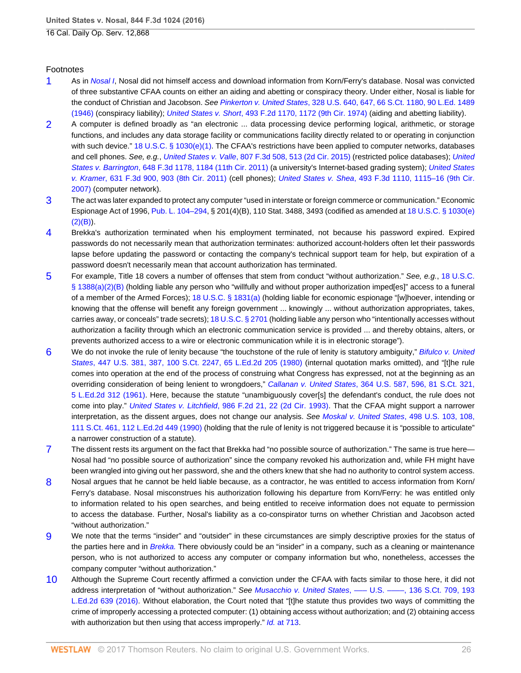#### Footnotes

- <span id="page-25-0"></span>[1](#page-5-0) As in [Nosal I](http://www.westlaw.com/Link/Document/FullText?findType=Y&serNum=2027470557&pubNum=0000506&originatingDoc=I62b0a700bdea11e6ac07a76176915fee&refType=RP&originationContext=document&vr=3.0&rs=cblt1.0&transitionType=DocumentItem&contextData=(sc.UserEnteredCitation)), Nosal did not himself access and download information from Korn/Ferry's database. Nosal was convicted of three substantive CFAA counts on either an aiding and abetting or conspiracy theory. Under either, Nosal is liable for the conduct of Christian and Jacobson. See Pinkerton v. United States[, 328 U.S. 640, 647, 66 S.Ct. 1180, 90 L.Ed. 1489](http://www.westlaw.com/Link/Document/FullText?findType=Y&serNum=1946114732&pubNum=0000708&originatingDoc=I62b0a700bdea11e6ac07a76176915fee&refType=RP&originationContext=document&vr=3.0&rs=cblt1.0&transitionType=DocumentItem&contextData=(sc.UserEnteredCitation)) [\(1946\)](http://www.westlaw.com/Link/Document/FullText?findType=Y&serNum=1946114732&pubNum=0000708&originatingDoc=I62b0a700bdea11e6ac07a76176915fee&refType=RP&originationContext=document&vr=3.0&rs=cblt1.0&transitionType=DocumentItem&contextData=(sc.UserEnteredCitation)) (conspiracy liability); United States v. Short[, 493 F.2d 1170, 1172 \(9th Cir. 1974\)](http://www.westlaw.com/Link/Document/FullText?findType=Y&serNum=1974109764&pubNum=0000350&originatingDoc=I62b0a700bdea11e6ac07a76176915fee&refType=RP&fi=co_pp_sp_350_1172&originationContext=document&vr=3.0&rs=cblt1.0&transitionType=DocumentItem&contextData=(sc.UserEnteredCitation)#co_pp_sp_350_1172) (aiding and abetting liability).
- <span id="page-25-1"></span>[2](#page-7-0) A computer is defined broadly as "an electronic ... data processing device performing logical, arithmetic, or storage functions, and includes any data storage facility or communications facility directly related to or operating in conjunction with such device." [18 U.S.C. § 1030\(e\)\(1\).](http://www.westlaw.com/Link/Document/FullText?findType=L&pubNum=1000546&cite=18USCAS1030&originatingDoc=I62b0a700bdea11e6ac07a76176915fee&refType=SP&originationContext=document&vr=3.0&rs=cblt1.0&transitionType=DocumentItem&contextData=(sc.UserEnteredCitation)#co_pp_06a60000dfdc6) The CFAA's restrictions have been applied to computer networks, databases and cell phones. See, e.g., United States v. Valle[, 807 F.3d 508, 513 \(2d Cir. 2015\)](http://www.westlaw.com/Link/Document/FullText?findType=Y&serNum=2037731566&pubNum=0000506&originatingDoc=I62b0a700bdea11e6ac07a76176915fee&refType=RP&fi=co_pp_sp_506_513&originationContext=document&vr=3.0&rs=cblt1.0&transitionType=DocumentItem&contextData=(sc.UserEnteredCitation)#co_pp_sp_506_513) (restricted police databases); [United](http://www.westlaw.com/Link/Document/FullText?findType=Y&serNum=2025851233&pubNum=0000506&originatingDoc=I62b0a700bdea11e6ac07a76176915fee&refType=RP&fi=co_pp_sp_506_1184&originationContext=document&vr=3.0&rs=cblt1.0&transitionType=DocumentItem&contextData=(sc.UserEnteredCitation)#co_pp_sp_506_1184) States v. Barrington[, 648 F.3d 1178, 1184 \(11th Cir. 2011\)](http://www.westlaw.com/Link/Document/FullText?findType=Y&serNum=2025851233&pubNum=0000506&originatingDoc=I62b0a700bdea11e6ac07a76176915fee&refType=RP&fi=co_pp_sp_506_1184&originationContext=document&vr=3.0&rs=cblt1.0&transitionType=DocumentItem&contextData=(sc.UserEnteredCitation)#co_pp_sp_506_1184) (a university's Internet-based grading system); [United States](http://www.westlaw.com/Link/Document/FullText?findType=Y&serNum=2024541609&pubNum=0000506&originatingDoc=I62b0a700bdea11e6ac07a76176915fee&refType=RP&fi=co_pp_sp_506_903&originationContext=document&vr=3.0&rs=cblt1.0&transitionType=DocumentItem&contextData=(sc.UserEnteredCitation)#co_pp_sp_506_903) v. Kramer[, 631 F.3d 900, 903 \(8th Cir. 2011\)](http://www.westlaw.com/Link/Document/FullText?findType=Y&serNum=2024541609&pubNum=0000506&originatingDoc=I62b0a700bdea11e6ac07a76176915fee&refType=RP&fi=co_pp_sp_506_903&originationContext=document&vr=3.0&rs=cblt1.0&transitionType=DocumentItem&contextData=(sc.UserEnteredCitation)#co_pp_sp_506_903) (cell phones); United States v. Shea[, 493 F.3d 1110, 1115–16 \(9th Cir.](http://www.westlaw.com/Link/Document/FullText?findType=Y&serNum=2012679016&pubNum=0000506&originatingDoc=I62b0a700bdea11e6ac07a76176915fee&refType=RP&fi=co_pp_sp_506_1115&originationContext=document&vr=3.0&rs=cblt1.0&transitionType=DocumentItem&contextData=(sc.UserEnteredCitation)#co_pp_sp_506_1115) [2007\)](http://www.westlaw.com/Link/Document/FullText?findType=Y&serNum=2012679016&pubNum=0000506&originatingDoc=I62b0a700bdea11e6ac07a76176915fee&refType=RP&fi=co_pp_sp_506_1115&originationContext=document&vr=3.0&rs=cblt1.0&transitionType=DocumentItem&contextData=(sc.UserEnteredCitation)#co_pp_sp_506_1115) (computer network).
- <span id="page-25-2"></span>[3](#page-7-1) The act was later expanded to protect any computer "used in interstate or foreign commerce or communication." Economic Espionage Act of 1996, [Pub. L. 104–294](http://www.westlaw.com/Link/Document/FullText?findType=l&pubNum=1077005&cite=UUID(I428F6209B4-AC49C49DC64-53C0A37F0A2)&originatingDoc=I62b0a700bdea11e6ac07a76176915fee&refType=SL&originationContext=document&vr=3.0&rs=cblt1.0&transitionType=DocumentItem&contextData=(sc.UserEnteredCitation)), § 201(4)(B), 110 Stat. 3488, 3493 (codified as amended at [18 U.S.C. § 1030\(e\)](http://www.westlaw.com/Link/Document/FullText?findType=L&pubNum=1000546&cite=18USCAS1030&originatingDoc=I62b0a700bdea11e6ac07a76176915fee&refType=SP&originationContext=document&vr=3.0&rs=cblt1.0&transitionType=DocumentItem&contextData=(sc.UserEnteredCitation)#co_pp_43e70000a9743)  $(2)(B)$ ).
- <span id="page-25-3"></span>[4](#page-8-0) Brekka's authorization terminated when his employment terminated, not because his password expired. Expired passwords do not necessarily mean that authorization terminates: authorized account-holders often let their passwords lapse before updating the password or contacting the company's technical support team for help, but expiration of a password doesn't necessarily mean that account authorization has terminated.
- <span id="page-25-4"></span>[5](#page-9-1) For example, Title 18 covers a number of offenses that stem from conduct "without authorization." See, e.g., [18 U.S.C.](http://www.westlaw.com/Link/Document/FullText?findType=L&pubNum=1000546&cite=18USCAS1388&originatingDoc=I62b0a700bdea11e6ac07a76176915fee&refType=SP&originationContext=document&vr=3.0&rs=cblt1.0&transitionType=DocumentItem&contextData=(sc.UserEnteredCitation)#co_pp_f93f00008d291) [§ 1388\(a\)\(2\)\(B\)](http://www.westlaw.com/Link/Document/FullText?findType=L&pubNum=1000546&cite=18USCAS1388&originatingDoc=I62b0a700bdea11e6ac07a76176915fee&refType=SP&originationContext=document&vr=3.0&rs=cblt1.0&transitionType=DocumentItem&contextData=(sc.UserEnteredCitation)#co_pp_f93f00008d291) (holding liable any person who "willfully and without proper authorization imped[es]" access to a funeral of a member of the Armed Forces); [18 U.S.C. § 1831\(a\)](http://www.westlaw.com/Link/Document/FullText?findType=L&pubNum=1000546&cite=18USCAS1831&originatingDoc=I62b0a700bdea11e6ac07a76176915fee&refType=SP&originationContext=document&vr=3.0&rs=cblt1.0&transitionType=DocumentItem&contextData=(sc.UserEnteredCitation)#co_pp_8b3b0000958a4) (holding liable for economic espionage "[w]hoever, intending or knowing that the offense will benefit any foreign government ... knowingly ... without authorization appropriates, takes, carries away, or conceals" trade secrets); [18 U.S.C. § 2701](http://www.westlaw.com/Link/Document/FullText?findType=L&pubNum=1000546&cite=18USCAS2701&originatingDoc=I62b0a700bdea11e6ac07a76176915fee&refType=LQ&originationContext=document&vr=3.0&rs=cblt1.0&transitionType=DocumentItem&contextData=(sc.UserEnteredCitation)) (holding liable any person who "intentionally accesses without authorization a facility through which an electronic communication service is provided ... and thereby obtains, alters, or prevents authorized access to a wire or electronic communication while it is in electronic storage").
- <span id="page-25-5"></span>[6](#page-9-2) We do not invoke the rule of lenity because "the touchstone of the rule of lenity is statutory ambiguity," [Bifulco v. United](http://www.westlaw.com/Link/Document/FullText?findType=Y&serNum=1980116779&pubNum=0000708&originatingDoc=I62b0a700bdea11e6ac07a76176915fee&refType=RP&originationContext=document&vr=3.0&rs=cblt1.0&transitionType=DocumentItem&contextData=(sc.UserEnteredCitation)) States[, 447 U.S. 381, 387, 100 S.Ct. 2247, 65 L.Ed.2d 205 \(1980\)](http://www.westlaw.com/Link/Document/FullText?findType=Y&serNum=1980116779&pubNum=0000708&originatingDoc=I62b0a700bdea11e6ac07a76176915fee&refType=RP&originationContext=document&vr=3.0&rs=cblt1.0&transitionType=DocumentItem&contextData=(sc.UserEnteredCitation)) (internal quotation marks omitted), and "[t]he rule comes into operation at the end of the process of construing what Congress has expressed, not at the beginning as an overriding consideration of being lenient to wrongdoers," Callanan v. United States[, 364 U.S. 587, 596, 81 S.Ct. 321,](http://www.westlaw.com/Link/Document/FullText?findType=Y&serNum=1960129574&pubNum=0000708&originatingDoc=I62b0a700bdea11e6ac07a76176915fee&refType=RP&originationContext=document&vr=3.0&rs=cblt1.0&transitionType=DocumentItem&contextData=(sc.UserEnteredCitation)) [5 L.Ed.2d 312 \(1961\).](http://www.westlaw.com/Link/Document/FullText?findType=Y&serNum=1960129574&pubNum=0000708&originatingDoc=I62b0a700bdea11e6ac07a76176915fee&refType=RP&originationContext=document&vr=3.0&rs=cblt1.0&transitionType=DocumentItem&contextData=(sc.UserEnteredCitation)) Here, because the statute "unambiguously cover[s] the defendant's conduct, the rule does not come into play." United States v. Litchfield[, 986 F.2d 21, 22 \(2d Cir. 1993\)](http://www.westlaw.com/Link/Document/FullText?findType=Y&serNum=1993050918&pubNum=0000350&originatingDoc=I62b0a700bdea11e6ac07a76176915fee&refType=RP&fi=co_pp_sp_350_22&originationContext=document&vr=3.0&rs=cblt1.0&transitionType=DocumentItem&contextData=(sc.UserEnteredCitation)#co_pp_sp_350_22). That the CFAA might support a narrower interpretation, as the dissent argues, does not change our analysis. See [Moskal v. United States](http://www.westlaw.com/Link/Document/FullText?findType=Y&serNum=1990169281&pubNum=0000708&originatingDoc=I62b0a700bdea11e6ac07a76176915fee&refType=RP&originationContext=document&vr=3.0&rs=cblt1.0&transitionType=DocumentItem&contextData=(sc.UserEnteredCitation)), 498 U.S. 103, 108, [111 S.Ct. 461, 112 L.Ed.2d 449 \(1990\)](http://www.westlaw.com/Link/Document/FullText?findType=Y&serNum=1990169281&pubNum=0000708&originatingDoc=I62b0a700bdea11e6ac07a76176915fee&refType=RP&originationContext=document&vr=3.0&rs=cblt1.0&transitionType=DocumentItem&contextData=(sc.UserEnteredCitation)) (holding that the rule of lenity is not triggered because it is "possible to articulate" a narrower construction of a statute).
- <span id="page-25-6"></span>[7](#page-9-3) The dissent rests its argument on the fact that Brekka had "no possible source of authorization." The same is true here— Nosal had "no possible source of authorization" since the company revoked his authorization and, while FH might have been wrangled into giving out her password, she and the others knew that she had no authority to control system access.
- <span id="page-25-7"></span>[8](#page-9-4) Nosal argues that he cannot be held liable because, as a contractor, he was entitled to access information from Korn/ Ferry's database. Nosal misconstrues his authorization following his departure from Korn/Ferry: he was entitled only to information related to his open searches, and being entitled to receive information does not equate to permission to access the database. Further, Nosal's liability as a co-conspirator turns on whether Christian and Jacobson acted "without authorization."
- <span id="page-25-8"></span>[9](#page-9-5) We note that the terms "insider" and "outsider" in these circumstances are simply descriptive proxies for the status of the parties here and in [Brekka.](http://www.westlaw.com/Link/Document/FullText?findType=Y&serNum=2019808398&pubNum=0000506&originatingDoc=I62b0a700bdea11e6ac07a76176915fee&refType=RP&originationContext=document&vr=3.0&rs=cblt1.0&transitionType=DocumentItem&contextData=(sc.UserEnteredCitation)) There obviously could be an "insider" in a company, such as a cleaning or maintenance person, who is not authorized to access any computer or company information but who, nonetheless, accesses the company computer "without authorization."
- <span id="page-25-9"></span>[10](#page-9-6) Although the Supreme Court recently affirmed a conviction under the CFAA with facts similar to those here, it did not address interpretation of "without authorization." See Musacchio v. United States, -- U.S. --, 136 S.Ct. 709, 193 [L.Ed.2d 639 \(2016\)](http://www.westlaw.com/Link/Document/FullText?findType=Y&serNum=2038150527&pubNum=0000708&originatingDoc=I62b0a700bdea11e6ac07a76176915fee&refType=RP&originationContext=document&vr=3.0&rs=cblt1.0&transitionType=DocumentItem&contextData=(sc.UserEnteredCitation)). Without elaboration, the Court noted that "[t]he statute thus provides two ways of committing the crime of improperly accessing a protected computer: (1) obtaining access without authorization; and (2) obtaining access with authorization but then using that access improperly." Id. [at 713](http://www.westlaw.com/Link/Document/FullText?findType=Y&serNum=2038150527&pubNum=0000708&originatingDoc=I62b0a700bdea11e6ac07a76176915fee&refType=RP&fi=co_pp_sp_708_713&originationContext=document&vr=3.0&rs=cblt1.0&transitionType=DocumentItem&contextData=(sc.UserEnteredCitation)#co_pp_sp_708_713).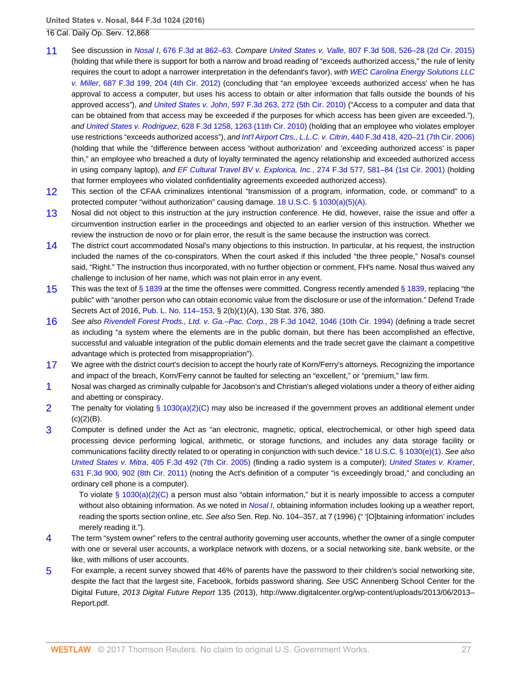- <span id="page-26-0"></span>[11](#page-9-7) See discussion in Nosal I[, 676 F.3d at 862–63](http://www.westlaw.com/Link/Document/FullText?findType=Y&serNum=2027470557&pubNum=0000506&originatingDoc=I62b0a700bdea11e6ac07a76176915fee&refType=RP&fi=co_pp_sp_506_862&originationContext=document&vr=3.0&rs=cblt1.0&transitionType=DocumentItem&contextData=(sc.UserEnteredCitation)#co_pp_sp_506_862). Compare United States v. Valle[, 807 F.3d 508, 526–28 \(2d Cir. 2015\)](http://www.westlaw.com/Link/Document/FullText?findType=Y&serNum=2037731566&pubNum=0000506&originatingDoc=I62b0a700bdea11e6ac07a76176915fee&refType=RP&fi=co_pp_sp_506_526&originationContext=document&vr=3.0&rs=cblt1.0&transitionType=DocumentItem&contextData=(sc.UserEnteredCitation)#co_pp_sp_506_526) (holding that while there is support for both a narrow and broad reading of "exceeds authorized access," the rule of lenity requires the court to adopt a narrower interpretation in the defendant's favor), with [WEC Carolina Energy Solutions LLC](http://www.westlaw.com/Link/Document/FullText?findType=Y&serNum=2028288229&pubNum=0000506&originatingDoc=I62b0a700bdea11e6ac07a76176915fee&refType=RP&fi=co_pp_sp_506_204&originationContext=document&vr=3.0&rs=cblt1.0&transitionType=DocumentItem&contextData=(sc.UserEnteredCitation)#co_pp_sp_506_204) v. Miller[, 687 F.3d 199, 204 \(4th Cir. 2012\)](http://www.westlaw.com/Link/Document/FullText?findType=Y&serNum=2028288229&pubNum=0000506&originatingDoc=I62b0a700bdea11e6ac07a76176915fee&refType=RP&fi=co_pp_sp_506_204&originationContext=document&vr=3.0&rs=cblt1.0&transitionType=DocumentItem&contextData=(sc.UserEnteredCitation)#co_pp_sp_506_204) (concluding that "an employee 'exceeds authorized access' when he has approval to access a computer, but uses his access to obtain or alter information that falls outside the bounds of his approved access"), and United States v. John[, 597 F.3d 263, 272 \(5th Cir. 2010\)](http://www.westlaw.com/Link/Document/FullText?findType=Y&serNum=2021314442&pubNum=0000506&originatingDoc=I62b0a700bdea11e6ac07a76176915fee&refType=RP&fi=co_pp_sp_506_272&originationContext=document&vr=3.0&rs=cblt1.0&transitionType=DocumentItem&contextData=(sc.UserEnteredCitation)#co_pp_sp_506_272) ("Access to a computer and data that can be obtained from that access may be exceeded if the purposes for which access has been given are exceeded."), and United States v. Rodriguez[, 628 F.3d 1258, 1263 \(11th Cir. 2010\)](http://www.westlaw.com/Link/Document/FullText?findType=Y&serNum=2024206243&pubNum=0000506&originatingDoc=I62b0a700bdea11e6ac07a76176915fee&refType=RP&fi=co_pp_sp_506_1263&originationContext=document&vr=3.0&rs=cblt1.0&transitionType=DocumentItem&contextData=(sc.UserEnteredCitation)#co_pp_sp_506_1263) (holding that an employee who violates employer use restrictions "exceeds authorized access"), and Int'l Airport Ctrs., L.L.C. v. Citrin, 440 F.3d 418, 420-21 (7th Cir. 2006) (holding that while the "difference between access 'without authorization' and 'exceeding authorized access' is paper thin," an employee who breached a duty of loyalty terminated the agency relationship and exceeded authorized access in using company laptop), and [EF Cultural Travel BV v. Explorica, Inc.](http://www.westlaw.com/Link/Document/FullText?findType=Y&serNum=2001544216&pubNum=0000506&originatingDoc=I62b0a700bdea11e6ac07a76176915fee&refType=RP&fi=co_pp_sp_506_581&originationContext=document&vr=3.0&rs=cblt1.0&transitionType=DocumentItem&contextData=(sc.UserEnteredCitation)#co_pp_sp_506_581), 274 F.3d 577, 581–84 (1st Cir. 2001) (holding that former employees who violated confidentiality agreements exceeded authorized access).
- <span id="page-26-1"></span>[12](#page-9-8) This section of the CFAA criminalizes intentional "transmission of a program, information, code, or command" to a protected computer "without authorization" causing damage.  $18 \text{ U.S.C.}$  §  $1030(a)(5)(A)$ .
- <span id="page-26-2"></span>[13](#page-11-2) Nosal did not object to this instruction at the jury instruction conference. He did, however, raise the issue and offer a circumvention instruction earlier in the proceedings and objected to an earlier version of this instruction. Whether we review the instruction de novo or for plain error, the result is the same because the instruction was correct.
- <span id="page-26-3"></span>[14](#page-12-2) The district court accommodated Nosal's many objections to this instruction. In particular, at his request, the instruction included the names of the co-conspirators. When the court asked if this included "the three people," Nosal's counsel said, "Right." The instruction thus incorporated, with no further objection or comment, FH's name. Nosal thus waived any challenge to inclusion of her name, which was not plain error in any event.
- <span id="page-26-4"></span>[15](#page-13-1) This was the text of [§ 1839](http://www.westlaw.com/Link/Document/FullText?findType=L&pubNum=1000546&cite=18USCAS1839&originatingDoc=I62b0a700bdea11e6ac07a76176915fee&refType=LQ&originationContext=document&vr=3.0&rs=cblt1.0&transitionType=DocumentItem&contextData=(sc.UserEnteredCitation)) at the time the offenses were committed. Congress recently amended [§ 1839,](http://www.westlaw.com/Link/Document/FullText?findType=L&pubNum=1000546&cite=18USCAS1839&originatingDoc=I62b0a700bdea11e6ac07a76176915fee&refType=LQ&originationContext=document&vr=3.0&rs=cblt1.0&transitionType=DocumentItem&contextData=(sc.UserEnteredCitation)) replacing "the public" with "another person who can obtain economic value from the disclosure or use of the information." Defend Trade Secrets Act of 2016, [Pub. L. No. 114–153](http://www.westlaw.com/Link/Document/FullText?findType=l&pubNum=1077005&cite=UUID(IA41A87300D-C111E694ABA-2369149DAF1)&originatingDoc=I62b0a700bdea11e6ac07a76176915fee&refType=SL&originationContext=document&vr=3.0&rs=cblt1.0&transitionType=DocumentItem&contextData=(sc.UserEnteredCitation)), § 2(b)(1)(A), 130 Stat. 376, 380.
- <span id="page-26-5"></span>[16](#page-14-1) See also [Rivendell Forest Prods., Ltd. v. Ga.–Pac. Corp.](http://www.westlaw.com/Link/Document/FullText?findType=Y&serNum=1994141373&pubNum=0000506&originatingDoc=I62b0a700bdea11e6ac07a76176915fee&refType=RP&fi=co_pp_sp_506_1046&originationContext=document&vr=3.0&rs=cblt1.0&transitionType=DocumentItem&contextData=(sc.UserEnteredCitation)#co_pp_sp_506_1046), 28 F.3d 1042, 1046 (10th Cir. 1994) (defining a trade secret as including "a system where the elements are in the public domain, but there has been accomplished an effective, successful and valuable integration of the public domain elements and the trade secret gave the claimant a competitive advantage which is protected from misappropriation").
- <span id="page-26-6"></span>[17](#page-18-2) We agree with the district court's decision to accept the hourly rate of Korn/Ferry's attorneys. Recognizing the importance and impact of the breach, Korn/Ferry cannot be faulted for selecting an "excellent," or "premium," law firm.
- <span id="page-26-7"></span>[1](#page-19-0) Nosal was charged as criminally culpable for Jacobson's and Christian's alleged violations under a theory of either aiding and abetting or conspiracy.
- <span id="page-26-8"></span>[2](#page-19-1) The penalty for violating  $\S$  1030(a)(2)(C) may also be increased if the government proves an additional element under  $(c)(2)(B)$ .
- <span id="page-26-9"></span>[3](#page-20-0) Computer is defined under the Act as "an electronic, magnetic, optical, electrochemical, or other high speed data processing device performing logical, arithmetic, or storage functions, and includes any data storage facility or communications facility directly related to or operating in conjunction with such device." [18 U.S.C. § 1030\(e\)\(1\).](http://www.westlaw.com/Link/Document/FullText?findType=L&pubNum=1000546&cite=18USCAS1030&originatingDoc=I62b0a700bdea11e6ac07a76176915fee&refType=SP&originationContext=document&vr=3.0&rs=cblt1.0&transitionType=DocumentItem&contextData=(sc.UserEnteredCitation)#co_pp_06a60000dfdc6) See also United States v. Mitra[, 405 F.3d 492 \(7th Cir. 2005\)](http://www.westlaw.com/Link/Document/FullText?findType=Y&serNum=2006520481&pubNum=0000506&originatingDoc=I62b0a700bdea11e6ac07a76176915fee&refType=RP&originationContext=document&vr=3.0&rs=cblt1.0&transitionType=DocumentItem&contextData=(sc.UserEnteredCitation)) (finding a radio system is a computer); [United States v. Kramer](http://www.westlaw.com/Link/Document/FullText?findType=Y&serNum=2024541609&pubNum=0000506&originatingDoc=I62b0a700bdea11e6ac07a76176915fee&refType=RP&fi=co_pp_sp_506_902&originationContext=document&vr=3.0&rs=cblt1.0&transitionType=DocumentItem&contextData=(sc.UserEnteredCitation)#co_pp_sp_506_902), [631 F.3d 900, 902 \(8th Cir. 2011\)](http://www.westlaw.com/Link/Document/FullText?findType=Y&serNum=2024541609&pubNum=0000506&originatingDoc=I62b0a700bdea11e6ac07a76176915fee&refType=RP&fi=co_pp_sp_506_902&originationContext=document&vr=3.0&rs=cblt1.0&transitionType=DocumentItem&contextData=(sc.UserEnteredCitation)#co_pp_sp_506_902) (noting the Act's definition of a computer "is exceedingly broad," and concluding an ordinary cell phone is a computer).

To violate [§ 1030\(a\)\(2\)\(C\)](http://www.westlaw.com/Link/Document/FullText?findType=L&pubNum=1000546&cite=18USCAS1030&originatingDoc=I62b0a700bdea11e6ac07a76176915fee&refType=SP&originationContext=document&vr=3.0&rs=cblt1.0&transitionType=DocumentItem&contextData=(sc.UserEnteredCitation)#co_pp_9bab000016341) a person must also "obtain information," but it is nearly impossible to access a computer without also obtaining information. As we noted in [Nosal I](http://www.westlaw.com/Link/Document/FullText?findType=Y&serNum=2027470557&pubNum=0000506&originatingDoc=I62b0a700bdea11e6ac07a76176915fee&refType=RP&originationContext=document&vr=3.0&rs=cblt1.0&transitionType=DocumentItem&contextData=(sc.UserEnteredCitation)), obtaining information includes looking up a weather report, reading the sports section online, etc. See also Sen. Rep. No. 104-357, at 7 (1996) (" '[O]btaining information' includes merely reading it.").

- <span id="page-26-10"></span>[4](#page-20-1) The term "system owner" refers to the central authority governing user accounts, whether the owner of a single computer with one or several user accounts, a workplace network with dozens, or a social networking site, bank website, or the like, with millions of user accounts.
- <span id="page-26-11"></span>[5](#page-20-2) For example, a recent survey showed that 46% of parents have the password to their children's social networking site, despite the fact that the largest site, Facebook, forbids password sharing. See USC Annenberg School Center for the Digital Future, 2013 Digital Future Report 135 (2013), http://www.digitalcenter.org/wp-content/uploads/2013/06/2013– Report.pdf.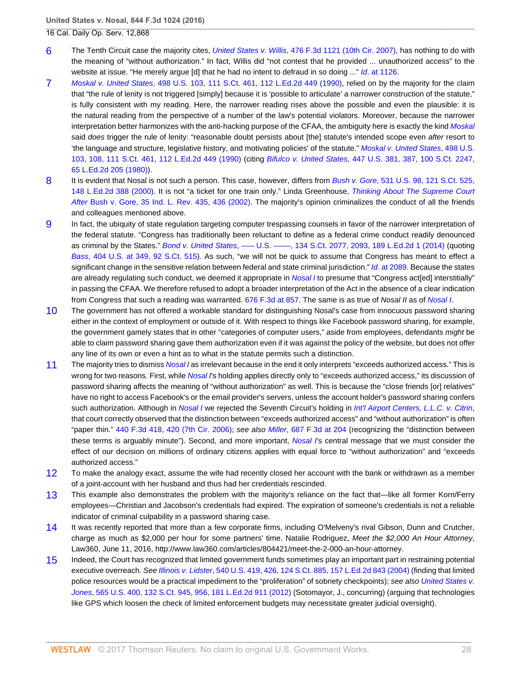- <span id="page-27-0"></span>[6](#page-21-0) The Tenth Circuit case the majority cites, United States v. Willis[, 476 F.3d 1121 \(10th Cir. 2007\)](http://www.westlaw.com/Link/Document/FullText?findType=Y&serNum=2011481168&pubNum=0000506&originatingDoc=I62b0a700bdea11e6ac07a76176915fee&refType=RP&originationContext=document&vr=3.0&rs=cblt1.0&transitionType=DocumentItem&contextData=(sc.UserEnteredCitation)), has nothing to do with the meaning of "without authorization." In fact, Willis did "not contest that he provided ... unauthorized access" to the website at issue. "He merely argue [d] that he had no intent to defraud in so doing ..." Id[. at 1126.](http://www.westlaw.com/Link/Document/FullText?findType=Y&serNum=2011481168&pubNum=0000506&originatingDoc=I62b0a700bdea11e6ac07a76176915fee&refType=RP&fi=co_pp_sp_506_1126&originationContext=document&vr=3.0&rs=cblt1.0&transitionType=DocumentItem&contextData=(sc.UserEnteredCitation)#co_pp_sp_506_1126)
- <span id="page-27-1"></span>[7](#page-22-0) Moskal v. United States[, 498 U.S. 103, 111 S.Ct. 461, 112 L.Ed.2d 449 \(1990\)](http://www.westlaw.com/Link/Document/FullText?findType=Y&serNum=1990169281&pubNum=0000708&originatingDoc=I62b0a700bdea11e6ac07a76176915fee&refType=RP&originationContext=document&vr=3.0&rs=cblt1.0&transitionType=DocumentItem&contextData=(sc.UserEnteredCitation)), relied on by the majority for the claim that "the rule of lenity is not triggered [simply] because it is 'possible to articulate' a narrower construction of the statute," is fully consistent with my reading. Here, the narrower reading rises above the possible and even the plausible: it is the natural reading from the perspective of a number of the law's potential violators. Moreover, because the narrower interpretation better harmonizes with the anti-hacking purpose of the CFAA, the ambiguity here is exactly the kind [Moskal](http://www.westlaw.com/Link/Document/FullText?findType=Y&serNum=1990169281&pubNum=0000780&originatingDoc=I62b0a700bdea11e6ac07a76176915fee&refType=RP&originationContext=document&vr=3.0&rs=cblt1.0&transitionType=DocumentItem&contextData=(sc.UserEnteredCitation)) said does trigger the rule of lenity: "reasonable doubt persists about [the] statute's intended scope even after resort to 'the language and structure, legislative history, and motivating policies' of the statute." [Moskal v. United States](http://www.westlaw.com/Link/Document/FullText?findType=Y&serNum=1990169281&pubNum=0000708&originatingDoc=I62b0a700bdea11e6ac07a76176915fee&refType=RP&originationContext=document&vr=3.0&rs=cblt1.0&transitionType=DocumentItem&contextData=(sc.UserEnteredCitation)), 498 U.S. [103, 108, 111 S.Ct. 461, 112 L.Ed.2d 449 \(1990\)](http://www.westlaw.com/Link/Document/FullText?findType=Y&serNum=1990169281&pubNum=0000708&originatingDoc=I62b0a700bdea11e6ac07a76176915fee&refType=RP&originationContext=document&vr=3.0&rs=cblt1.0&transitionType=DocumentItem&contextData=(sc.UserEnteredCitation)) (citing Bifulco v. United States[, 447 U.S. 381, 387, 100 S.Ct. 2247,](http://www.westlaw.com/Link/Document/FullText?findType=Y&serNum=1980116779&pubNum=0000708&originatingDoc=I62b0a700bdea11e6ac07a76176915fee&refType=RP&originationContext=document&vr=3.0&rs=cblt1.0&transitionType=DocumentItem&contextData=(sc.UserEnteredCitation)) [65 L.Ed.2d 205 \(1980\)\)](http://www.westlaw.com/Link/Document/FullText?findType=Y&serNum=1980116779&pubNum=0000708&originatingDoc=I62b0a700bdea11e6ac07a76176915fee&refType=RP&originationContext=document&vr=3.0&rs=cblt1.0&transitionType=DocumentItem&contextData=(sc.UserEnteredCitation)).
- <span id="page-27-2"></span>[8](#page-22-1) It is evident that Nosal is not such a person. This case, however, differs from Bush v. Gore[, 531 U.S. 98, 121 S.Ct. 525,](http://www.westlaw.com/Link/Document/FullText?findType=Y&serNum=2000641098&pubNum=0000708&originatingDoc=I62b0a700bdea11e6ac07a76176915fee&refType=RP&originationContext=document&vr=3.0&rs=cblt1.0&transitionType=DocumentItem&contextData=(sc.UserEnteredCitation)) [148 L.Ed.2d 388 \(2000\).](http://www.westlaw.com/Link/Document/FullText?findType=Y&serNum=2000641098&pubNum=0000708&originatingDoc=I62b0a700bdea11e6ac07a76176915fee&refType=RP&originationContext=document&vr=3.0&rs=cblt1.0&transitionType=DocumentItem&contextData=(sc.UserEnteredCitation)) It is not "a ticket for one train only." Linda Greenhouse, [Thinking About The Supreme Court](http://www.westlaw.com/Link/Document/FullText?findType=Y&serNum=0288680761&pubNum=0002442&originatingDoc=I62b0a700bdea11e6ac07a76176915fee&refType=LR&fi=co_pp_sp_2442_436&originationContext=document&vr=3.0&rs=cblt1.0&transitionType=DocumentItem&contextData=(sc.UserEnteredCitation)#co_pp_sp_2442_436) After [Bush v. Gore, 35 Ind. L. Rev. 435, 436 \(2002\)](http://www.westlaw.com/Link/Document/FullText?findType=Y&serNum=0288680761&pubNum=0002442&originatingDoc=I62b0a700bdea11e6ac07a76176915fee&refType=LR&fi=co_pp_sp_2442_436&originationContext=document&vr=3.0&rs=cblt1.0&transitionType=DocumentItem&contextData=(sc.UserEnteredCitation)#co_pp_sp_2442_436). The majority's opinion criminalizes the conduct of all the friends and colleagues mentioned above.
- <span id="page-27-3"></span>[9](#page-22-2) In fact, the ubiquity of state regulation targeting computer trespassing counsels in favor of the narrower interpretation of the federal statute. "Congress has traditionally been reluctant to define as a federal crime conduct readily denounced as criminal by the States." Bond v. United States, - U.S. -, 134 S.Ct. 2077, 2093, 189 L.Ed.2d 1 (2014) (quoting Bass[, 404 U.S. at 349, 92 S.Ct. 515\)](http://www.westlaw.com/Link/Document/FullText?findType=Y&serNum=1971127154&pubNum=0000708&originatingDoc=I62b0a700bdea11e6ac07a76176915fee&refType=RP&originationContext=document&vr=3.0&rs=cblt1.0&transitionType=DocumentItem&contextData=(sc.UserEnteredCitation)). As such, "we will not be quick to assume that Congress has meant to effect a significant change in the sensitive relation between federal and state criminal jurisdiction." Id[. at 2089.](http://www.westlaw.com/Link/Document/FullText?findType=Y&serNum=2033496705&pubNum=0000708&originatingDoc=I62b0a700bdea11e6ac07a76176915fee&refType=RP&fi=co_pp_sp_708_2089&originationContext=document&vr=3.0&rs=cblt1.0&transitionType=DocumentItem&contextData=(sc.UserEnteredCitation)#co_pp_sp_708_2089) Because the states are already regulating such conduct, we deemed it appropriate in [Nosal I](http://www.westlaw.com/Link/Document/FullText?findType=Y&serNum=2027470557&pubNum=0000506&originatingDoc=I62b0a700bdea11e6ac07a76176915fee&refType=RP&originationContext=document&vr=3.0&rs=cblt1.0&transitionType=DocumentItem&contextData=(sc.UserEnteredCitation)) to presume that "Congress act[ed] interstitially" in passing the CFAA. We therefore refused to adopt a broader interpretation of the Act in the absence of a clear indication from Congress that such a reading was warranted. [676 F.3d at 857](http://www.westlaw.com/Link/Document/FullText?findType=Y&serNum=2027470557&pubNum=0000506&originatingDoc=I62b0a700bdea11e6ac07a76176915fee&refType=RP&fi=co_pp_sp_506_857&originationContext=document&vr=3.0&rs=cblt1.0&transitionType=DocumentItem&contextData=(sc.UserEnteredCitation)#co_pp_sp_506_857). The same is as true of [Nosal I](http://www.westlaw.com/Link/Document/FullText?findType=Y&serNum=2027470557&originatingDoc=I62b0a700bdea11e6ac07a76176915fee&refType=RP&originationContext=document&vr=3.0&rs=cblt1.0&transitionType=DocumentItem&contextData=(sc.UserEnteredCitation))I as of Nosal I.
- <span id="page-27-4"></span>[10](#page-22-3) The government has not offered a workable standard for distinguishing Nosal's case from innocuous password sharing either in the context of employment or outside of it. With respect to things like Facebook password sharing, for example, the government gamely states that in other "categories of computer users," aside from employees, defendants might be able to claim password sharing gave them authorization even if it was against the policy of the website, but does not offer any line of its own or even a hint as to what in the statute permits such a distinction.
- <span id="page-27-5"></span>[11](#page-22-4) The majority tries to dismiss [Nosal I](http://www.westlaw.com/Link/Document/FullText?findType=Y&serNum=2027470557&pubNum=0000506&originatingDoc=I62b0a700bdea11e6ac07a76176915fee&refType=RP&originationContext=document&vr=3.0&rs=cblt1.0&transitionType=DocumentItem&contextData=(sc.UserEnteredCitation)) as irrelevant because in the end it only interprets "exceeds authorized access." This is wrong for two reasons. First, while [Nosal I](http://www.westlaw.com/Link/Document/FullText?findType=Y&serNum=2027470557&pubNum=0000506&originatingDoc=I62b0a700bdea11e6ac07a76176915fee&refType=RP&originationContext=document&vr=3.0&rs=cblt1.0&transitionType=DocumentItem&contextData=(sc.UserEnteredCitation))'s holding applies directly only to "exceeds authorized access," its discussion of password sharing affects the meaning of "without authorization" as well. This is because the "close friends [or] relatives" have no right to access Facebook's or the email provider's servers, unless the account holder's password sharing confers such authorization. Although in [Nosal I](http://www.westlaw.com/Link/Document/FullText?findType=Y&serNum=2027470557&pubNum=0000506&originatingDoc=I62b0a700bdea11e6ac07a76176915fee&refType=RP&originationContext=document&vr=3.0&rs=cblt1.0&transitionType=DocumentItem&contextData=(sc.UserEnteredCitation)) we rejected the Seventh Circuit's holding in [Int'l Airport Centers, L.L.C. v. Citrin](http://www.westlaw.com/Link/Document/FullText?findType=Y&serNum=2008622116&pubNum=0000506&originatingDoc=I62b0a700bdea11e6ac07a76176915fee&refType=RP&originationContext=document&vr=3.0&rs=cblt1.0&transitionType=DocumentItem&contextData=(sc.UserEnteredCitation)), that court correctly observed that the distinction between "exceeds authorized access" and "without authorization" is often "paper thin." [440 F.3d 418, 420 \(7th Cir. 2006\);](http://www.westlaw.com/Link/Document/FullText?findType=Y&serNum=2008622116&pubNum=0000506&originatingDoc=I62b0a700bdea11e6ac07a76176915fee&refType=RP&fi=co_pp_sp_506_420&originationContext=document&vr=3.0&rs=cblt1.0&transitionType=DocumentItem&contextData=(sc.UserEnteredCitation)#co_pp_sp_506_420) see also Miller[, 687 F.3d at 204](http://www.westlaw.com/Link/Document/FullText?findType=Y&serNum=2028288229&pubNum=0000506&originatingDoc=I62b0a700bdea11e6ac07a76176915fee&refType=RP&fi=co_pp_sp_506_204&originationContext=document&vr=3.0&rs=cblt1.0&transitionType=DocumentItem&contextData=(sc.UserEnteredCitation)#co_pp_sp_506_204) (recognizing the "distinction between these terms is arguably minute"). Second, and more important, [Nosal I](http://www.westlaw.com/Link/Document/FullText?findType=Y&serNum=2027470557&pubNum=0000506&originatingDoc=I62b0a700bdea11e6ac07a76176915fee&refType=RP&originationContext=document&vr=3.0&rs=cblt1.0&transitionType=DocumentItem&contextData=(sc.UserEnteredCitation))'s central message that we must consider the effect of our decision on millions of ordinary citizens applies with equal force to "without authorization" and "exceeds authorized access."
- <span id="page-27-6"></span>[12](#page-23-0) To make the analogy exact, assume the wife had recently closed her account with the bank or withdrawn as a member of a joint-account with her husband and thus had her credentials rescinded.
- <span id="page-27-7"></span>[13](#page-23-1) This example also demonstrates the problem with the majority's reliance on the fact that—like all former Korn/Ferry employees—Christian and Jacobson's credentials had expired. The expiration of someone's credentials is not a reliable indicator of criminal culpability in a password sharing case.
- <span id="page-27-8"></span>[14](#page-23-2) It was recently reported that more than a few corporate firms, including O'Melveny's rival Gibson, Dunn and Crutcher, charge as much as \$2,000 per hour for some partners' time. Natalie Rodriguez, Meet the \$2,000 An Hour Attorney, Law360, June 11, 2016, http://www.law360.com/articles/804421/meet-the-2-000-an-hour-attorney.
- <span id="page-27-9"></span>[15](#page-24-0) Indeed, the Court has recognized that limited government funds sometimes play an important part in restraining potential executive overreach. See Illinois v. Lidster[, 540 U.S. 419, 426, 124 S.Ct. 885, 157 L.Ed.2d 843 \(2004\)](http://www.westlaw.com/Link/Document/FullText?findType=Y&serNum=2004059126&pubNum=0000708&originatingDoc=I62b0a700bdea11e6ac07a76176915fee&refType=RP&originationContext=document&vr=3.0&rs=cblt1.0&transitionType=DocumentItem&contextData=(sc.UserEnteredCitation)) (finding that limited police resources would be a practical impediment to the "proliferation" of sobriety checkpoints); see also [United States v.](http://www.westlaw.com/Link/Document/FullText?findType=Y&serNum=2026902885&pubNum=0000708&originatingDoc=I62b0a700bdea11e6ac07a76176915fee&refType=RP&fi=co_pp_sp_708_956&originationContext=document&vr=3.0&rs=cblt1.0&transitionType=DocumentItem&contextData=(sc.UserEnteredCitation)#co_pp_sp_708_956) Jones[, 565 U.S. 400, 132 S.Ct. 945, 956, 181 L.Ed.2d 911 \(2012\)](http://www.westlaw.com/Link/Document/FullText?findType=Y&serNum=2026902885&pubNum=0000708&originatingDoc=I62b0a700bdea11e6ac07a76176915fee&refType=RP&fi=co_pp_sp_708_956&originationContext=document&vr=3.0&rs=cblt1.0&transitionType=DocumentItem&contextData=(sc.UserEnteredCitation)#co_pp_sp_708_956) (Sotomayor, J., concurring) (arguing that technologies like GPS which loosen the check of limited enforcement budgets may necessitate greater judicial oversight).